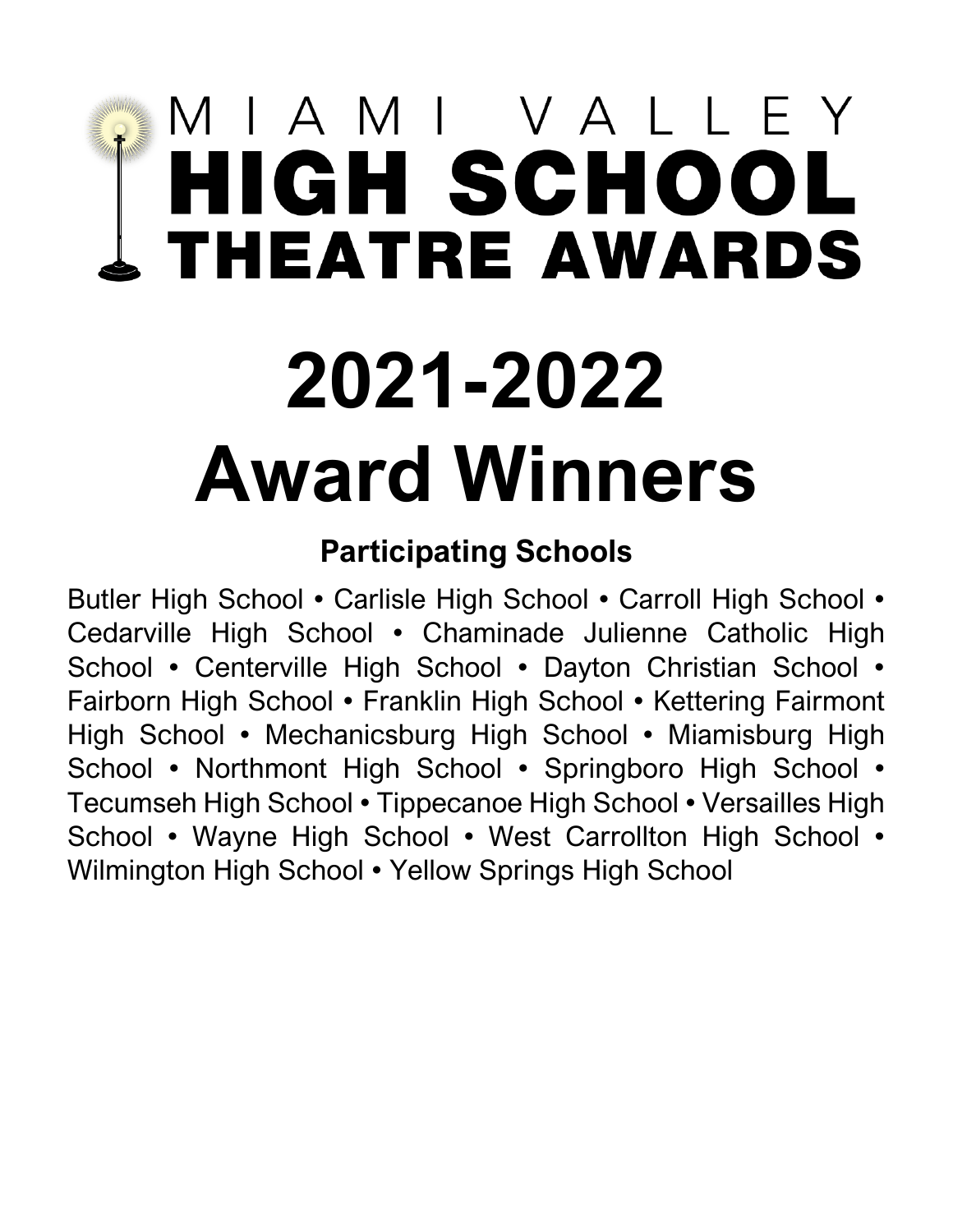# MIAMI VALLEY<br>HIGH SCHOOL<br>THEATRE AWARDS

# **2021-2022 Award Winners**

# **Participating Schools**

Butler High School • Carlisle High School • Carroll High School • Cedarville High School • Chaminade Julienne Catholic High School • Centerville High School • Dayton Christian School • Fairborn High School • Franklin High School • Kettering Fairmont High School • Mechanicsburg High School • Miamisburg High School • Northmont High School • Springboro High School • Tecumseh High School • Tippecanoe High School • Versailles High School • Wayne High School • West Carrollton High School • Wilmington High School • Yellow Springs High School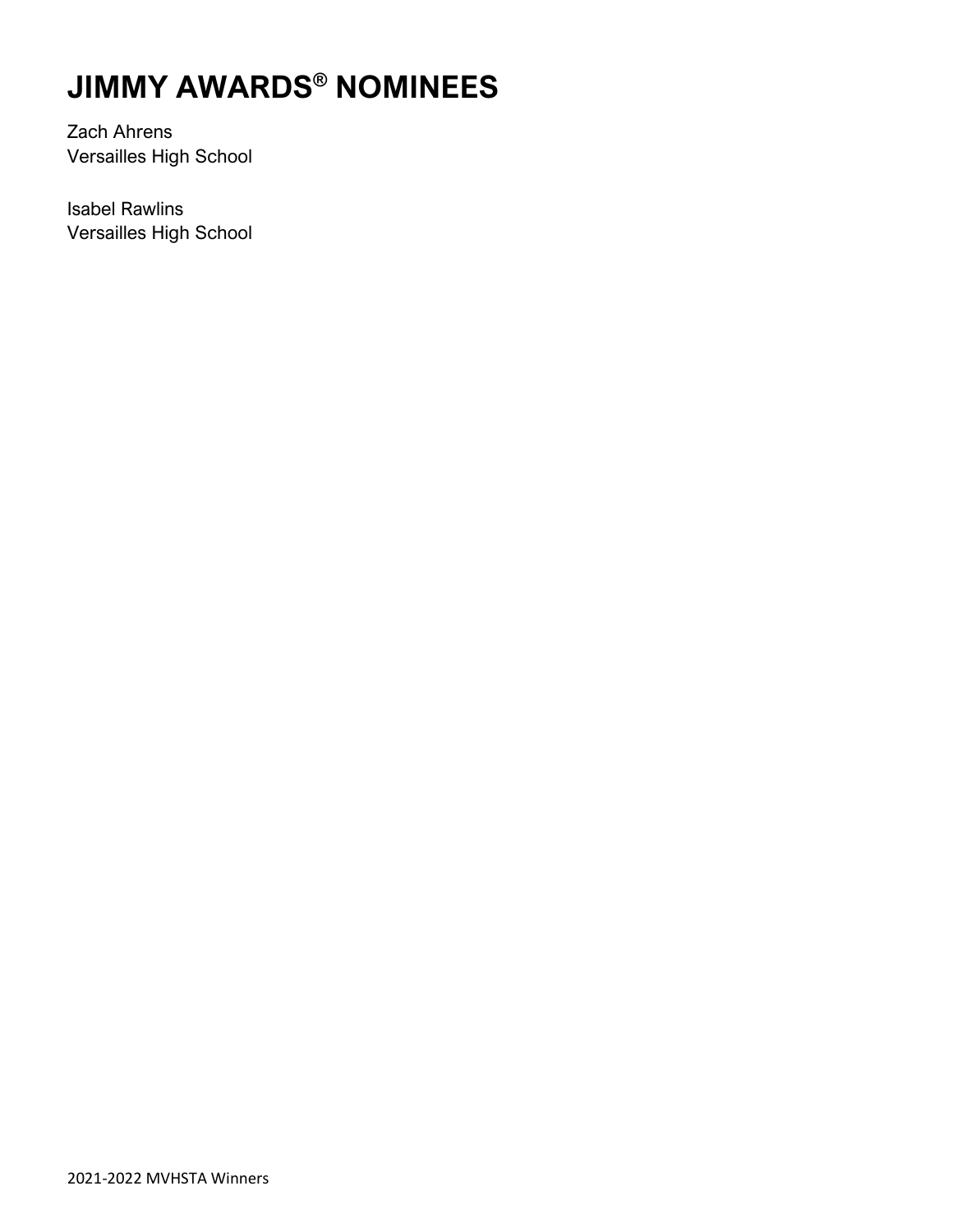# **JIMMY AWARDS® NOMINEES**

Zach Ahrens Versailles High School

Isabel Rawlins Versailles High School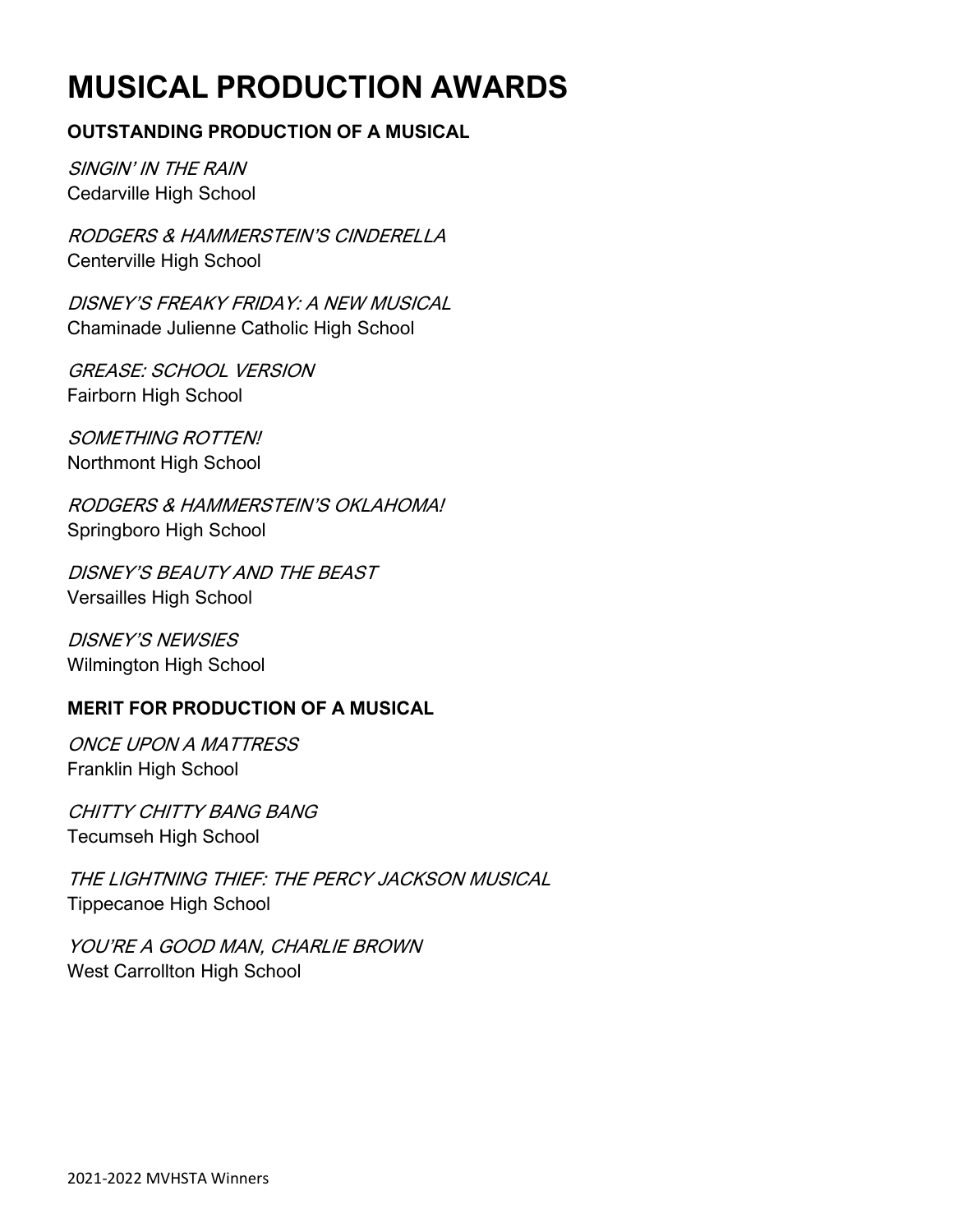# **MUSICAL PRODUCTION AWARDS**

### **OUTSTANDING PRODUCTION OF A MUSICAL**

SINGIN' IN THE RAIN Cedarville High School

RODGERS & HAMMERSTEIN'S CINDERELLA Centerville High School

DISNEY'S FREAKY FRIDAY: A NEW MUSICAL Chaminade Julienne Catholic High School

GREASE: SCHOOL VERSION Fairborn High School

SOMETHING ROTTEN! Northmont High School

RODGERS & HAMMERSTEIN'S OKLAHOMA! Springboro High School

DISNEY'S BEAUTY AND THE BEAST Versailles High School

DISNEY'S NEWSIES Wilmington High School

### **MERIT FOR PRODUCTION OF A MUSICAL**

ONCE UPON A MATTRESS Franklin High School

CHITTY CHITTY BANG BANG Tecumseh High School

THE LIGHTNING THIEF: THE PERCY JACKSON MUSICAL Tippecanoe High School

YOU'RE A GOOD MAN, CHARLIE BROWN West Carrollton High School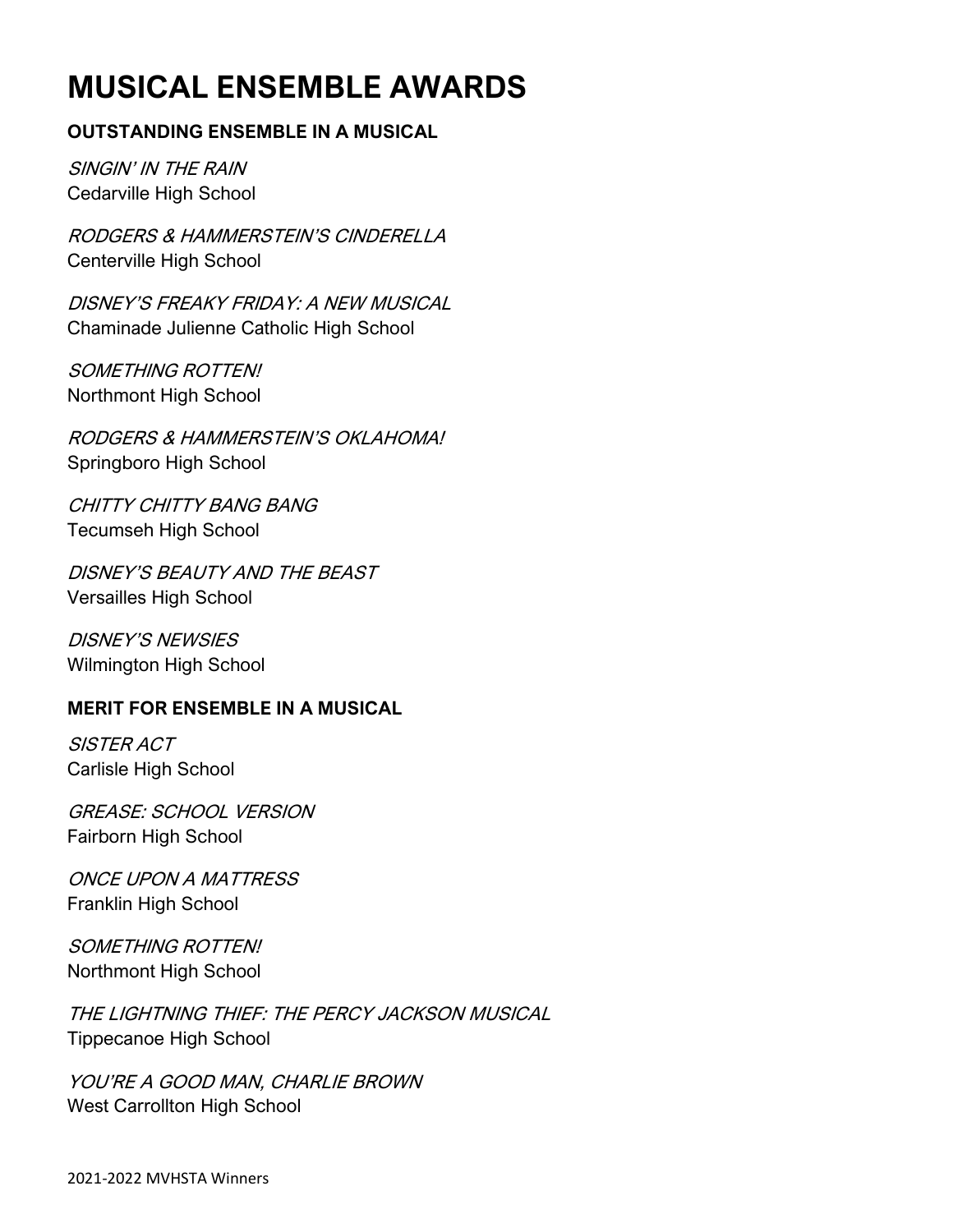# **MUSICAL ENSEMBLE AWARDS**

### **OUTSTANDING ENSEMBLE IN A MUSICAL**

SINGIN' IN THE RAIN Cedarville High School

RODGERS & HAMMERSTEIN'S CINDERELLA Centerville High School

DISNEY'S FREAKY FRIDAY: A NEW MUSICAL Chaminade Julienne Catholic High School

SOMETHING ROTTEN! Northmont High School

RODGERS & HAMMERSTEIN'S OKLAHOMA! Springboro High School

CHITTY CHITTY BANG BANG Tecumseh High School

DISNEY'S BEAUTY AND THE BEAST Versailles High School

DISNEY'S NEWSIES Wilmington High School

### **MERIT FOR ENSEMBLE IN A MUSICAL**

SISTER ACT Carlisle High School

GREASE: SCHOOL VERSION Fairborn High School

ONCE UPON A MATTRESS Franklin High School

SOMETHING ROTTEN! Northmont High School

THE LIGHTNING THIEF: THE PERCY JACKSON MUSICAL Tippecanoe High School

YOU'RE A GOOD MAN, CHARLIE BROWN West Carrollton High School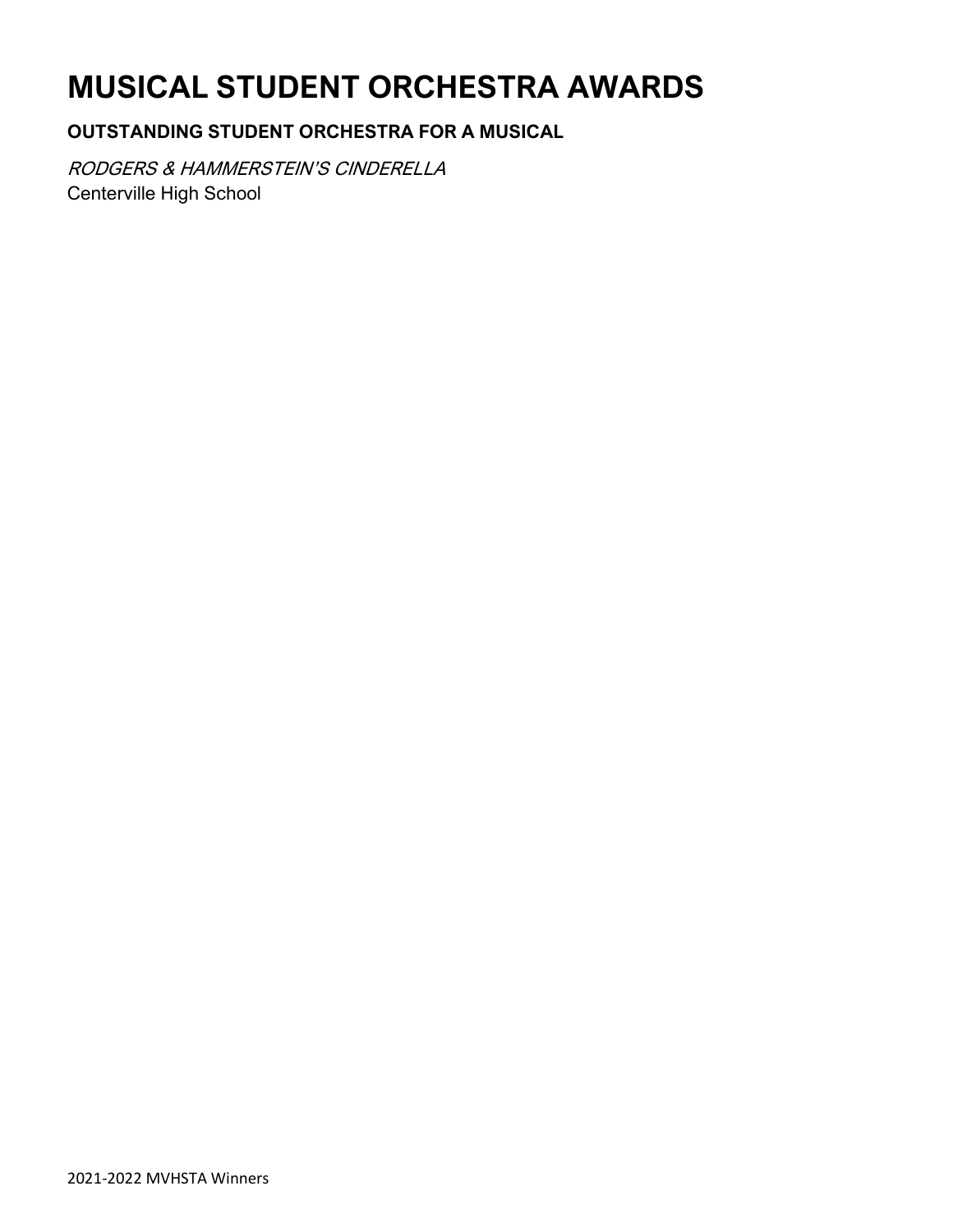# **MUSICAL STUDENT ORCHESTRA AWARDS**

### **OUTSTANDING STUDENT ORCHESTRA FOR A MUSICAL**

RODGERS & HAMMERSTEIN'S CINDERELLA Centerville High School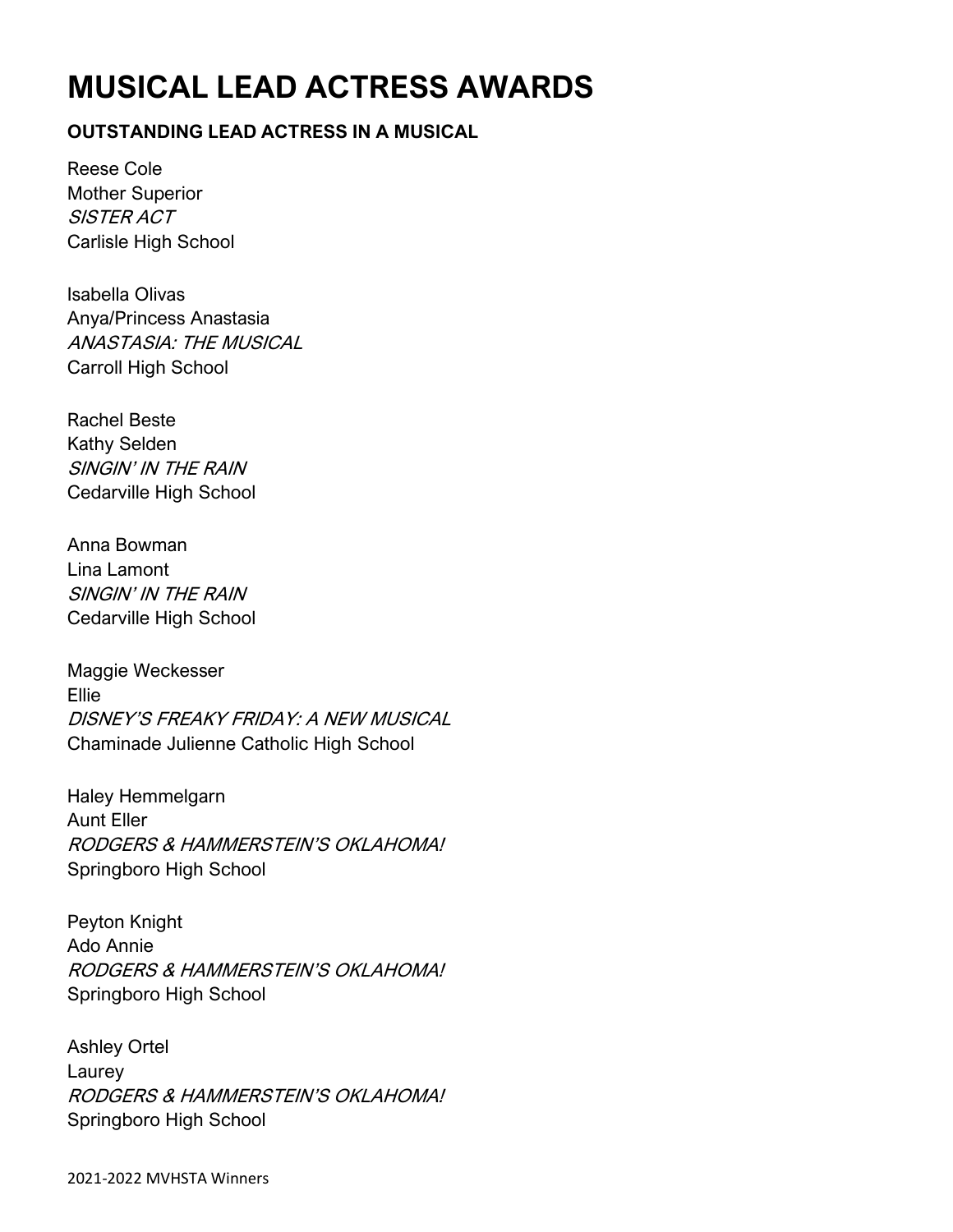# **MUSICAL LEAD ACTRESS AWARDS**

### **OUTSTANDING LEAD ACTRESS IN A MUSICAL**

Reese Cole Mother Superior SISTER ACT Carlisle High School

Isabella Olivas Anya/Princess Anastasia ANASTASIA: THE MUSICAL Carroll High School

Rachel Beste Kathy Selden SINGIN' IN THE RAIN Cedarville High School

Anna Bowman Lina Lamont SINGIN' IN THE RAIN Cedarville High School

Maggie Weckesser Ellie DISNEY'S FREAKY FRIDAY: A NEW MUSICAL Chaminade Julienne Catholic High School

Haley Hemmelgarn Aunt Eller RODGERS & HAMMERSTEIN'S OKLAHOMA! Springboro High School

Peyton Knight Ado Annie RODGERS & HAMMERSTEIN'S OKLAHOMA! Springboro High School

Ashley Ortel Laurey RODGERS & HAMMERSTEIN'S OKLAHOMA! Springboro High School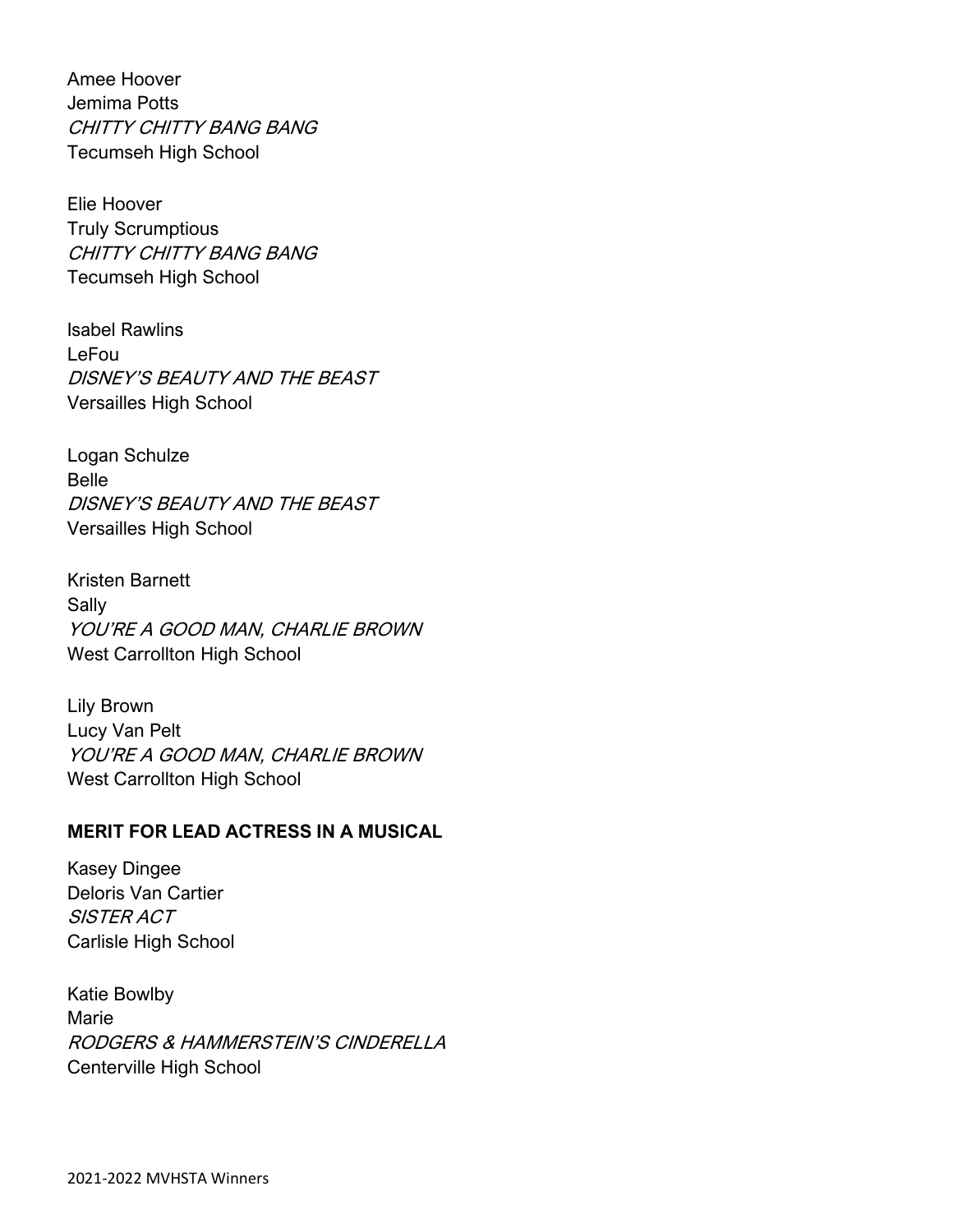Amee Hoover Jemima Potts CHITTY CHITTY BANG BANG Tecumseh High School

Elie Hoover Truly Scrumptious CHITTY CHITTY BANG BANG Tecumseh High School

Isabel Rawlins LeFou DISNEY'S BEAUTY AND THE BEAST Versailles High School

Logan Schulze Belle DISNEY'S BEAUTY AND THE BEAST Versailles High School

Kristen Barnett Sally YOU'RE A GOOD MAN, CHARLIE BROWN West Carrollton High School

Lily Brown Lucy Van Pelt YOU'RE A GOOD MAN, CHARLIE BROWN West Carrollton High School

### **MERIT FOR LEAD ACTRESS IN A MUSICAL**

Kasey Dingee Deloris Van Cartier SISTER ACT Carlisle High School

Katie Bowlby Marie RODGERS & HAMMERSTEIN'S CINDERELLA Centerville High School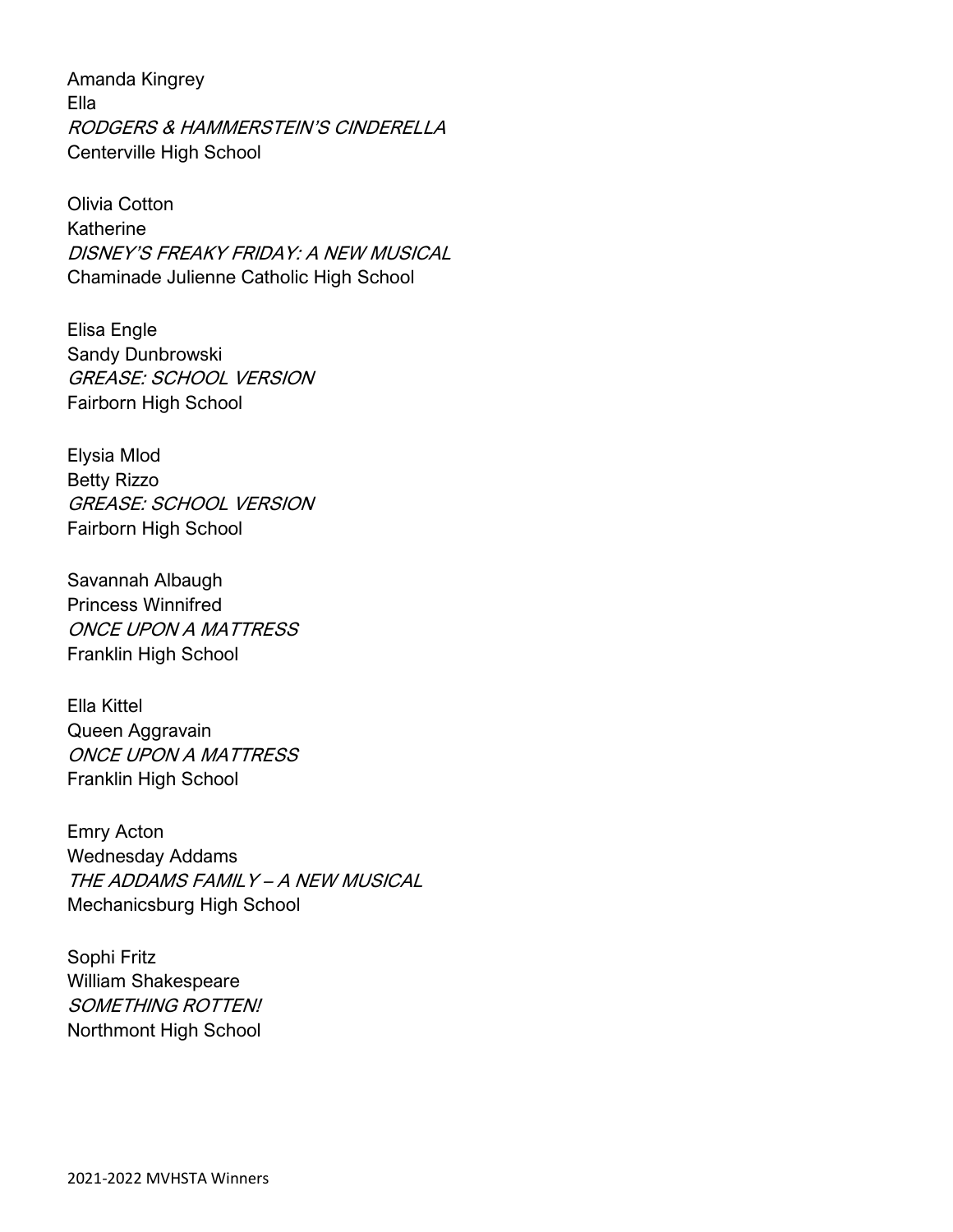Amanda Kingrey Ella RODGERS & HAMMERSTEIN'S CINDERELLA Centerville High School

Olivia Cotton Katherine DISNEY'S FREAKY FRIDAY: A NEW MUSICAL Chaminade Julienne Catholic High School

Elisa Engle Sandy Dunbrowski GREASE: SCHOOL VERSION Fairborn High School

Elysia Mlod Betty Rizzo GREASE: SCHOOL VERSION Fairborn High School

Savannah Albaugh Princess Winnifred ONCE UPON A MATTRESS Franklin High School

Ella Kittel Queen Aggravain ONCE UPON A MATTRESS Franklin High School

Emry Acton Wednesday Addams THE ADDAMS FAMILY – A NEW MUSICAL Mechanicsburg High School

Sophi Fritz William Shakespeare SOMETHING ROTTEN! Northmont High School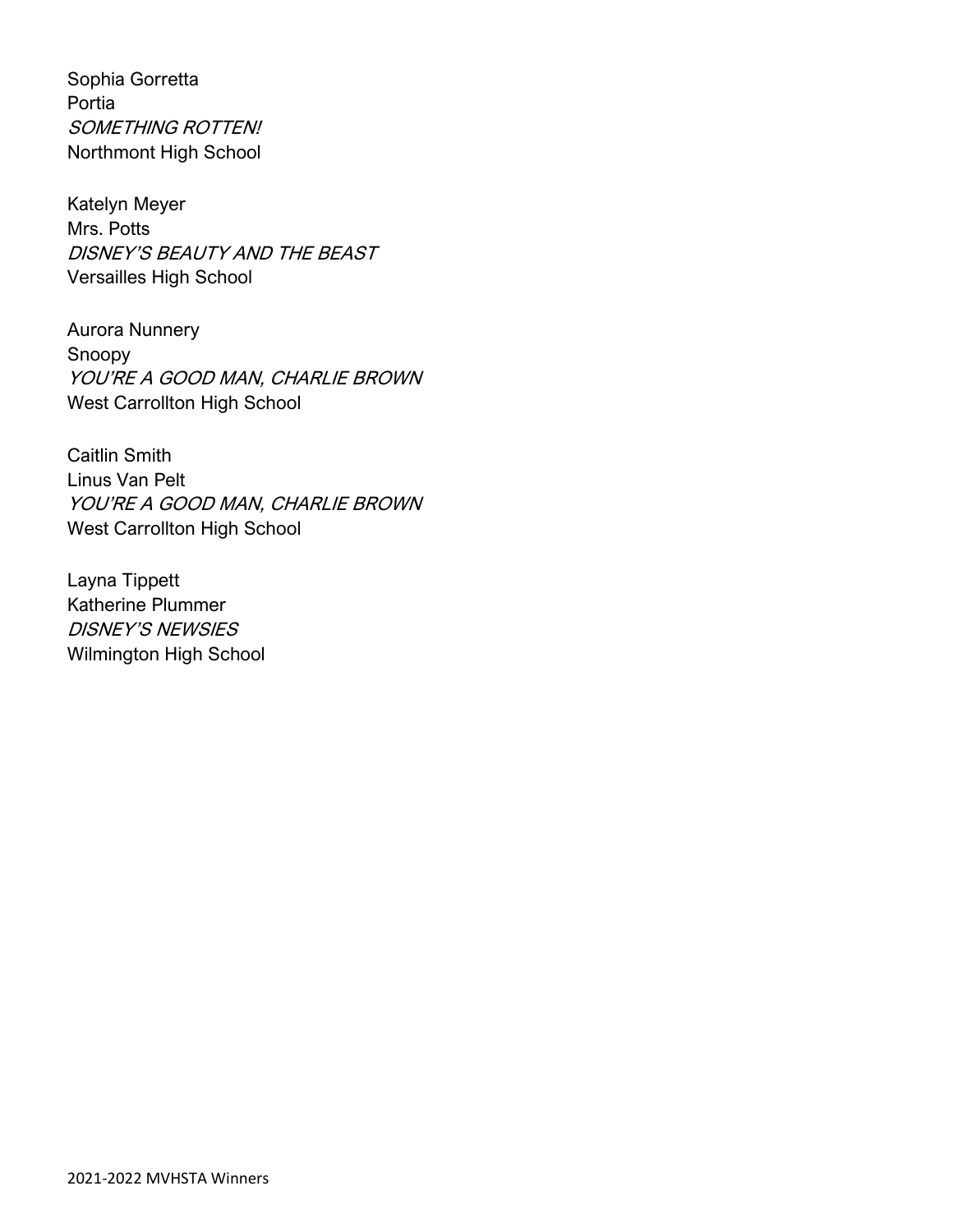Sophia Gorretta Portia SOMETHING ROTTEN! Northmont High School

Katelyn Meyer Mrs. Potts DISNEY'S BEAUTY AND THE BEAST Versailles High School

Aurora Nunnery Snoopy YOU'RE A GOOD MAN, CHARLIE BROWN West Carrollton High School

Caitlin Smith Linus Van Pelt YOU'RE A GOOD MAN, CHARLIE BROWN West Carrollton High School

Layna Tippett Katherine Plummer DISNEY'S NEWSIES Wilmington High School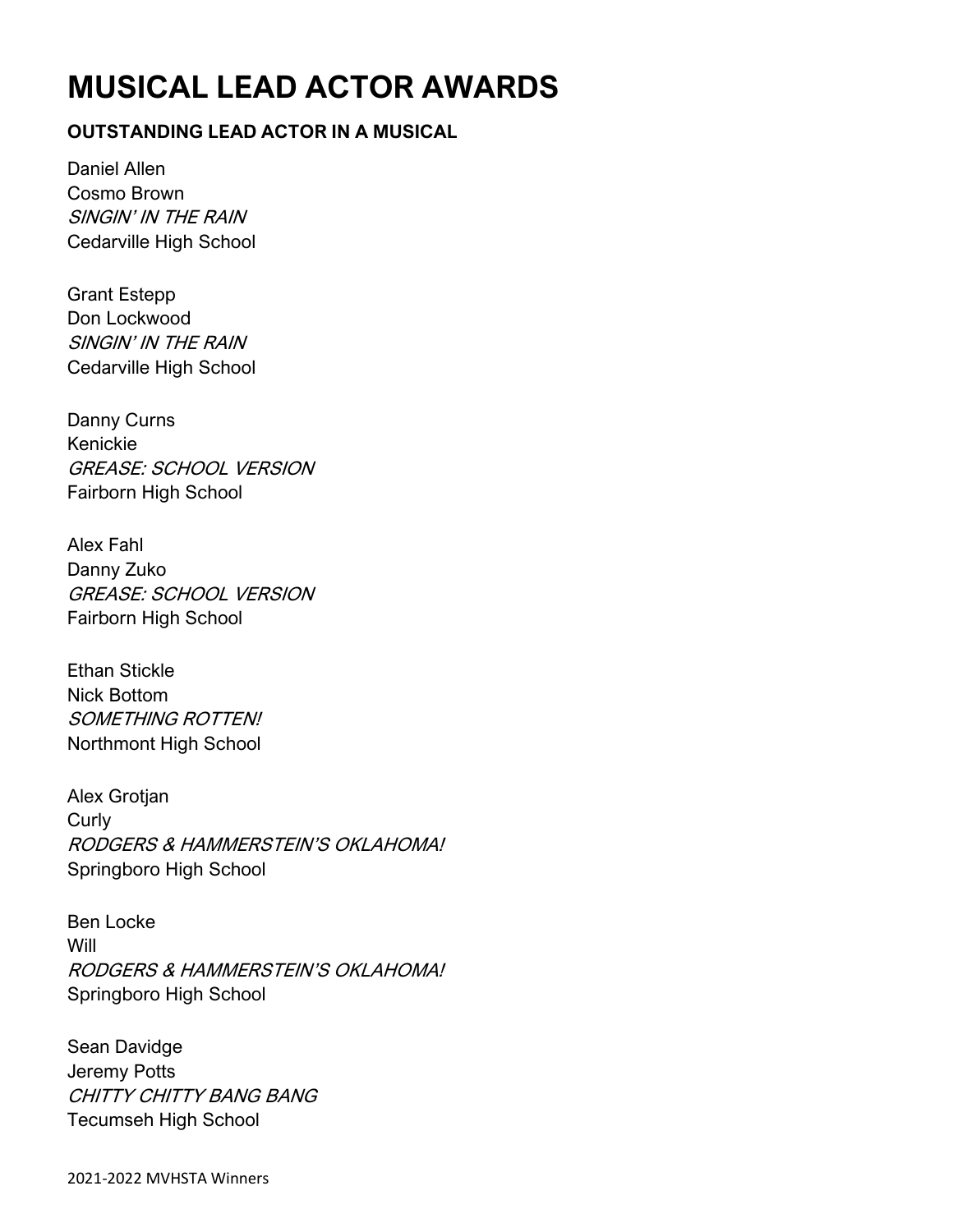# **MUSICAL LEAD ACTOR AWARDS**

### **OUTSTANDING LEAD ACTOR IN A MUSICAL**

Daniel Allen Cosmo Brown SINGIN' IN THE RAIN Cedarville High School

Grant Estepp Don Lockwood SINGIN' IN THE RAIN Cedarville High School

Danny Curns Kenickie GREASE: SCHOOL VERSION Fairborn High School

Alex Fahl Danny Zuko GREASE: SCHOOL VERSION Fairborn High School

Ethan Stickle Nick Bottom SOMETHING ROTTEN! Northmont High School

Alex Grotjan **Curly** RODGERS & HAMMERSTEIN'S OKLAHOMA! Springboro High School

Ben Locke Will RODGERS & HAMMERSTEIN'S OKLAHOMA! Springboro High School

Sean Davidge Jeremy Potts CHITTY CHITTY BANG BANG Tecumseh High School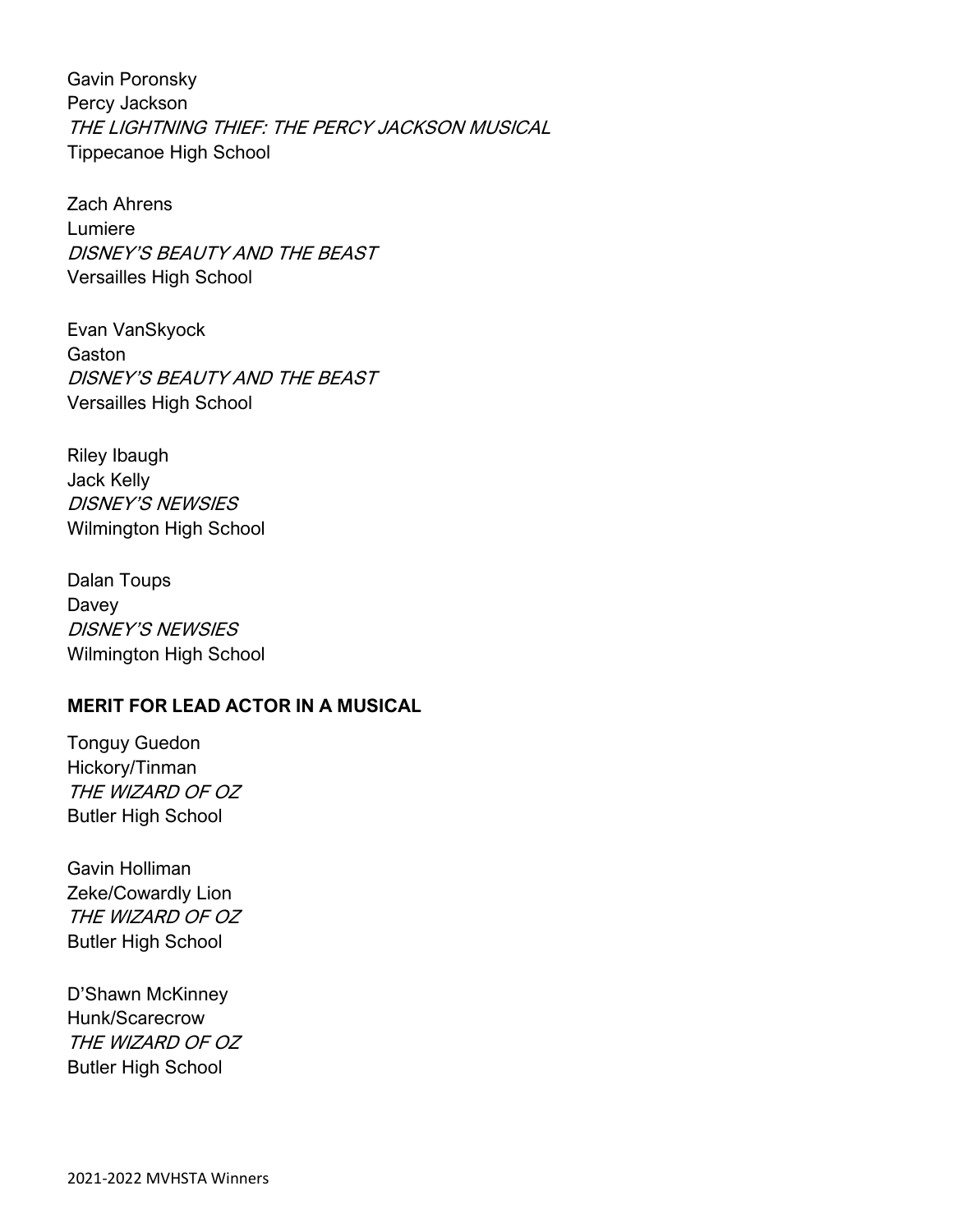Gavin Poronsky Percy Jackson THE LIGHTNING THIEF: THE PERCY JACKSON MUSICAL Tippecanoe High School

Zach Ahrens Lumiere DISNEY'S BEAUTY AND THE BEAST Versailles High School

Evan VanSkyock Gaston DISNEY'S BEAUTY AND THE BEAST Versailles High School

Riley Ibaugh Jack Kelly DISNEY'S NEWSIES Wilmington High School

Dalan Toups Davey DISNEY'S NEWSIES Wilmington High School

### **MERIT FOR LEAD ACTOR IN A MUSICAL**

Tonguy Guedon Hickory/Tinman THE WIZARD OF OZ Butler High School

Gavin Holliman Zeke/Cowardly Lion THE WIZARD OF OZ Butler High School

D'Shawn McKinney Hunk/Scarecrow THE WIZARD OF OZ Butler High School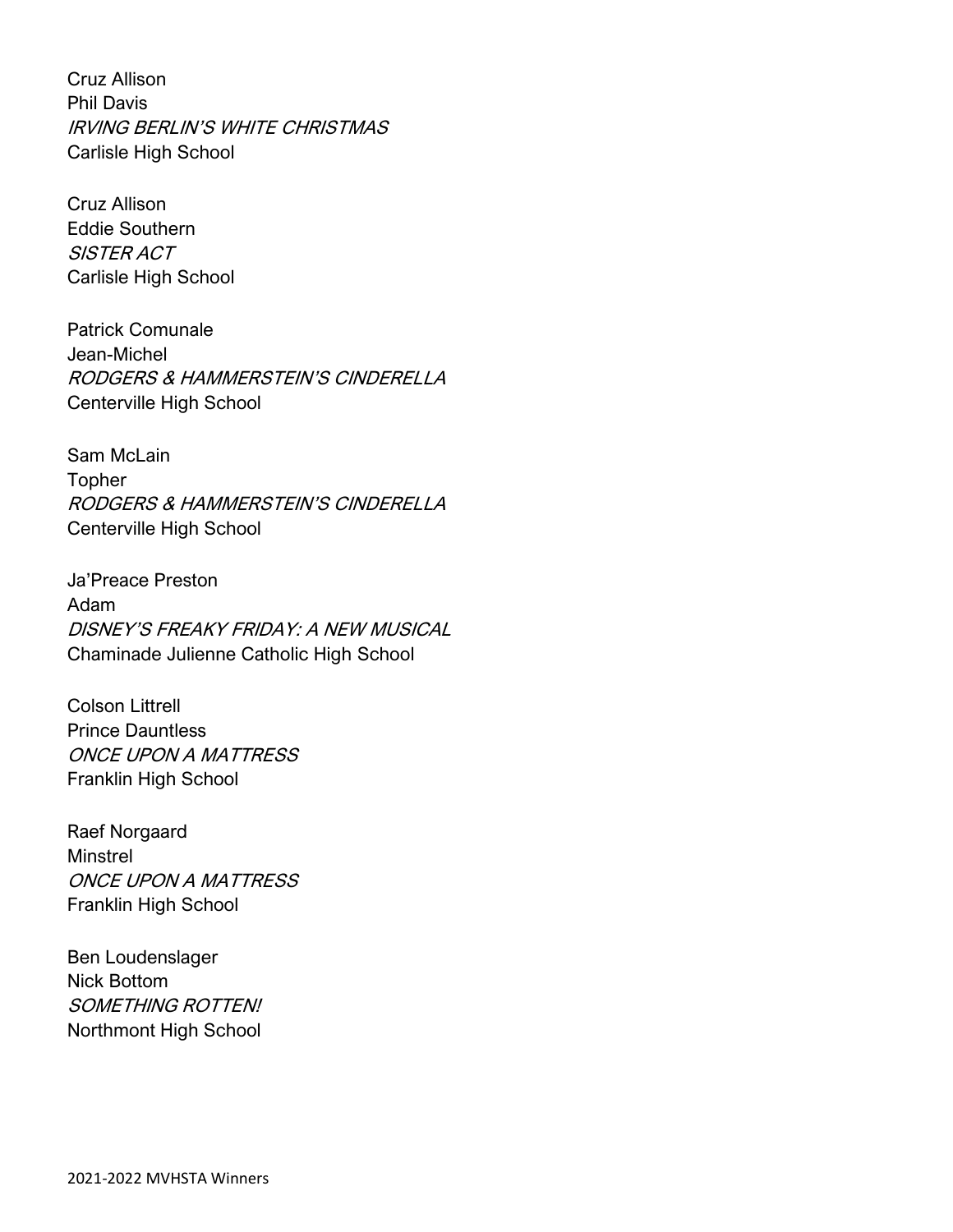Cruz Allison Phil Davis IRVING BERLIN'S WHITE CHRISTMAS Carlisle High School

Cruz Allison Eddie Southern SISTER ACT Carlisle High School

Patrick Comunale Jean-Michel RODGERS & HAMMERSTEIN'S CINDERELLA Centerville High School

Sam McLain Topher RODGERS & HAMMERSTEIN'S CINDERELLA Centerville High School

Ja'Preace Preston Adam DISNEY'S FREAKY FRIDAY: A NEW MUSICAL Chaminade Julienne Catholic High School

Colson Littrell Prince Dauntless ONCE UPON A MATTRESS Franklin High School

Raef Norgaard Minstrel ONCE UPON A MATTRESS Franklin High School

Ben Loudenslager Nick Bottom SOMETHING ROTTEN! Northmont High School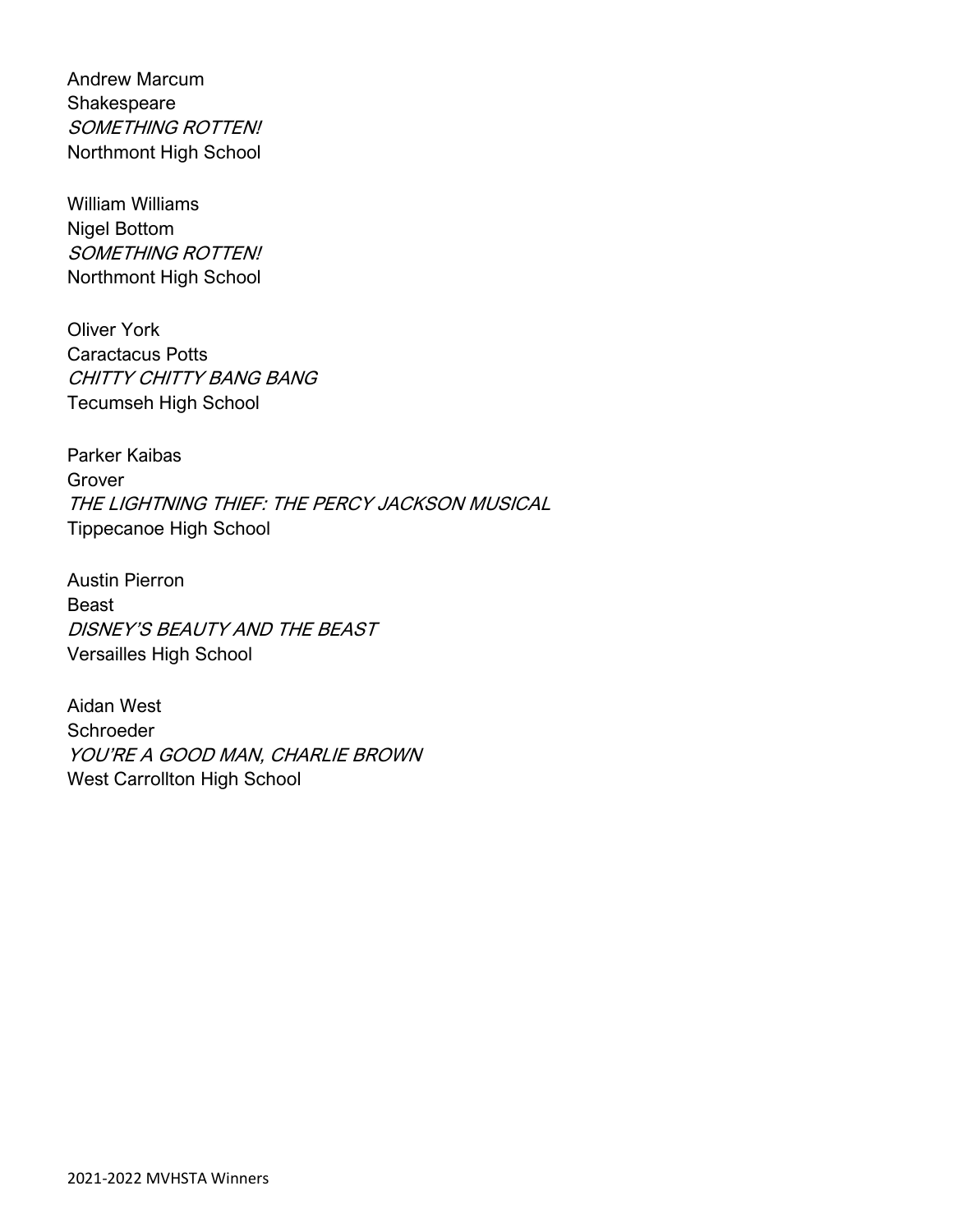Andrew Marcum Shakespeare SOMETHING ROTTEN! Northmont High School

William Williams Nigel Bottom SOMETHING ROTTEN! Northmont High School

Oliver York Caractacus Potts CHITTY CHITTY BANG BANG Tecumseh High School

Parker Kaibas Grover THE LIGHTNING THIEF: THE PERCY JACKSON MUSICAL Tippecanoe High School

Austin Pierron Beast DISNEY'S BEAUTY AND THE BEAST Versailles High School

Aidan West **Schroeder** YOU'RE A GOOD MAN, CHARLIE BROWN West Carrollton High School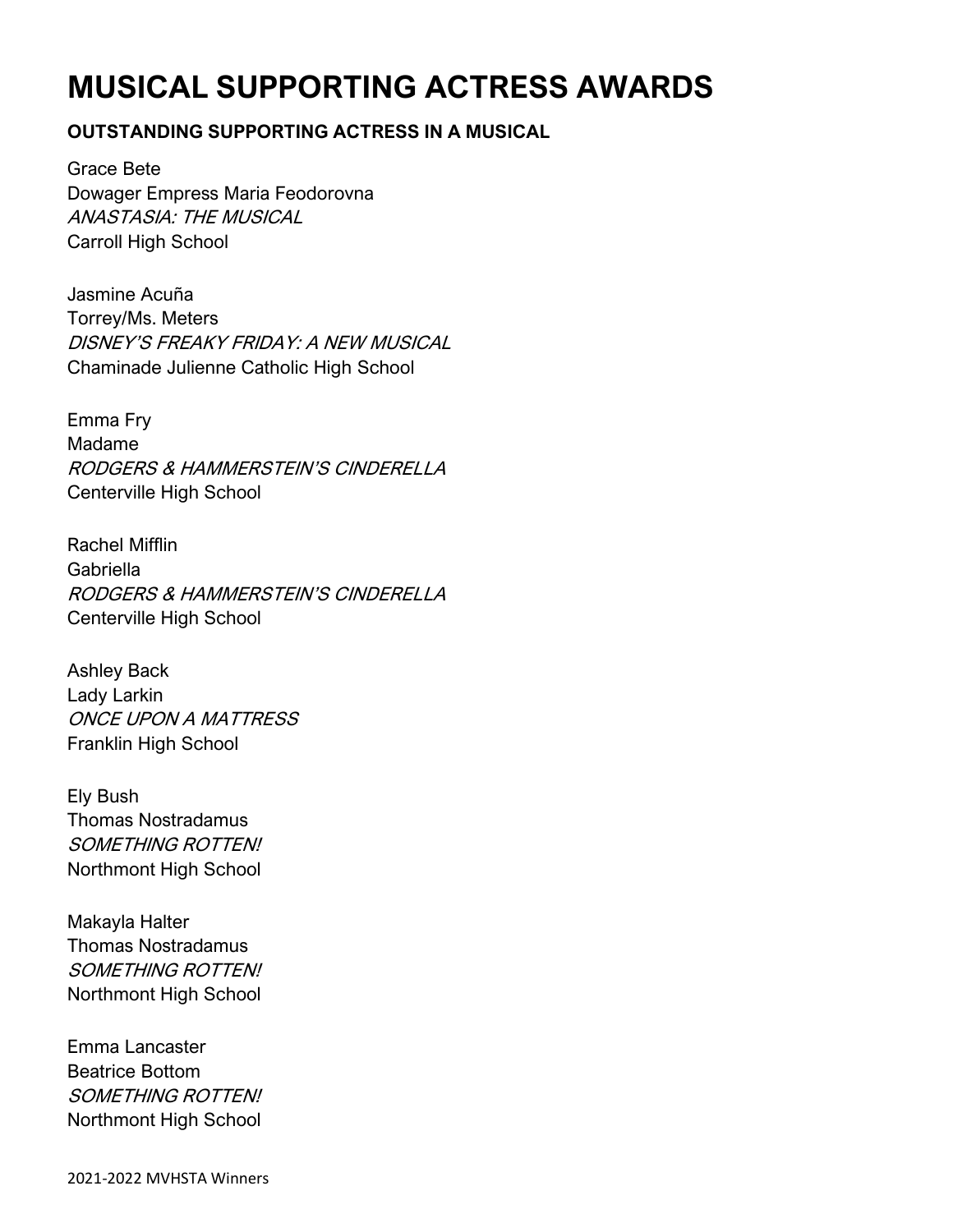# **MUSICAL SUPPORTING ACTRESS AWARDS**

### **OUTSTANDING SUPPORTING ACTRESS IN A MUSICAL**

Grace Bete Dowager Empress Maria Feodorovna ANASTASIA: THE MUSICAL Carroll High School

Jasmine Acuña Torrey/Ms. Meters DISNEY'S FREAKY FRIDAY: A NEW MUSICAL Chaminade Julienne Catholic High School

Emma Fry Madame RODGERS & HAMMERSTEIN'S CINDERELLA Centerville High School

Rachel Mifflin Gabriella RODGERS & HAMMERSTEIN'S CINDERELLA Centerville High School

Ashley Back Lady Larkin ONCE UPON A MATTRESS Franklin High School

Ely Bush Thomas Nostradamus SOMETHING ROTTEN! Northmont High School

Makayla Halter Thomas Nostradamus SOMETHING ROTTEN! Northmont High School

Emma Lancaster Beatrice Bottom SOMETHING ROTTEN! Northmont High School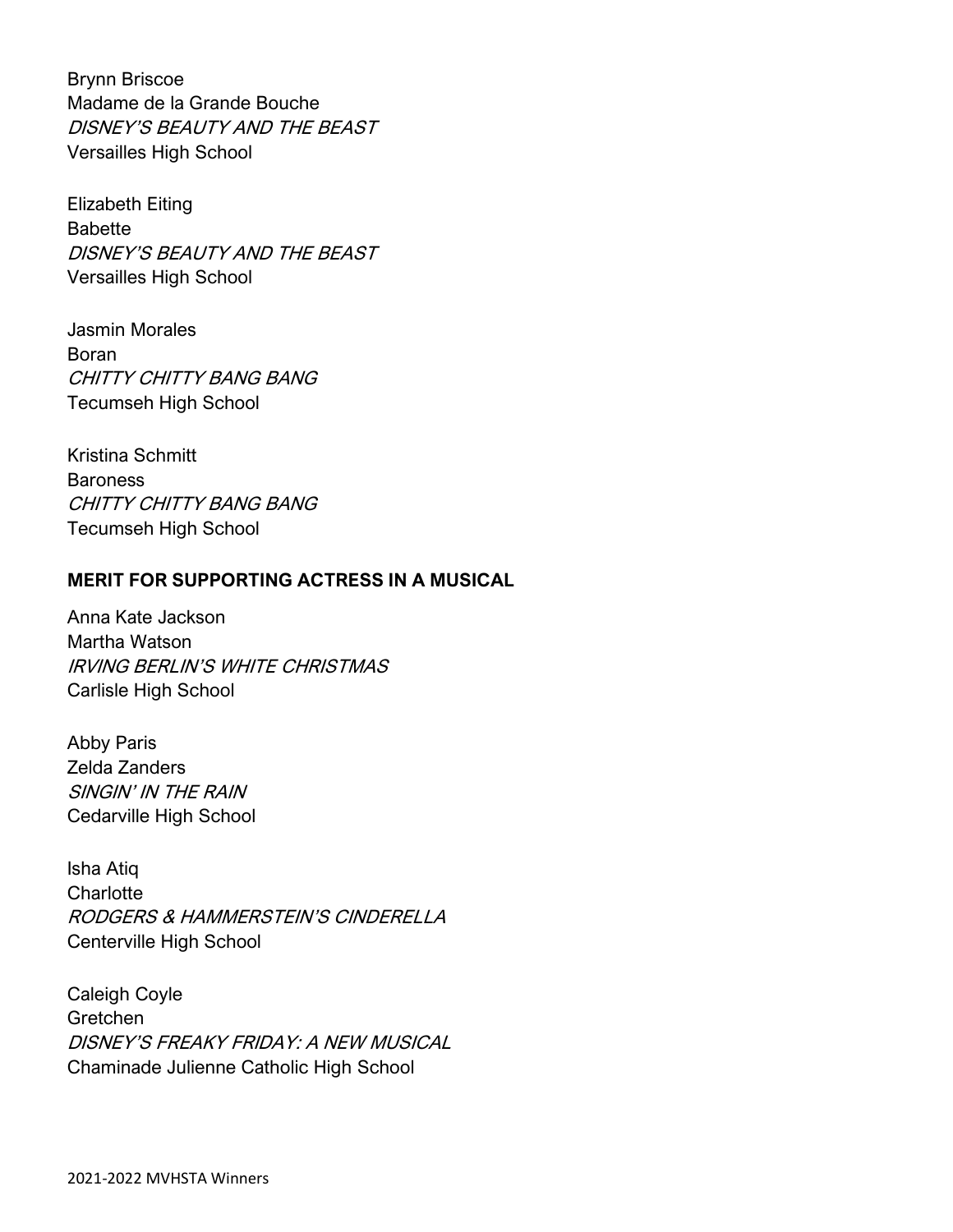Brynn Briscoe Madame de la Grande Bouche DISNEY'S BEAUTY AND THE BEAST Versailles High School

Elizabeth Eiting Babette DISNEY'S BEAUTY AND THE BEAST Versailles High School

Jasmin Morales Boran CHITTY CHITTY BANG BANG Tecumseh High School

Kristina Schmitt **Baroness** CHITTY CHITTY BANG BANG Tecumseh High School

### **MERIT FOR SUPPORTING ACTRESS IN A MUSICAL**

Anna Kate Jackson Martha Watson IRVING BERLIN'S WHITE CHRISTMAS Carlisle High School

Abby Paris Zelda Zanders SINGIN' IN THE RAIN Cedarville High School

Isha Atiq **Charlotte** RODGERS & HAMMERSTEIN'S CINDERELLA Centerville High School

Caleigh Coyle Gretchen DISNEY'S FREAKY FRIDAY: A NEW MUSICAL Chaminade Julienne Catholic High School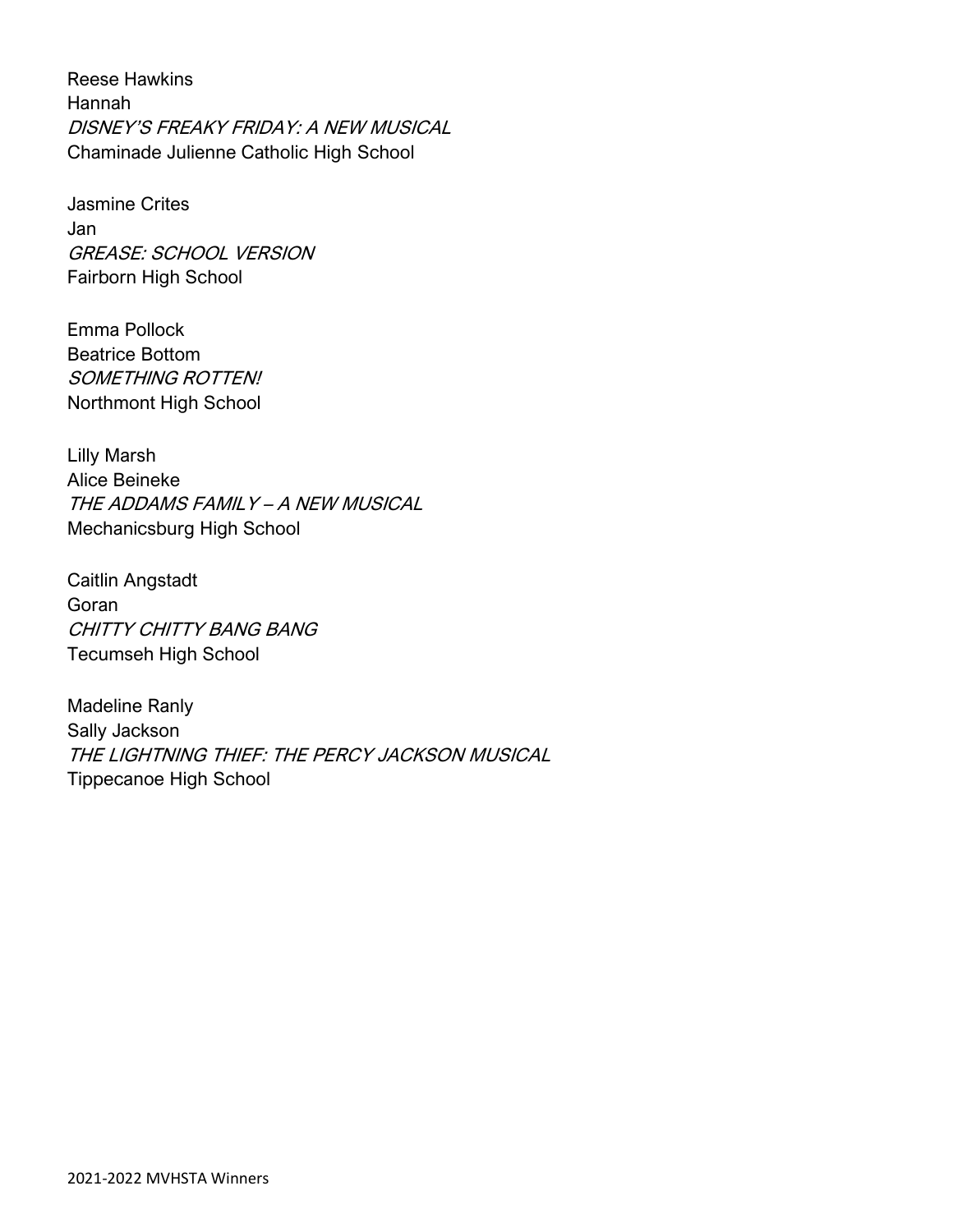Reese Hawkins Hannah DISNEY'S FREAKY FRIDAY: A NEW MUSICAL Chaminade Julienne Catholic High School

Jasmine Crites Jan GREASE: SCHOOL VERSION Fairborn High School

Emma Pollock Beatrice Bottom SOMETHING ROTTEN! Northmont High School

Lilly Marsh Alice Beineke THE ADDAMS FAMILY – A NEW MUSICAL Mechanicsburg High School

Caitlin Angstadt Goran CHITTY CHITTY BANG BANG Tecumseh High School

Madeline Ranly Sally Jackson THE LIGHTNING THIEF: THE PERCY JACKSON MUSICAL Tippecanoe High School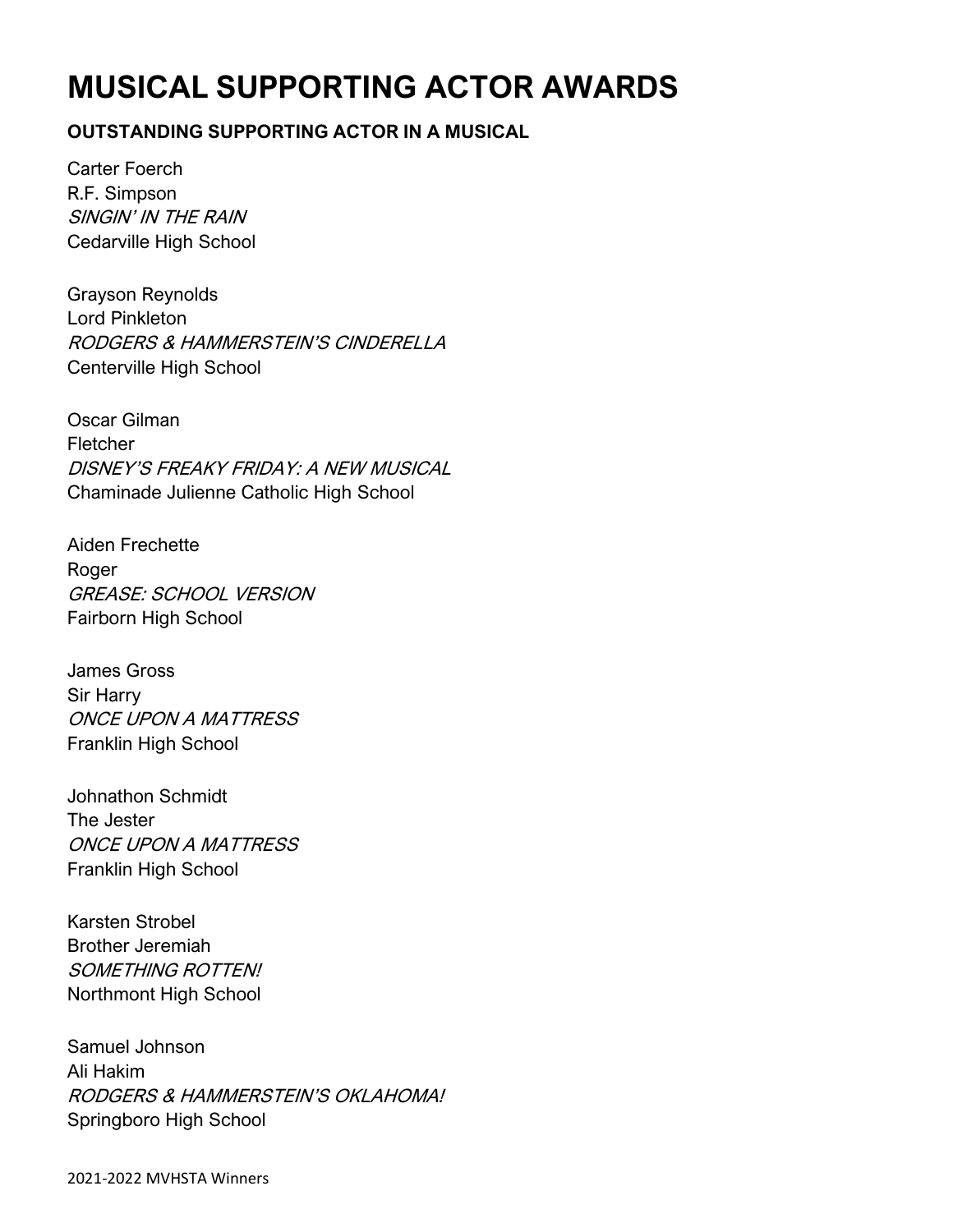# **MUSICAL SUPPORTING ACTOR AWARDS**

### **OUTSTANDING SUPPORTING ACTOR IN A MUSICAL**

Carter Foerch R.F. Simpson SINGIN' IN THE RAIN Cedarville High School

Grayson Reynolds Lord Pinkleton RODGERS & HAMMERSTEIN'S CINDERELLA Centerville High School

Oscar Gilman Fletcher DISNEY'S FREAKY FRIDAY: A NEW MUSICAL Chaminade Julienne Catholic High School

Aiden Frechette Roger GREASE: SCHOOL VERSION Fairborn High School

James Gross Sir Harry ONCE UPON A MATTRESS Franklin High School

Johnathon Schmidt The Jester ONCE UPON A MATTRESS Franklin High School

Karsten Strobel Brother Jeremiah SOMETHING ROTTEN! Northmont High School

Samuel Johnson Ali Hakim RODGERS & HAMMERSTEIN'S OKLAHOMA! Springboro High School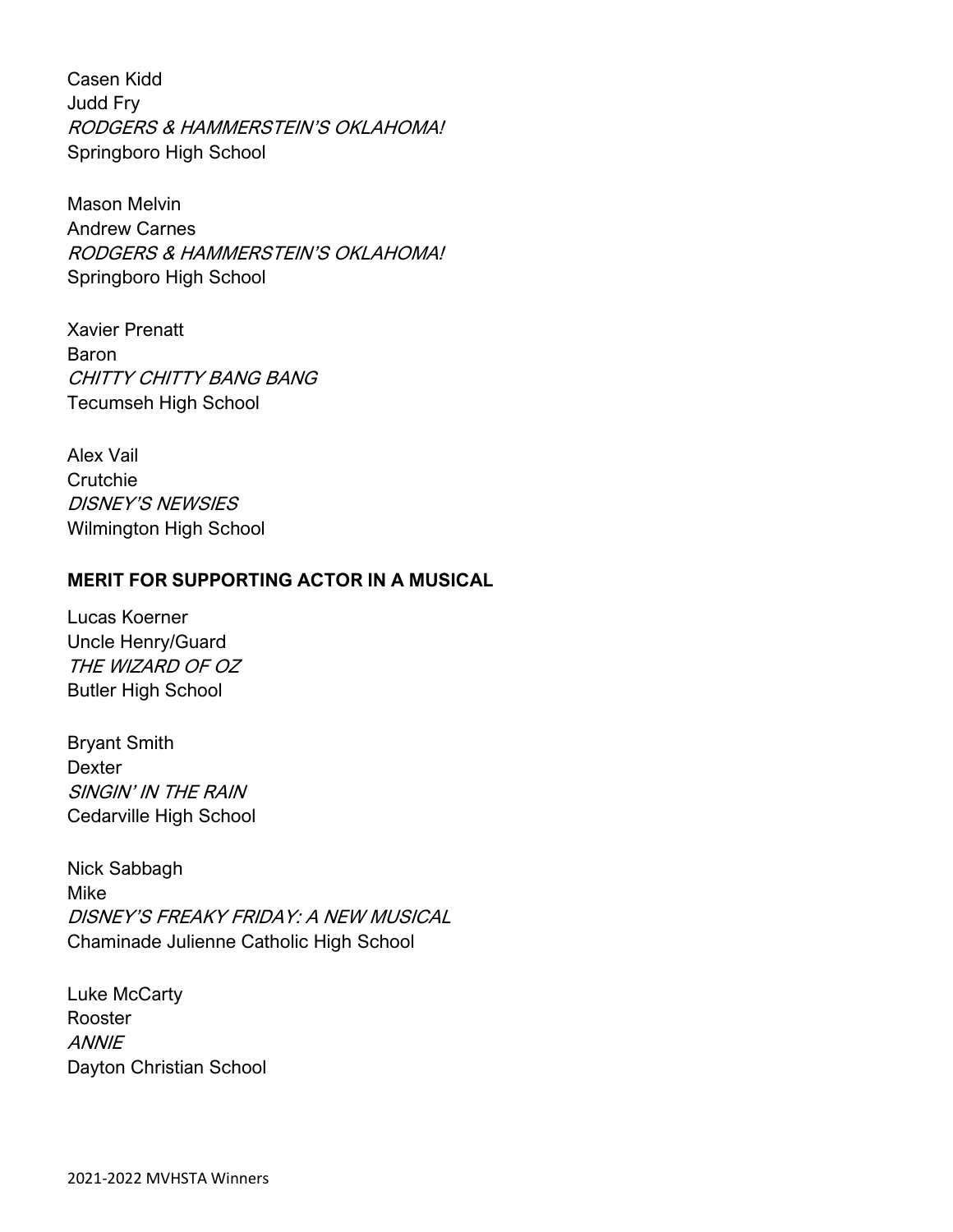Casen Kidd Judd Fry RODGERS & HAMMERSTEIN'S OKLAHOMA! Springboro High School

Mason Melvin Andrew Carnes RODGERS & HAMMERSTEIN'S OKLAHOMA! Springboro High School

Xavier Prenatt Baron CHITTY CHITTY BANG BANG Tecumseh High School

Alex Vail **Crutchie** DISNEY'S NEWSIES Wilmington High School

### **MERIT FOR SUPPORTING ACTOR IN A MUSICAL**

Lucas Koerner Uncle Henry/Guard THE WIZARD OF OZ Butler High School

Bryant Smith Dexter SINGIN' IN THE RAIN Cedarville High School

Nick Sabbagh Mike DISNEY'S FREAKY FRIDAY: A NEW MUSICAL Chaminade Julienne Catholic High School

Luke McCarty Rooster **ANNIE** Dayton Christian School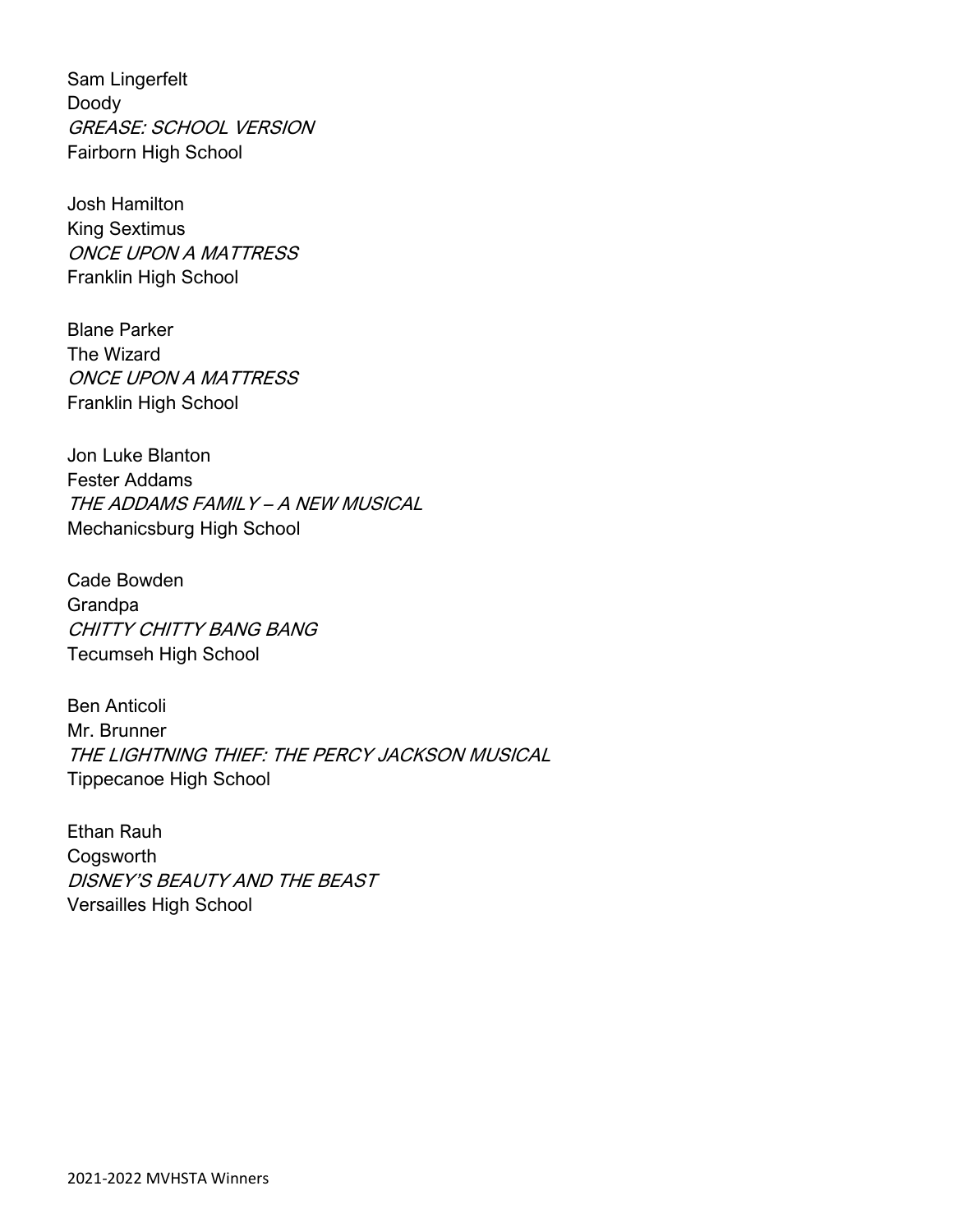Sam Lingerfelt Doody GREASE: SCHOOL VERSION Fairborn High School

Josh Hamilton King Sextimus ONCE UPON A MATTRESS Franklin High School

Blane Parker The Wizard ONCE UPON A MATTRESS Franklin High School

Jon Luke Blanton Fester Addams THE ADDAMS FAMILY – A NEW MUSICAL Mechanicsburg High School

Cade Bowden Grandpa CHITTY CHITTY BANG BANG Tecumseh High School

Ben Anticoli Mr. Brunner THE LIGHTNING THIEF: THE PERCY JACKSON MUSICAL Tippecanoe High School

Ethan Rauh Cogsworth DISNEY'S BEAUTY AND THE BEAST Versailles High School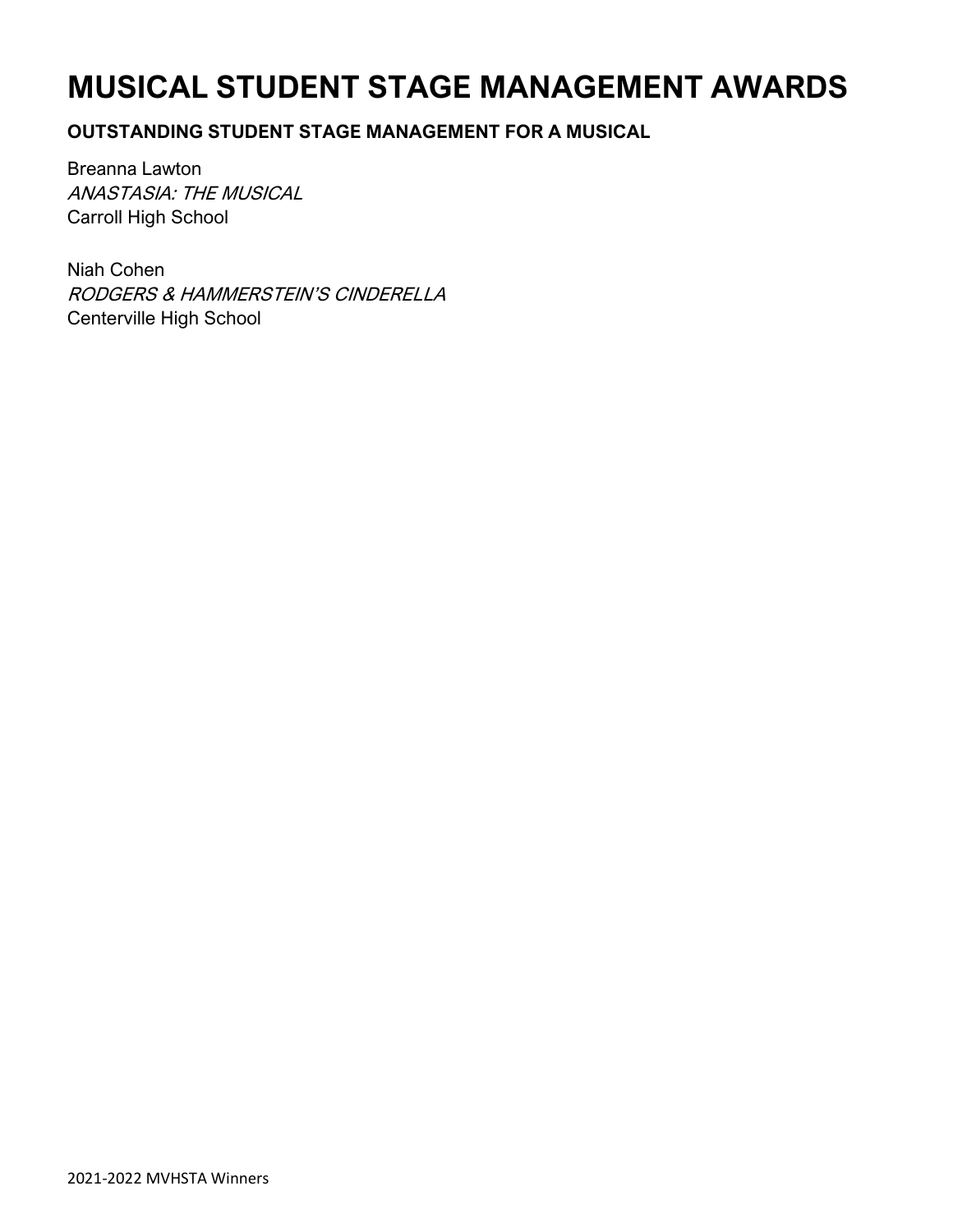# **MUSICAL STUDENT STAGE MANAGEMENT AWARDS**

### **OUTSTANDING STUDENT STAGE MANAGEMENT FOR A MUSICAL**

Breanna Lawton ANASTASIA: THE MUSICAL Carroll High School

Niah Cohen RODGERS & HAMMERSTEIN'S CINDERELLA Centerville High School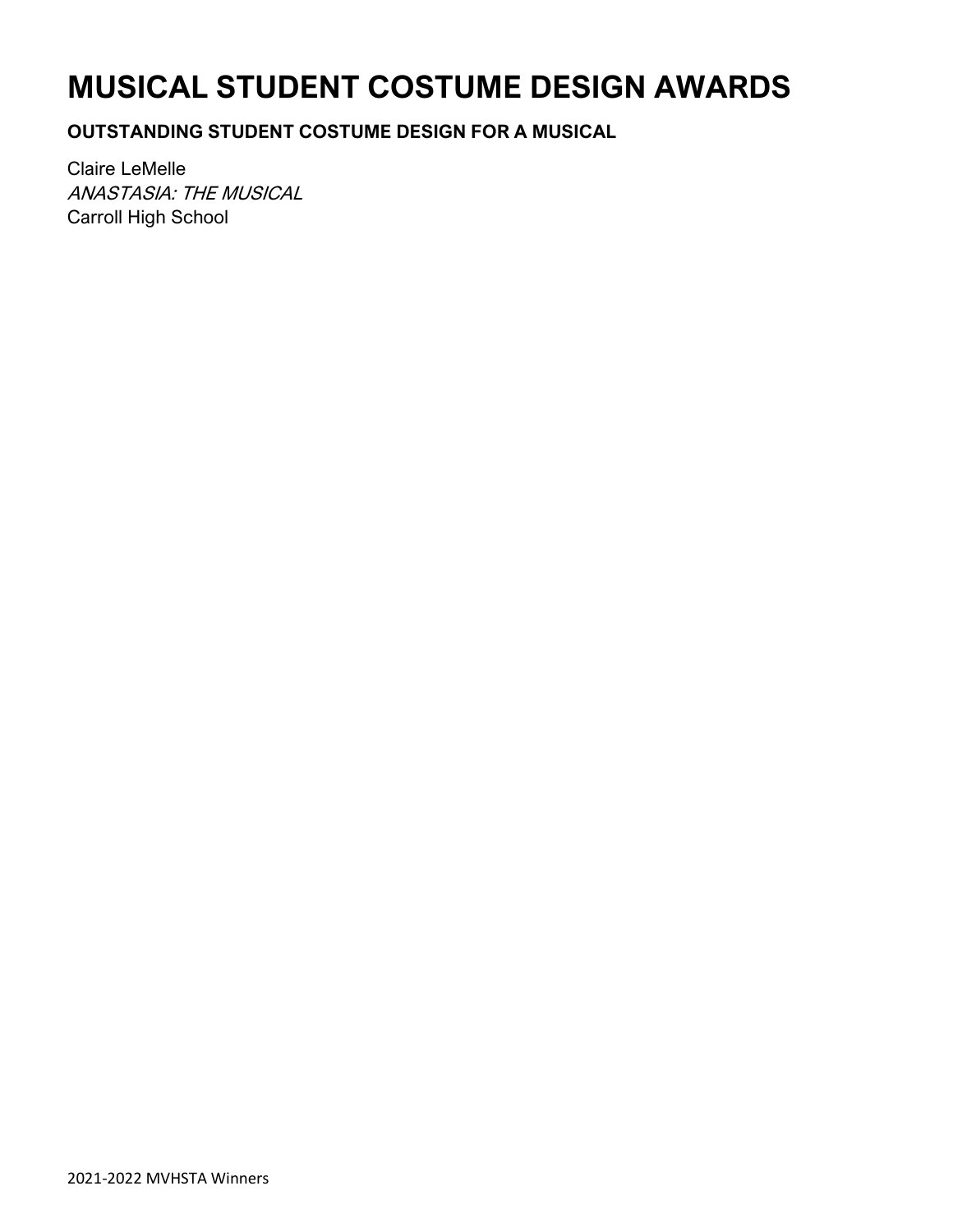# **MUSICAL STUDENT COSTUME DESIGN AWARDS**

**OUTSTANDING STUDENT COSTUME DESIGN FOR A MUSICAL**

Claire LeMelle ANASTASIA: THE MUSICAL Carroll High School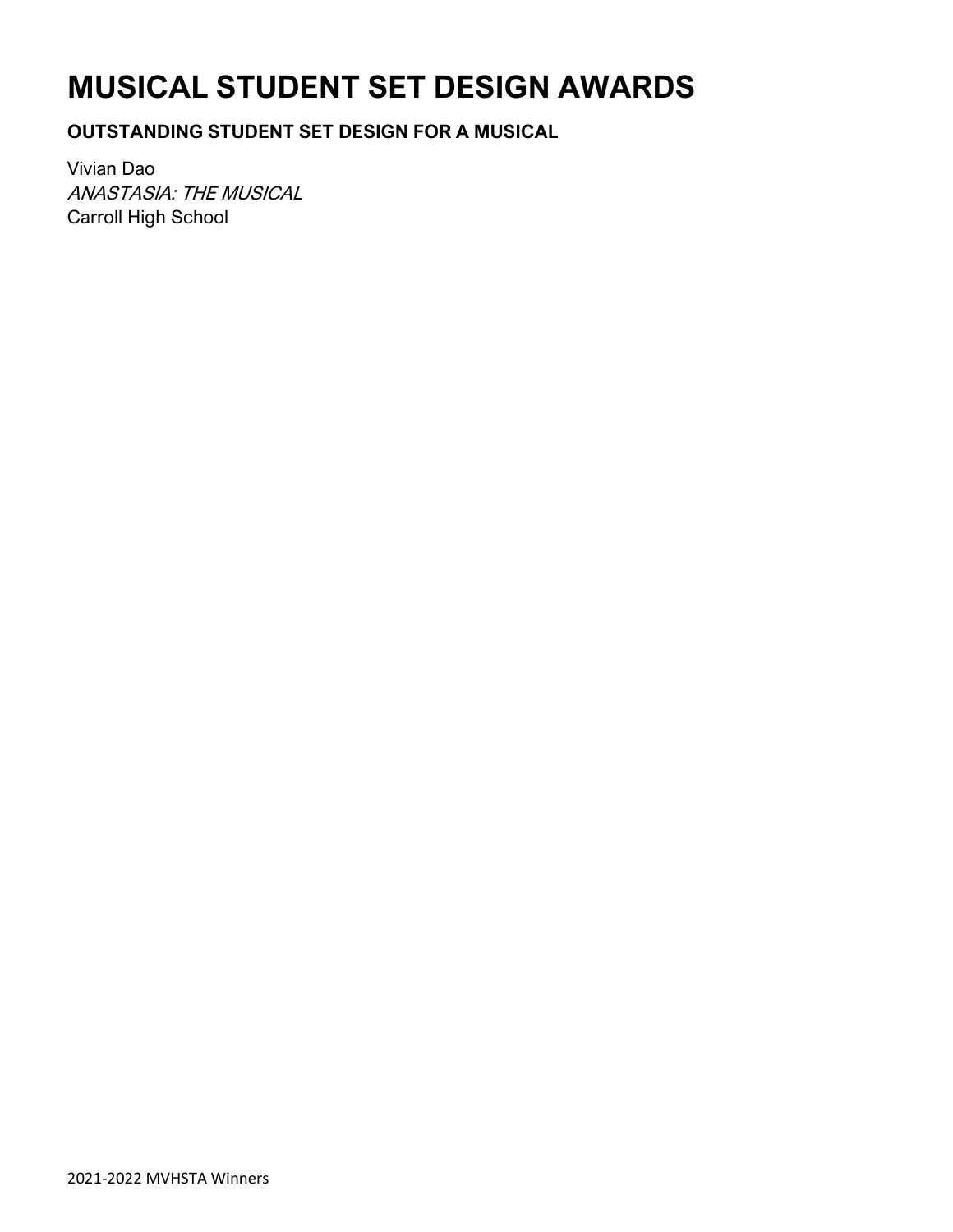# **MUSICAL STUDENT SET DESIGN AWARDS**

### **OUTSTANDING STUDENT SET DESIGN FOR A MUSICAL**

Vivian Dao ANASTASIA: THE MUSICAL Carroll High School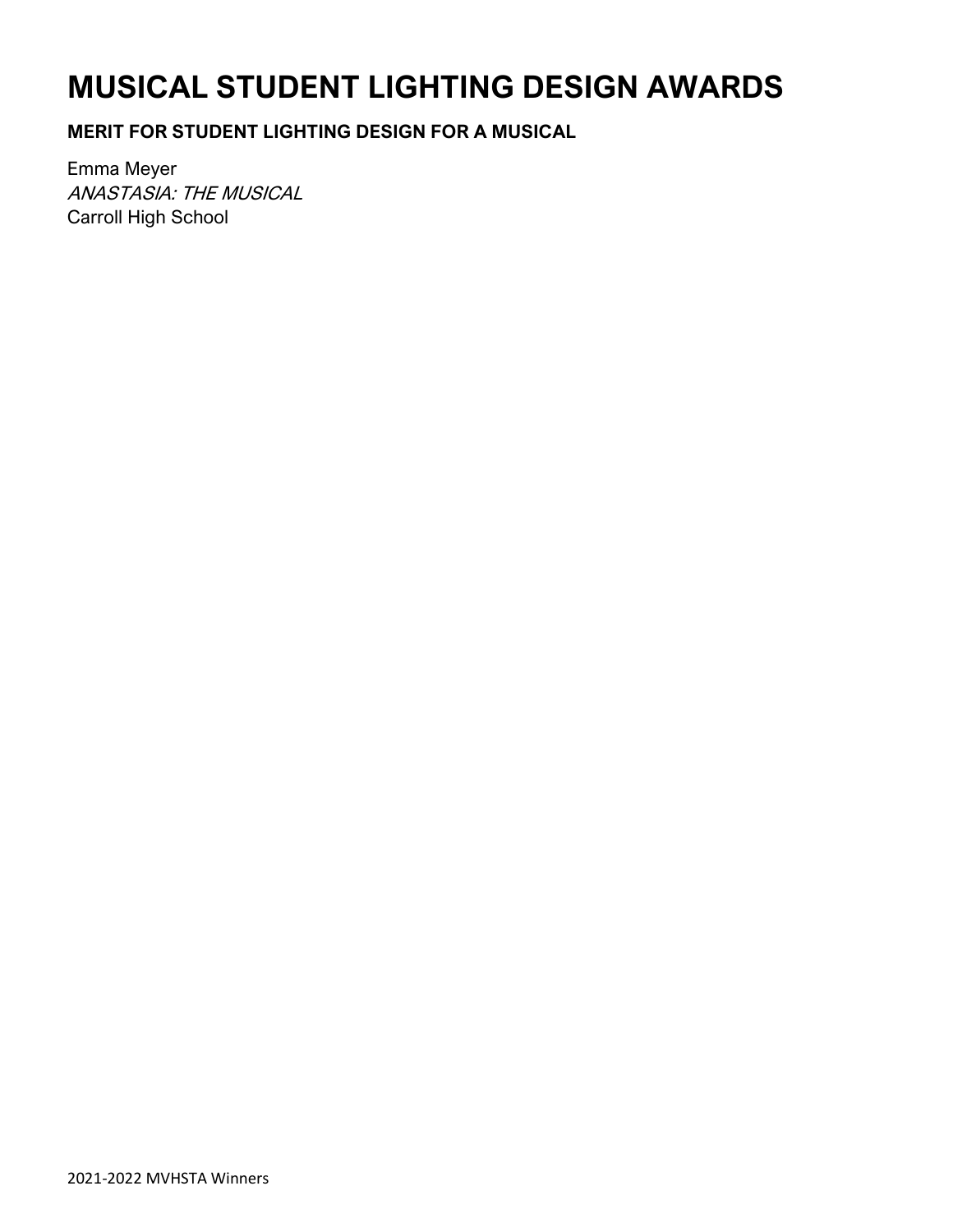# **MUSICAL STUDENT LIGHTING DESIGN AWARDS**

### **MERIT FOR STUDENT LIGHTING DESIGN FOR A MUSICAL**

Emma Meyer ANASTASIA: THE MUSICAL Carroll High School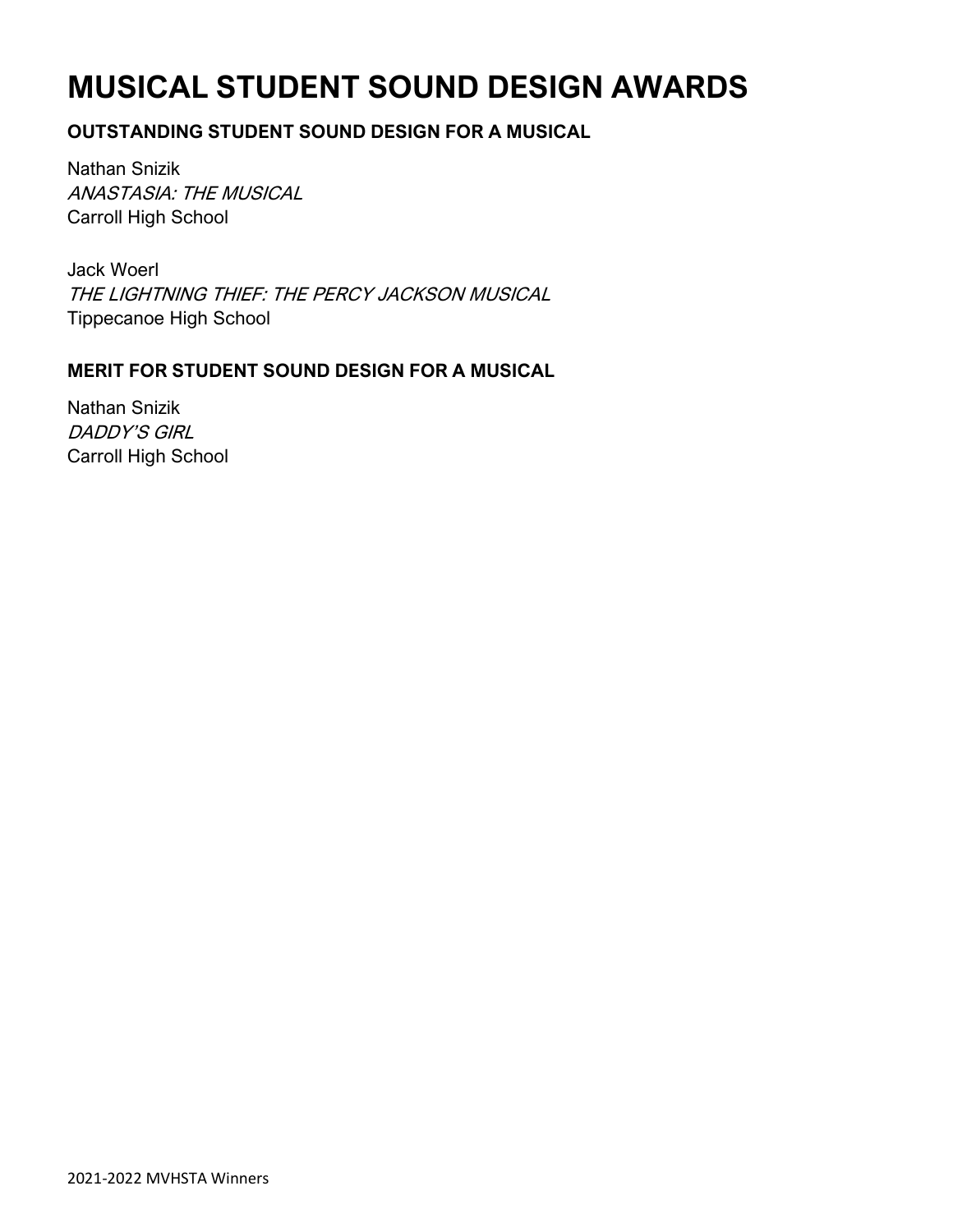# **MUSICAL STUDENT SOUND DESIGN AWARDS**

### **OUTSTANDING STUDENT SOUND DESIGN FOR A MUSICAL**

Nathan Snizik ANASTASIA: THE MUSICAL Carroll High School

Jack Woerl THE LIGHTNING THIEF: THE PERCY JACKSON MUSICAL Tippecanoe High School

### **MERIT FOR STUDENT SOUND DESIGN FOR A MUSICAL**

Nathan Snizik DADDY'S GIRL Carroll High School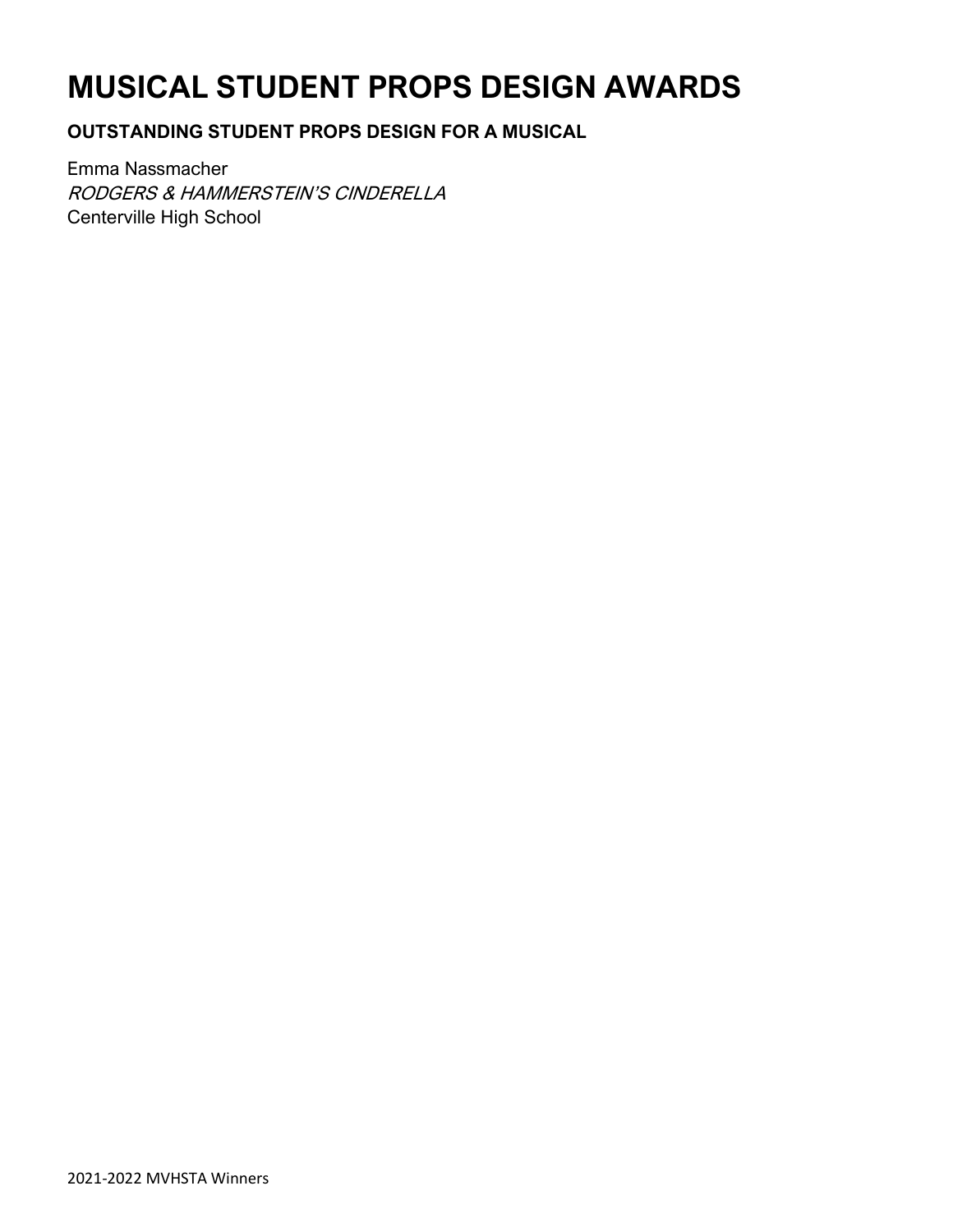# **MUSICAL STUDENT PROPS DESIGN AWARDS**

### **OUTSTANDING STUDENT PROPS DESIGN FOR A MUSICAL**

Emma Nassmacher RODGERS & HAMMERSTEIN'S CINDERELLA Centerville High School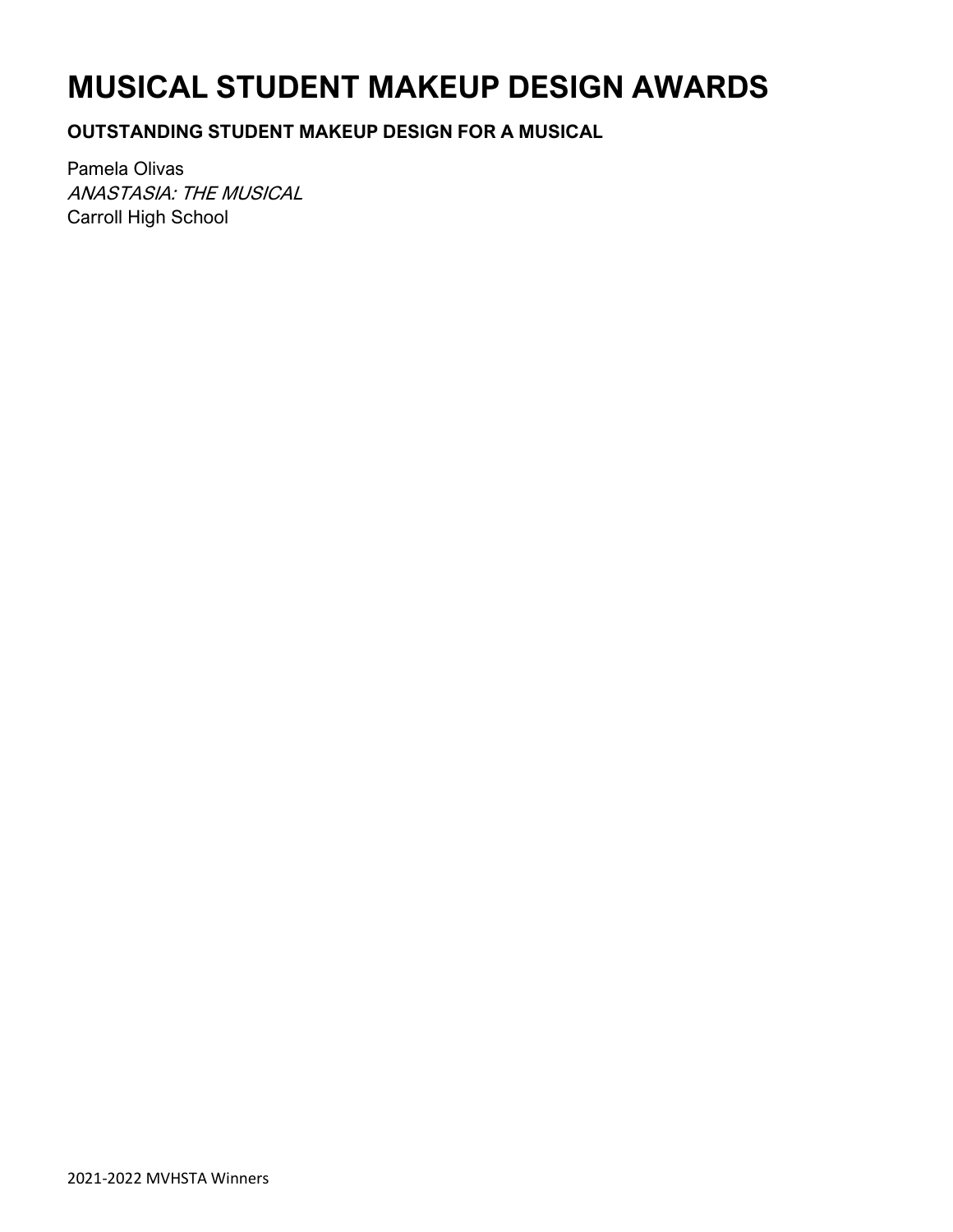# **MUSICAL STUDENT MAKEUP DESIGN AWARDS**

**OUTSTANDING STUDENT MAKEUP DESIGN FOR A MUSICAL**

Pamela Olivas ANASTASIA: THE MUSICAL Carroll High School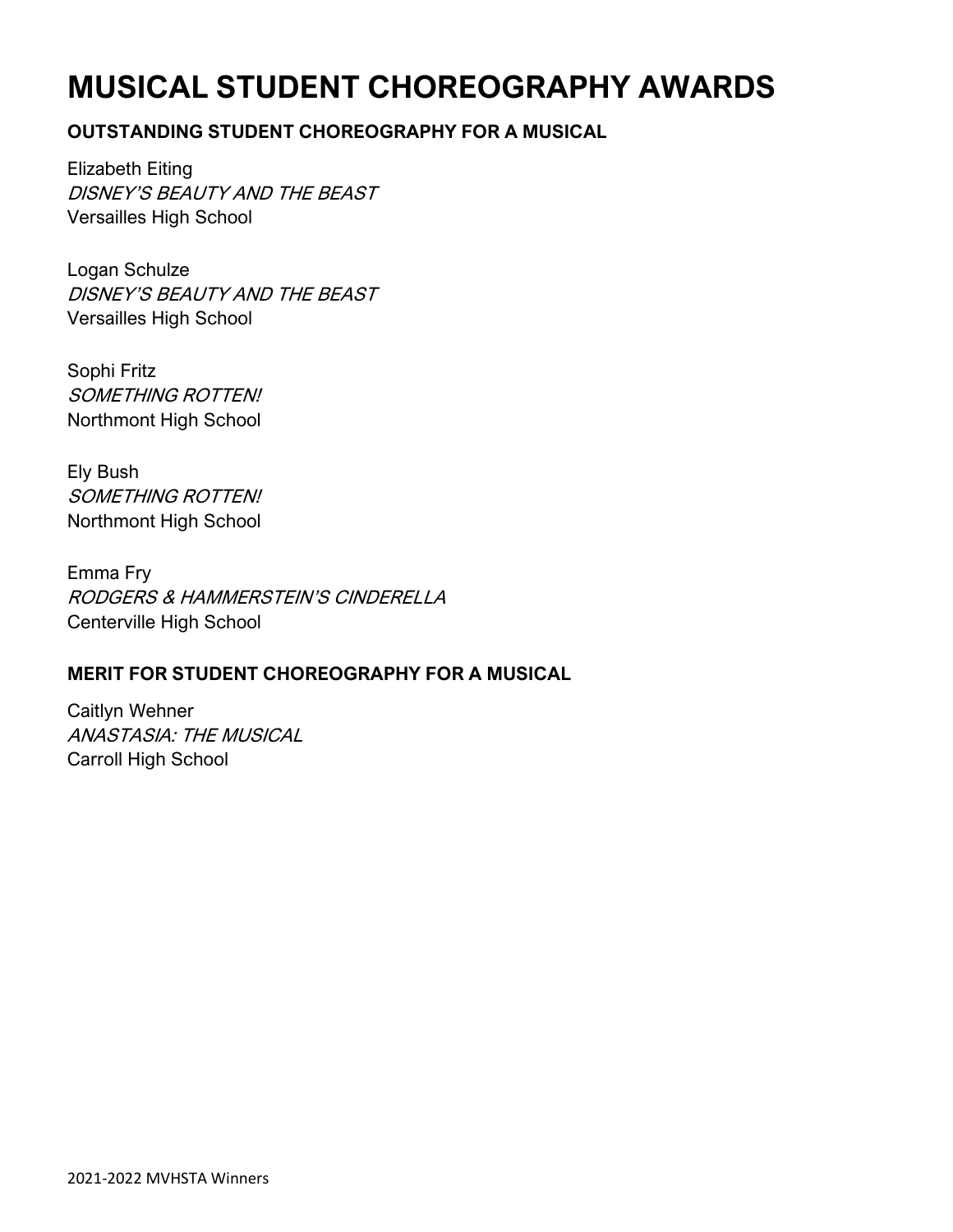# **MUSICAL STUDENT CHOREOGRAPHY AWARDS**

### **OUTSTANDING STUDENT CHOREOGRAPHY FOR A MUSICAL**

Elizabeth Eiting DISNEY'S BEAUTY AND THE BEAST Versailles High School

Logan Schulze DISNEY'S BEAUTY AND THE BEAST Versailles High School

Sophi Fritz SOMETHING ROTTEN! Northmont High School

Ely Bush SOMETHING ROTTEN! Northmont High School

Emma Fry RODGERS & HAMMERSTEIN'S CINDERELLA Centerville High School

### **MERIT FOR STUDENT CHOREOGRAPHY FOR A MUSICAL**

Caitlyn Wehner ANASTASIA: THE MUSICAL Carroll High School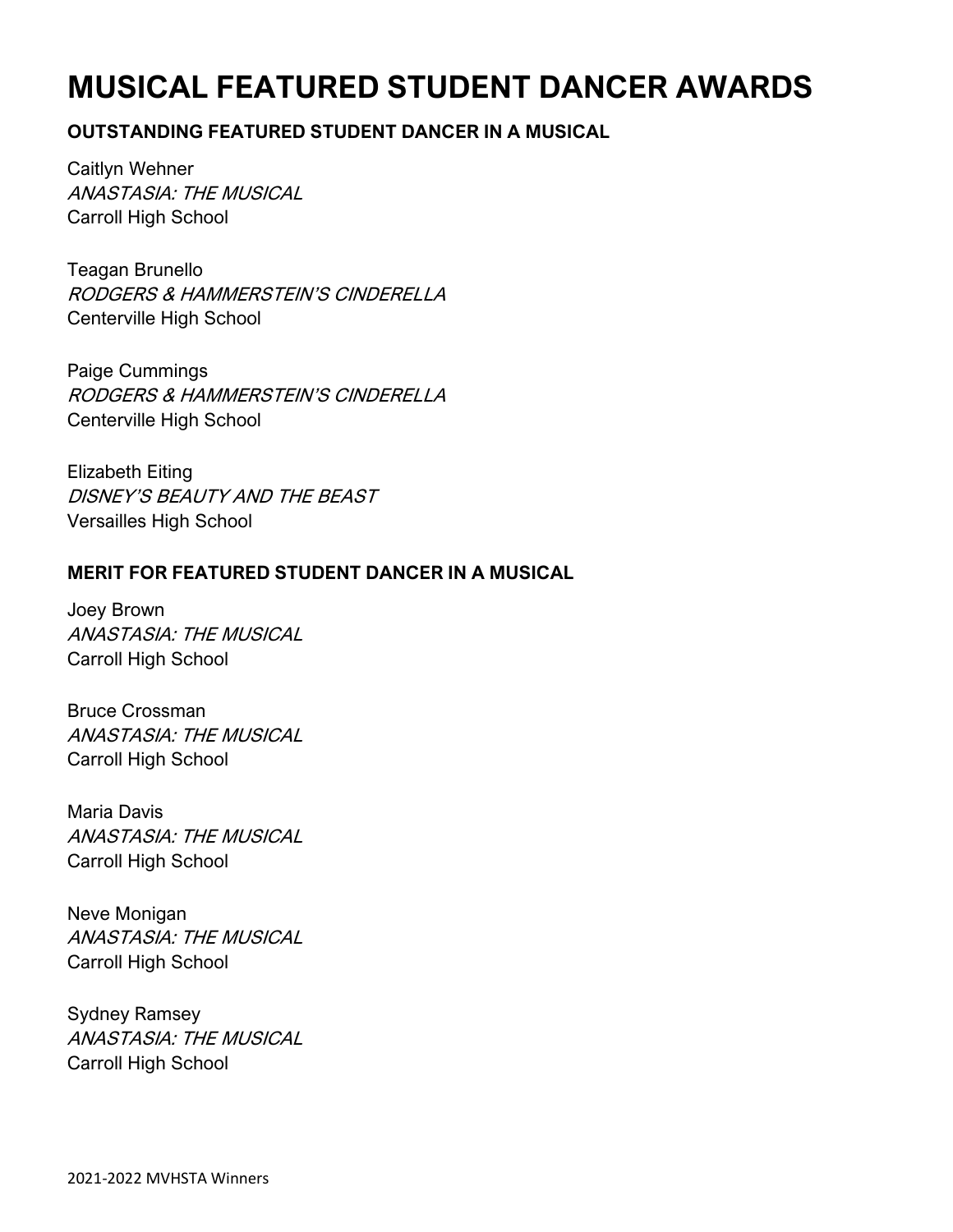# **MUSICAL FEATURED STUDENT DANCER AWARDS**

### **OUTSTANDING FEATURED STUDENT DANCER IN A MUSICAL**

Caitlyn Wehner ANASTASIA: THE MUSICAL Carroll High School

Teagan Brunello RODGERS & HAMMERSTEIN'S CINDERELLA Centerville High School

Paige Cummings RODGERS & HAMMERSTEIN'S CINDERELLA Centerville High School

Elizabeth Eiting DISNEY'S BEAUTY AND THE BEAST Versailles High School

### **MERIT FOR FEATURED STUDENT DANCER IN A MUSICAL**

Joey Brown ANASTASIA: THE MUSICAL Carroll High School

Bruce Crossman ANASTASIA: THE MUSICAL Carroll High School

Maria Davis ANASTASIA: THE MUSICAL Carroll High School

Neve Monigan ANASTASIA: THE MUSICAL Carroll High School

Sydney Ramsey ANASTASIA: THE MUSICAL Carroll High School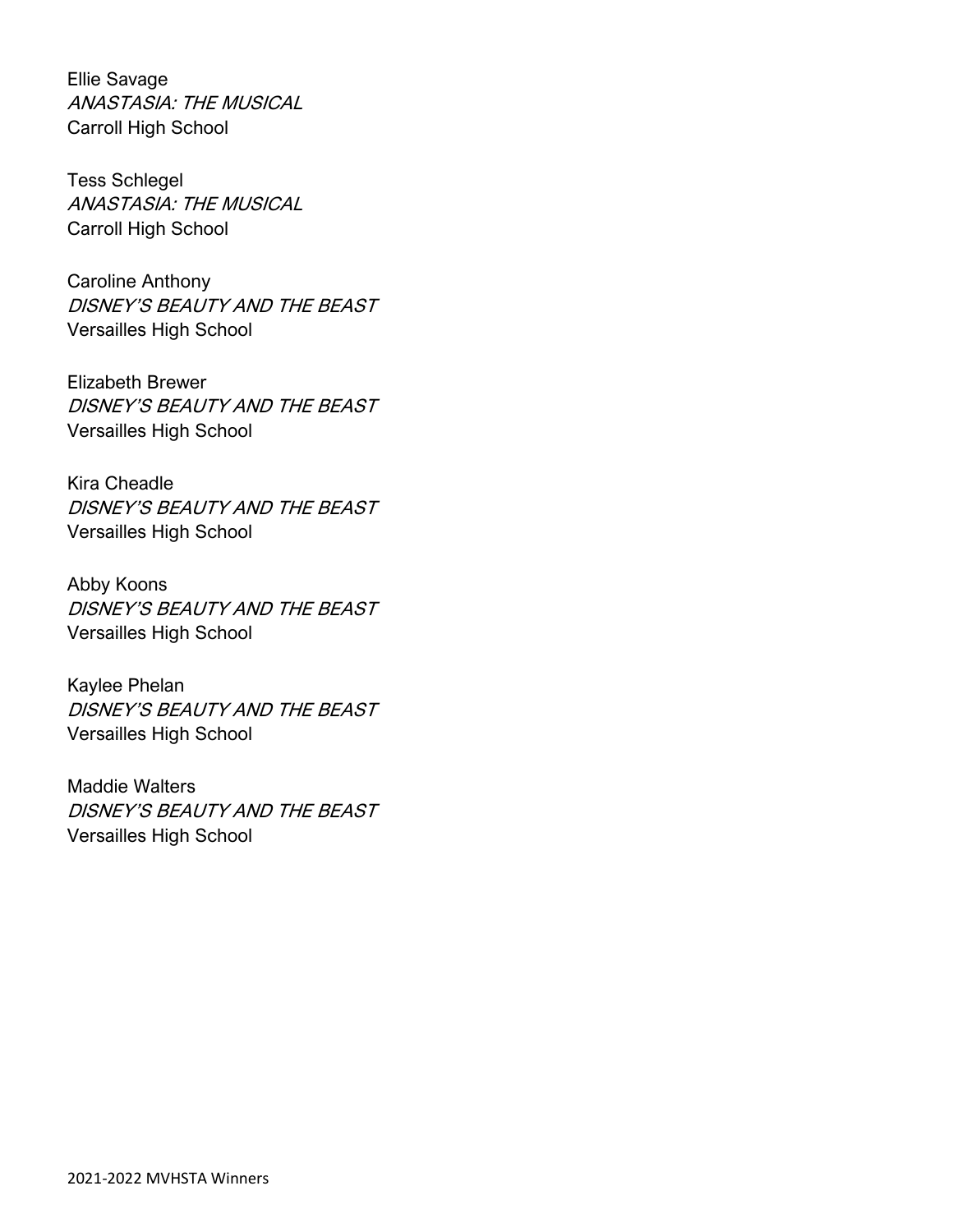Ellie Savage ANASTASIA: THE MUSICAL Carroll High School

Tess Schlegel ANASTASIA: THE MUSICAL Carroll High School

Caroline Anthony DISNEY'S BEAUTY AND THE BEAST Versailles High School

Elizabeth Brewer DISNEY'S BEAUTY AND THE BEAST Versailles High School

Kira Cheadle DISNEY'S BEAUTY AND THE BEAST Versailles High School

Abby Koons DISNEY'S BEAUTY AND THE BEAST Versailles High School

Kaylee Phelan DISNEY'S BEAUTY AND THE BEAST Versailles High School

Maddie Walters DISNEY'S BEAUTY AND THE BEAST Versailles High School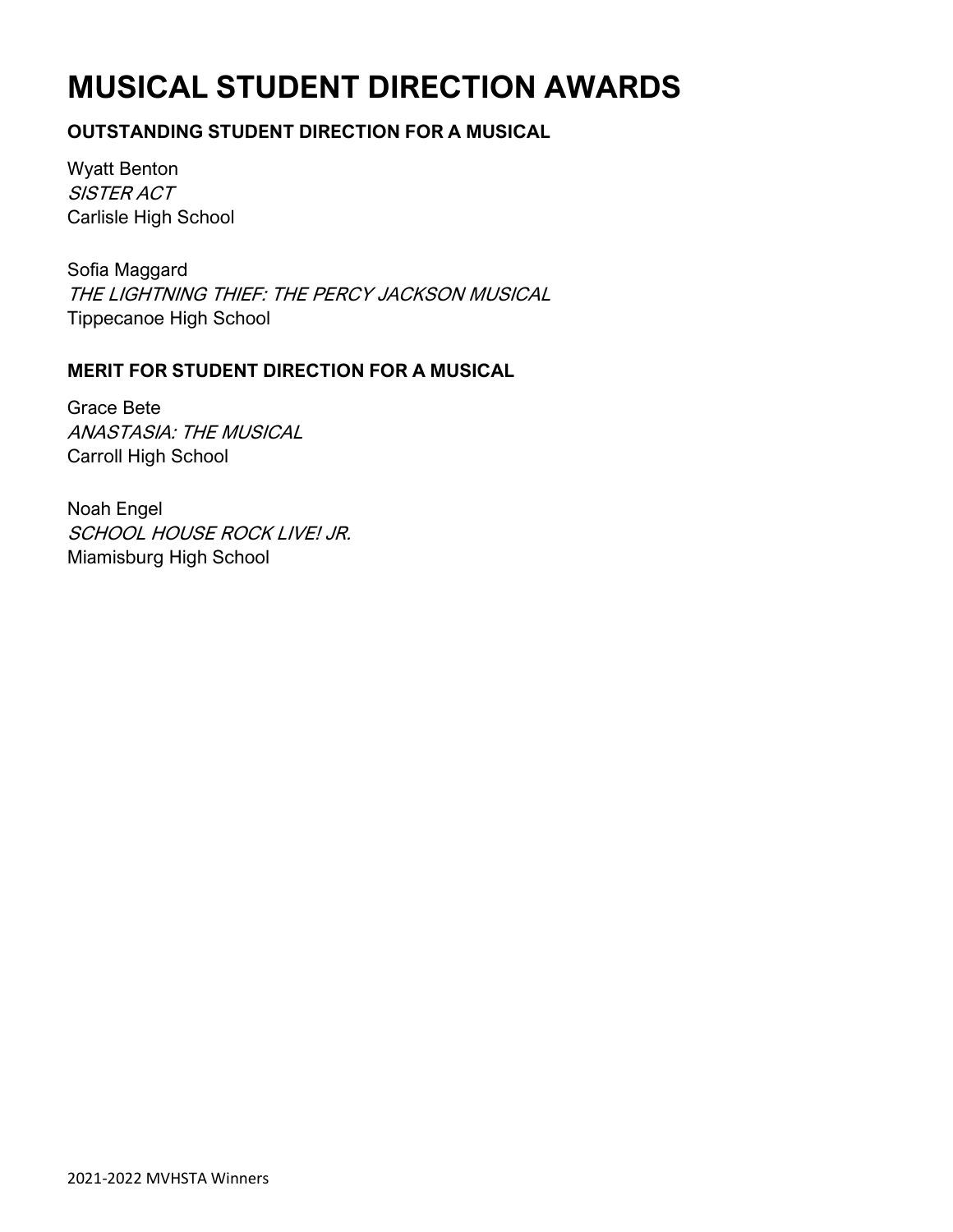# **MUSICAL STUDENT DIRECTION AWARDS**

### **OUTSTANDING STUDENT DIRECTION FOR A MUSICAL**

Wyatt Benton SISTER ACT Carlisle High School

Sofia Maggard THE LIGHTNING THIEF: THE PERCY JACKSON MUSICAL Tippecanoe High School

### **MERIT FOR STUDENT DIRECTION FOR A MUSICAL**

Grace Bete ANASTASIA: THE MUSICAL Carroll High School

Noah Engel SCHOOL HOUSE ROCK LIVE! JR. Miamisburg High School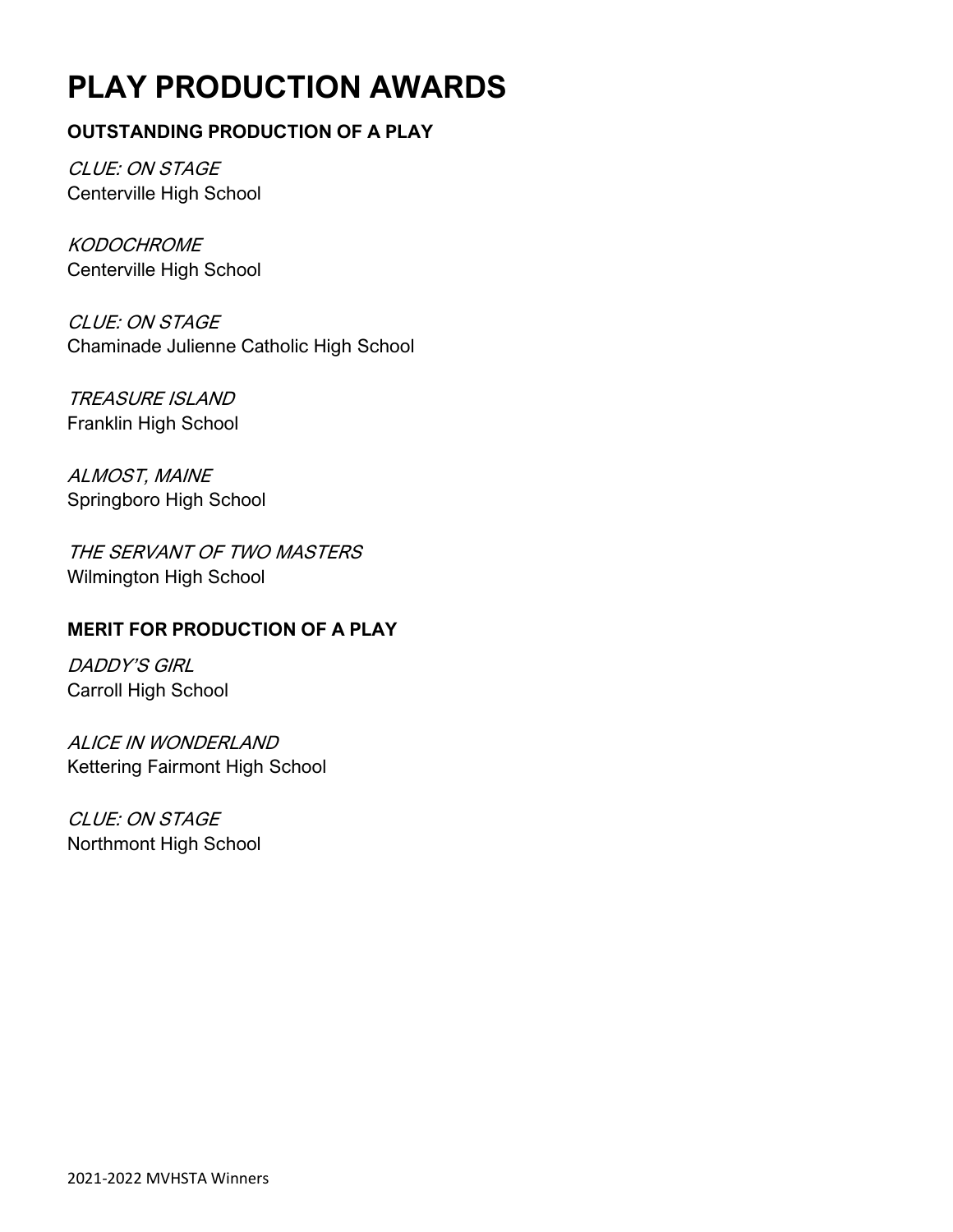# **PLAY PRODUCTION AWARDS**

### **OUTSTANDING PRODUCTION OF A PLAY**

CLUE: ON STAGE Centerville High School

**KODOCHROME** Centerville High School

CLUE: ON STAGE Chaminade Julienne Catholic High School

TREASURE ISLAND Franklin High School

ALMOST, MAINE Springboro High School

THE SERVANT OF TWO MASTERS Wilmington High School

### **MERIT FOR PRODUCTION OF A PLAY**

DADDY'S GIRL Carroll High School

ALICE IN WONDERLAND Kettering Fairmont High School

CLUE: ON STAGE Northmont High School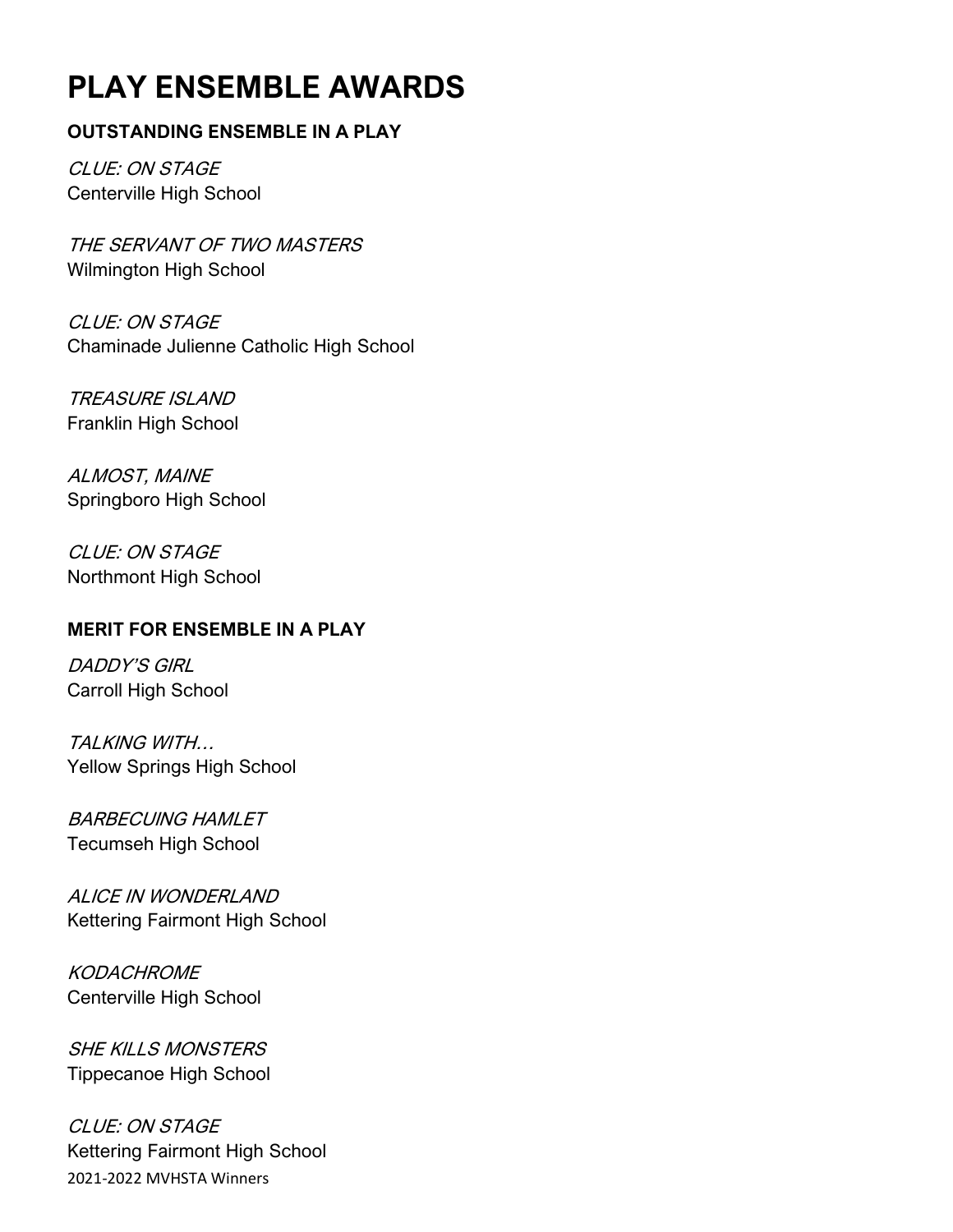# **PLAY ENSEMBLE AWARDS**

### **OUTSTANDING ENSEMBLE IN A PLAY**

CLUE: ON STAGE Centerville High School

THE SERVANT OF TWO MASTERS Wilmington High School

CLUE: ON STAGE Chaminade Julienne Catholic High School

TREASURE ISLAND Franklin High School

ALMOST, MAINE Springboro High School

CLUE: ON STAGE Northmont High School

### **MERIT FOR ENSEMBLE IN A PLAY**

DADDY'S GIRL Carroll High School

TALKING WITH… Yellow Springs High School

BARBECUING HAMLET Tecumseh High School

ALICE IN WONDERLAND Kettering Fairmont High School

KODACHROME Centerville High School

SHE KILLS MONSTERS Tippecanoe High School

2021-2022 MVHSTA Winners CLUE: ON STAGE Kettering Fairmont High School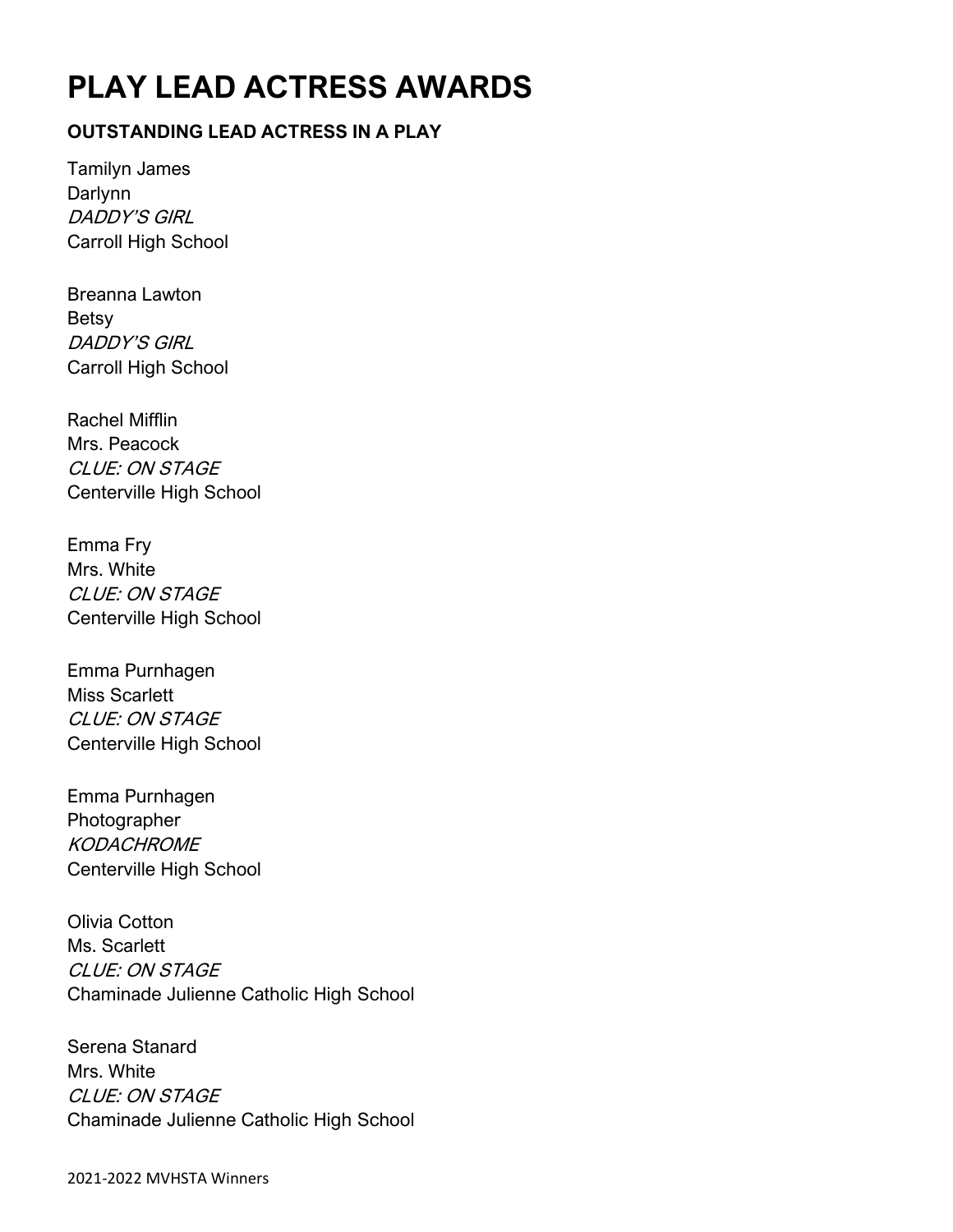# **PLAY LEAD ACTRESS AWARDS**

### **OUTSTANDING LEAD ACTRESS IN A PLAY**

Tamilyn James Darlynn DADDY'S GIRL Carroll High School

Breanna Lawton Betsy DADDY'S GIRL Carroll High School

Rachel Mifflin Mrs. Peacock CLUE: ON STAGE Centerville High School

Emma Fry Mrs. White CLUE: ON STAGE Centerville High School

Emma Purnhagen Miss Scarlett CLUE: ON STAGE Centerville High School

Emma Purnhagen Photographer **KODACHROME** Centerville High School

Olivia Cotton Ms. Scarlett CLUE: ON STAGE Chaminade Julienne Catholic High School

Serena Stanard Mrs. White CLUE: ON STAGE Chaminade Julienne Catholic High School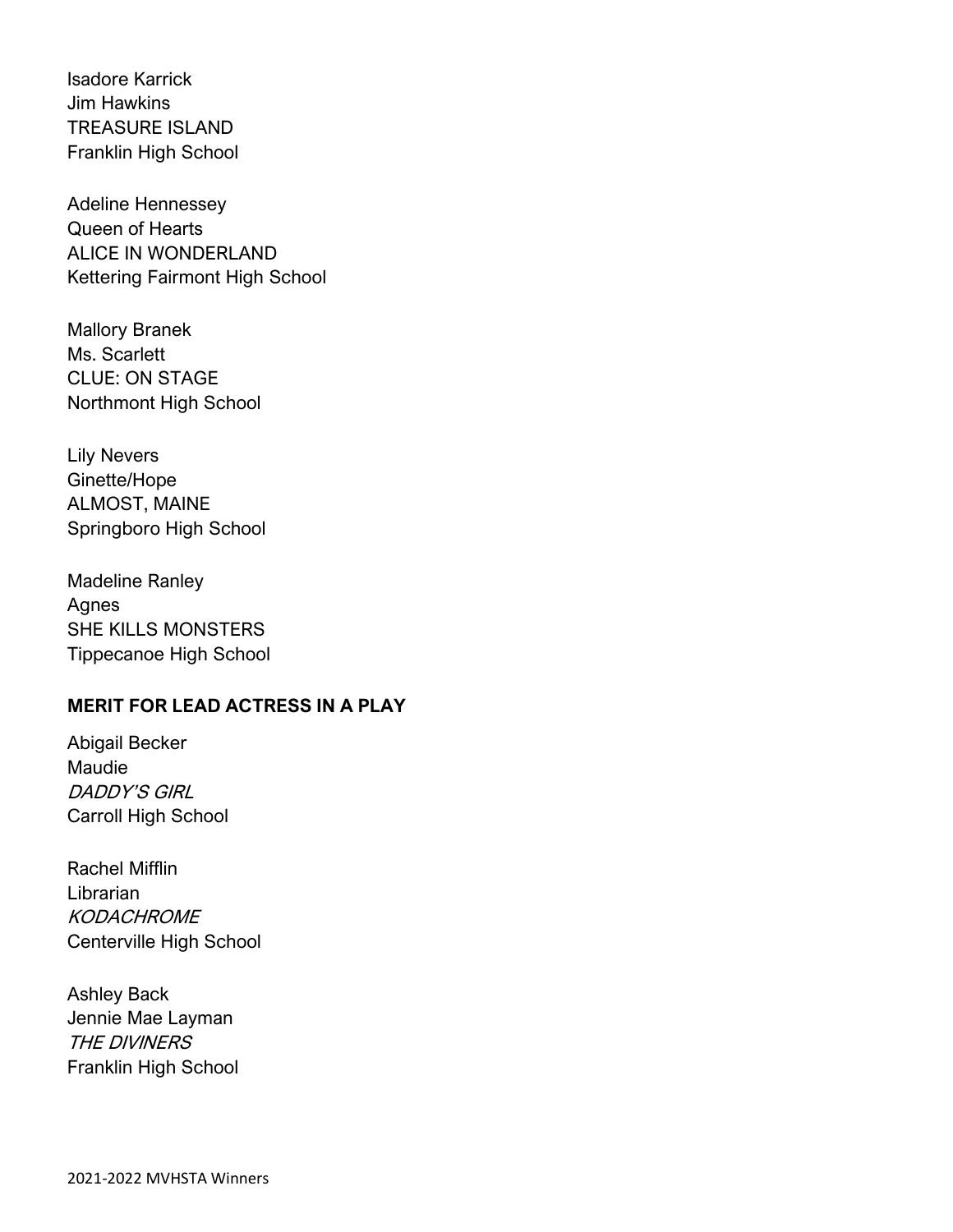Isadore Karrick Jim Hawkins TREASURE ISLAND Franklin High School

Adeline Hennessey Queen of Hearts ALICE IN WONDERLAND Kettering Fairmont High School

Mallory Branek Ms. Scarlett CLUE: ON STAGE Northmont High School

Lily Nevers Ginette/Hope ALMOST, MAINE Springboro High School

Madeline Ranley Agnes SHE KILLS MONSTERS Tippecanoe High School

### **MERIT FOR LEAD ACTRESS IN A PLAY**

Abigail Becker Maudie DADDY'S GIRL Carroll High School

Rachel Mifflin Librarian **KODACHROME** Centerville High School

Ashley Back Jennie Mae Layman THE DIVINERS Franklin High School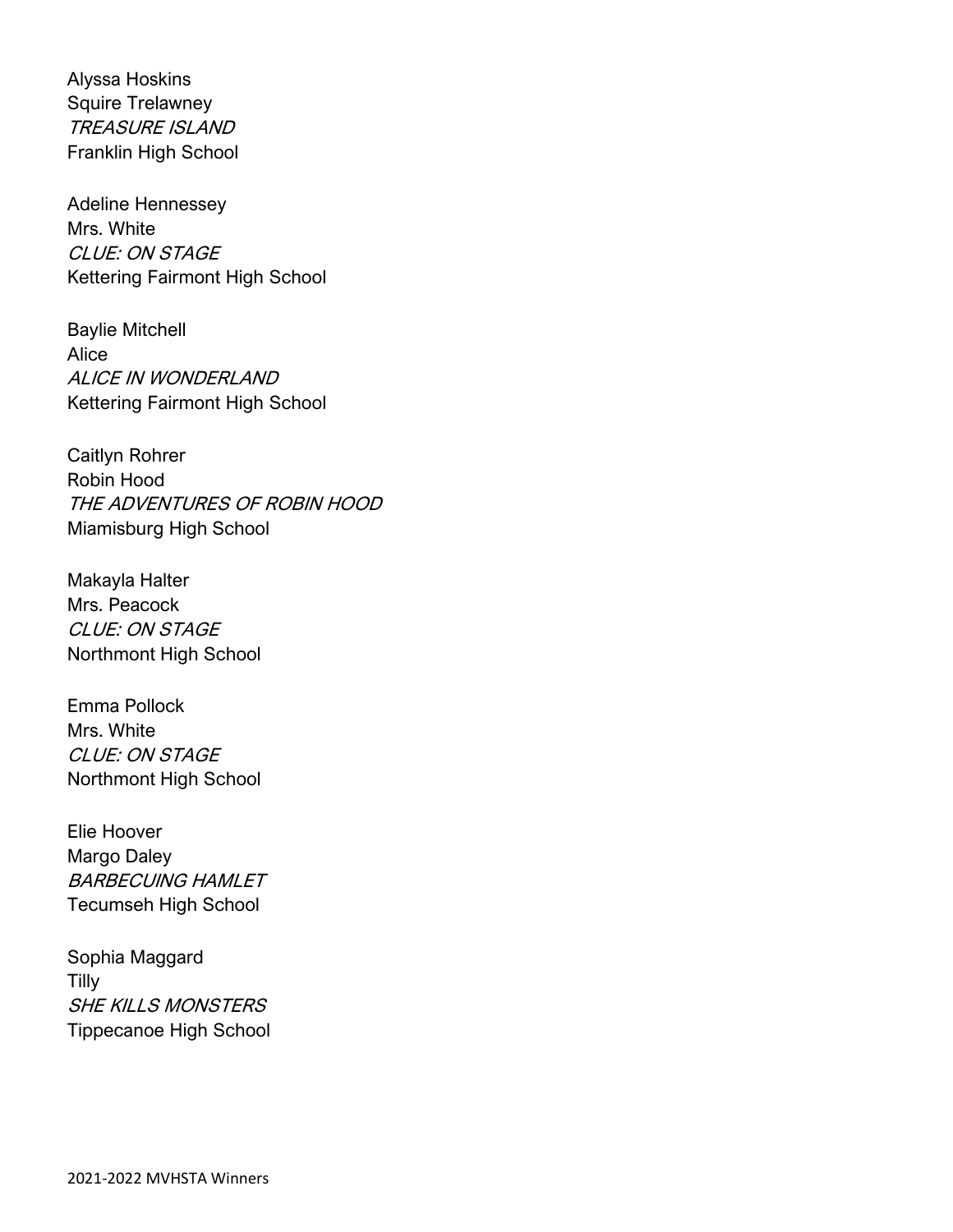Alyssa Hoskins Squire Trelawney TREASURE ISLAND Franklin High School

Adeline Hennessey Mrs. White CLUE: ON STAGE Kettering Fairmont High School

Baylie Mitchell Alice ALICE IN WONDERLAND Kettering Fairmont High School

Caitlyn Rohrer Robin Hood THE ADVENTURES OF ROBIN HOOD Miamisburg High School

Makayla Halter Mrs. Peacock CLUE: ON STAGE Northmont High School

Emma Pollock Mrs. White CLUE: ON STAGE Northmont High School

Elie Hoover Margo Daley BARBECUING HAMLET Tecumseh High School

Sophia Maggard Tilly SHE KILLS MONSTERS Tippecanoe High School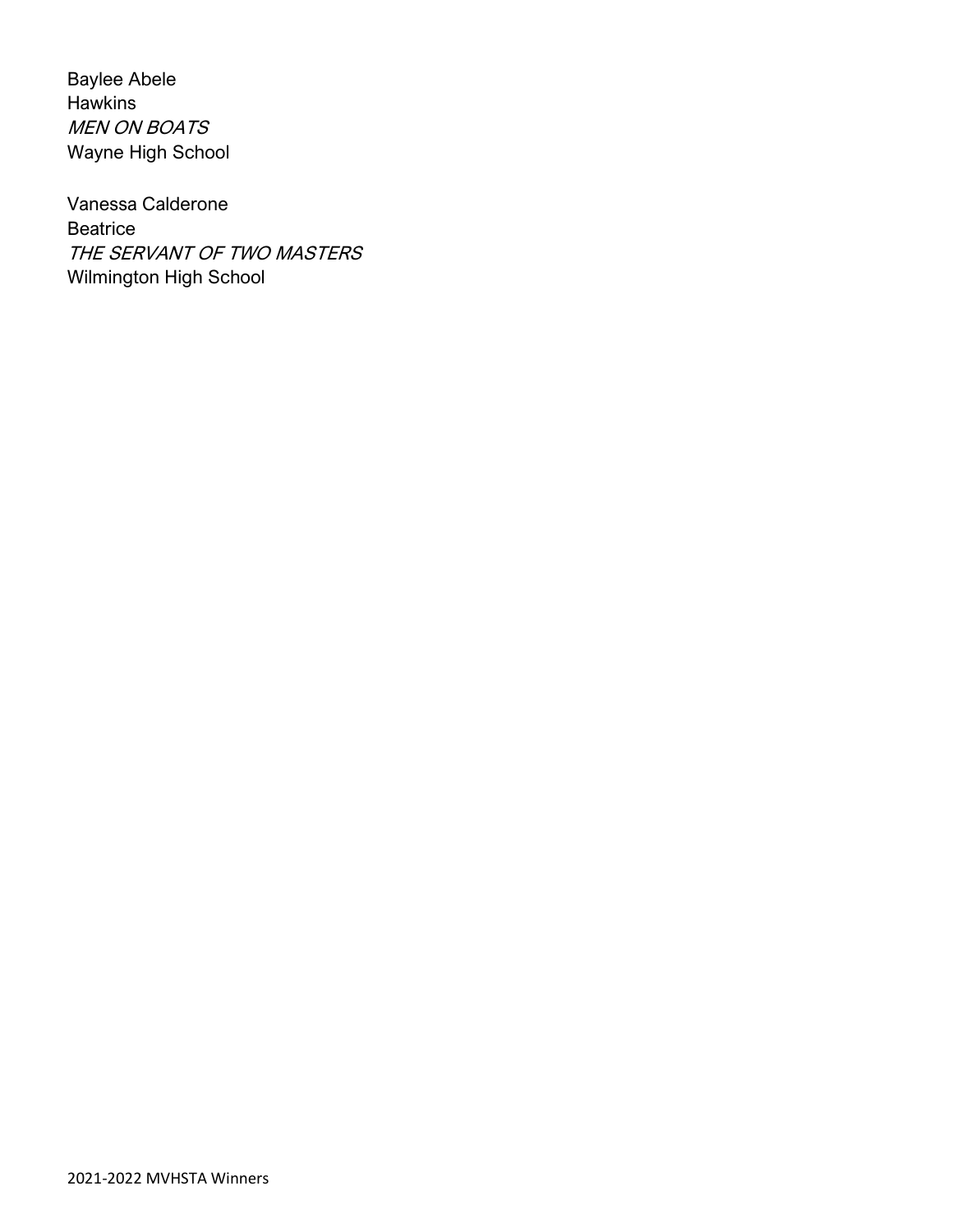Baylee Abele Hawkins MEN ON BOATS Wayne High School

Vanessa Calderone **Beatrice** THE SERVANT OF TWO MASTERS Wilmington High School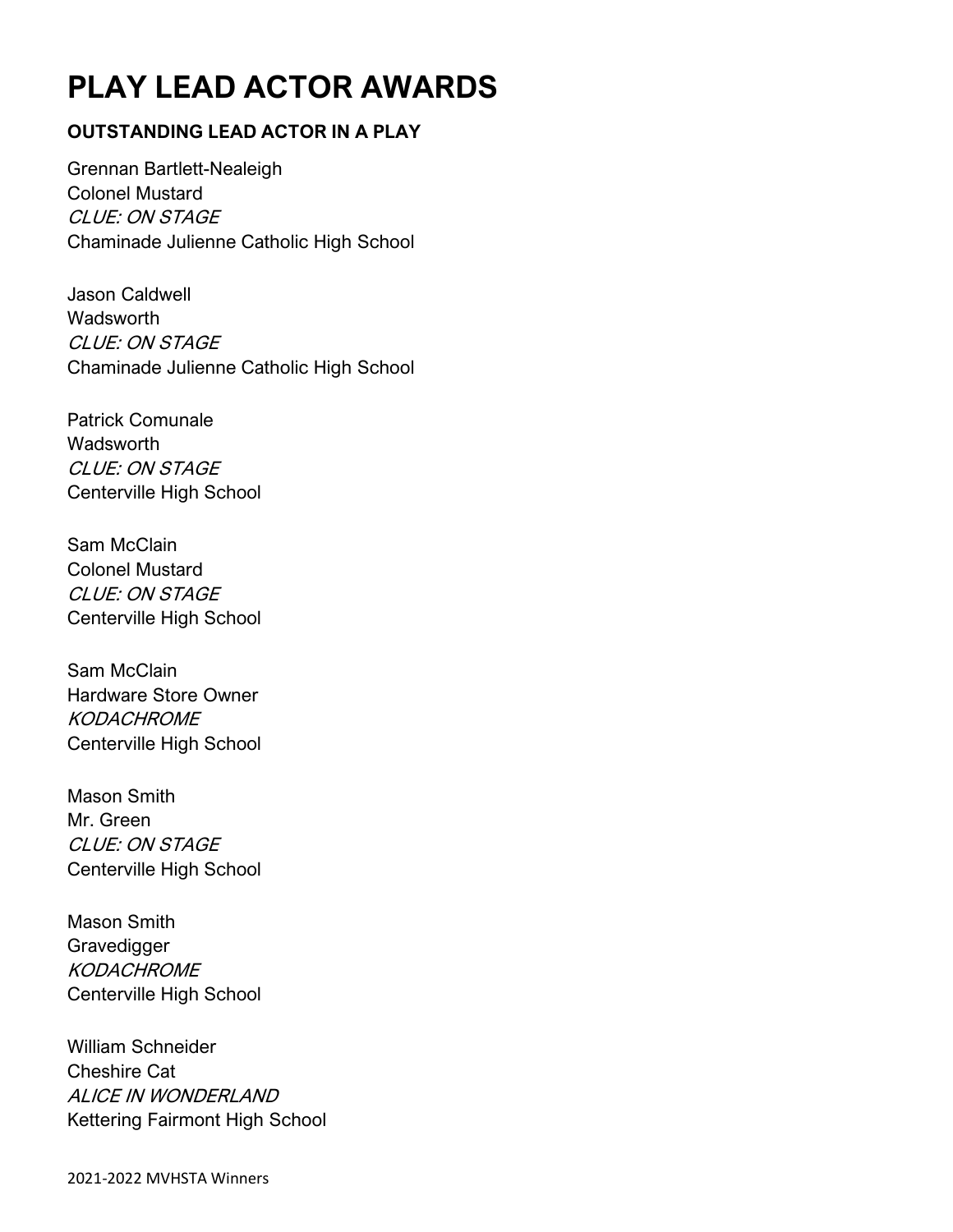# **PLAY LEAD ACTOR AWARDS**

### **OUTSTANDING LEAD ACTOR IN A PLAY**

Grennan Bartlett-Nealeigh Colonel Mustard CLUE: ON STAGE Chaminade Julienne Catholic High School

Jason Caldwell Wadsworth CLUE: ON STAGE Chaminade Julienne Catholic High School

Patrick Comunale **Wadsworth** CLUE: ON STAGE Centerville High School

Sam McClain Colonel Mustard CLUE: ON STAGE Centerville High School

Sam McClain Hardware Store Owner **KODACHROME** Centerville High School

Mason Smith Mr. Green CLUE: ON STAGE Centerville High School

Mason Smith Gravedigger **KODACHROME** Centerville High School

William Schneider Cheshire Cat ALICE IN WONDERLAND Kettering Fairmont High School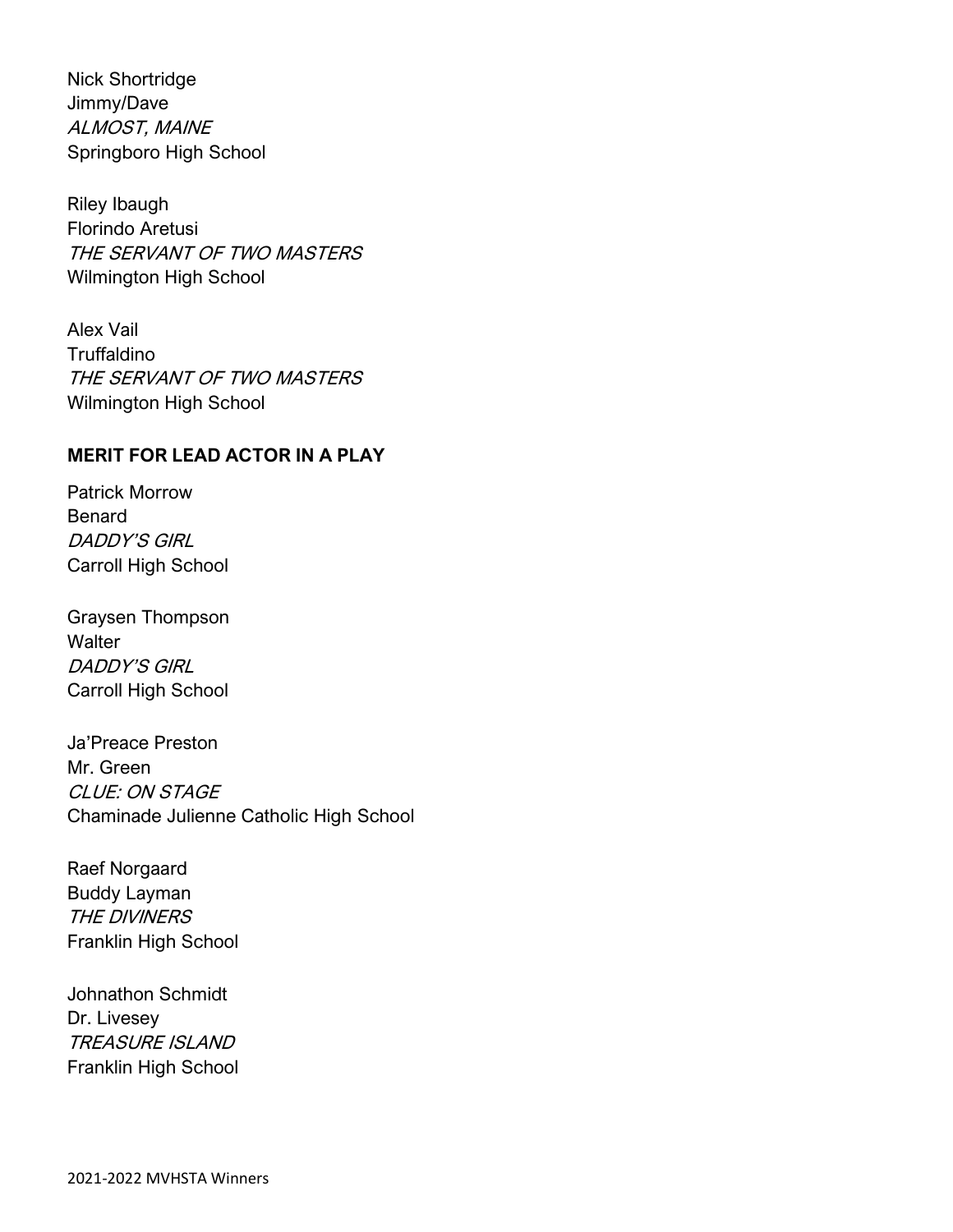Nick Shortridge Jimmy/Dave ALMOST, MAINE Springboro High School

Riley Ibaugh Florindo Aretusi THE SERVANT OF TWO MASTERS Wilmington High School

Alex Vail **Truffaldino** THE SERVANT OF TWO MASTERS Wilmington High School

### **MERIT FOR LEAD ACTOR IN A PLAY**

Patrick Morrow Benard DADDY'S GIRL Carroll High School

Graysen Thompson **Walter** DADDY'S GIRL Carroll High School

Ja'Preace Preston Mr. Green CLUE: ON STAGE Chaminade Julienne Catholic High School

Raef Norgaard Buddy Layman THE DIVINERS Franklin High School

Johnathon Schmidt Dr. Livesey TREASURE ISLAND Franklin High School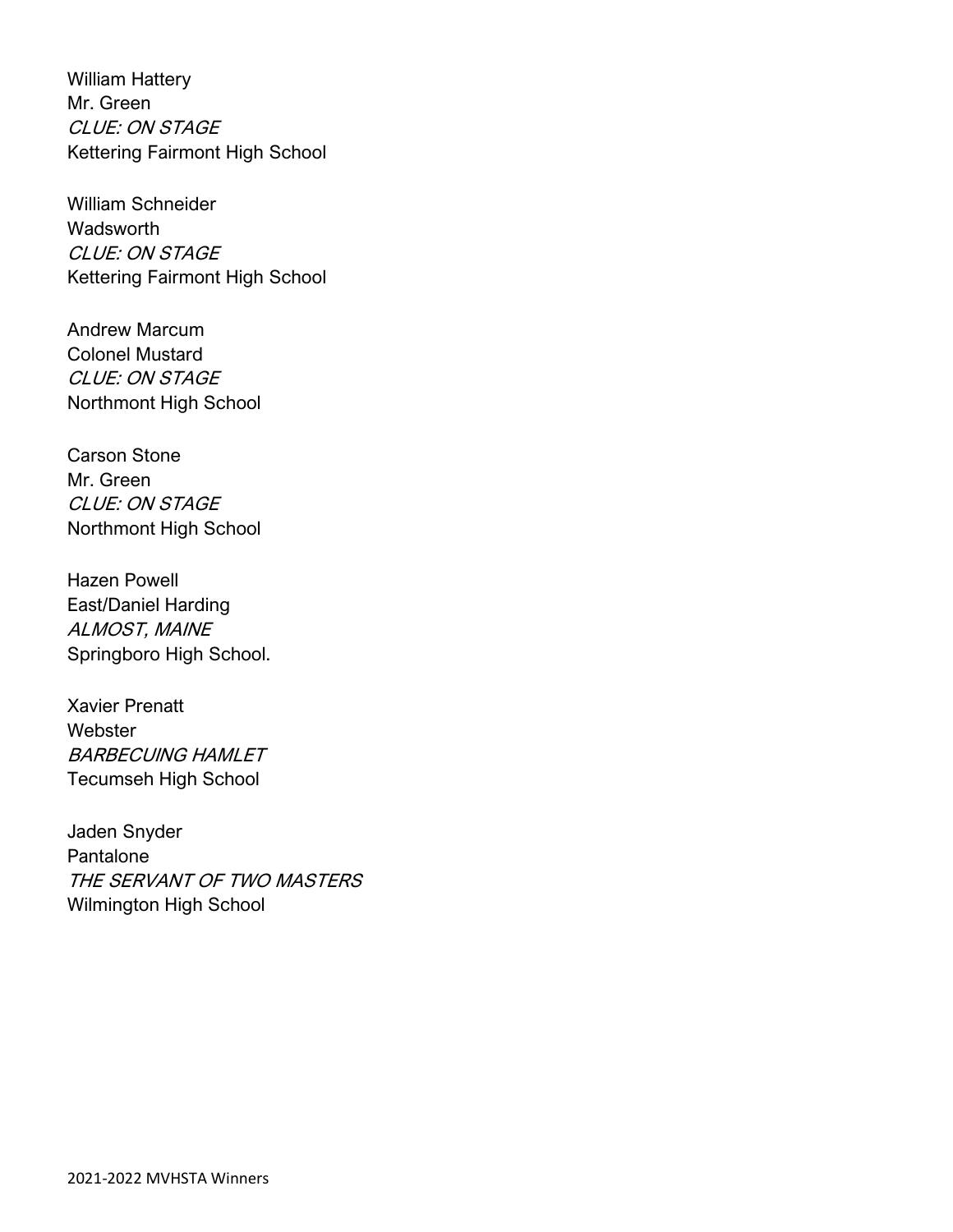William Hattery Mr. Green CLUE: ON STAGE Kettering Fairmont High School

William Schneider **Wadsworth** CLUE: ON STAGE Kettering Fairmont High School

Andrew Marcum Colonel Mustard CLUE: ON STAGE Northmont High School

Carson Stone Mr. Green CLUE: ON STAGE Northmont High School

Hazen Powell East/Daniel Harding ALMOST, MAINE Springboro High School.

Xavier Prenatt **Webster** BARBECUING HAMLET Tecumseh High School

Jaden Snyder Pantalone THE SERVANT OF TWO MASTERS Wilmington High School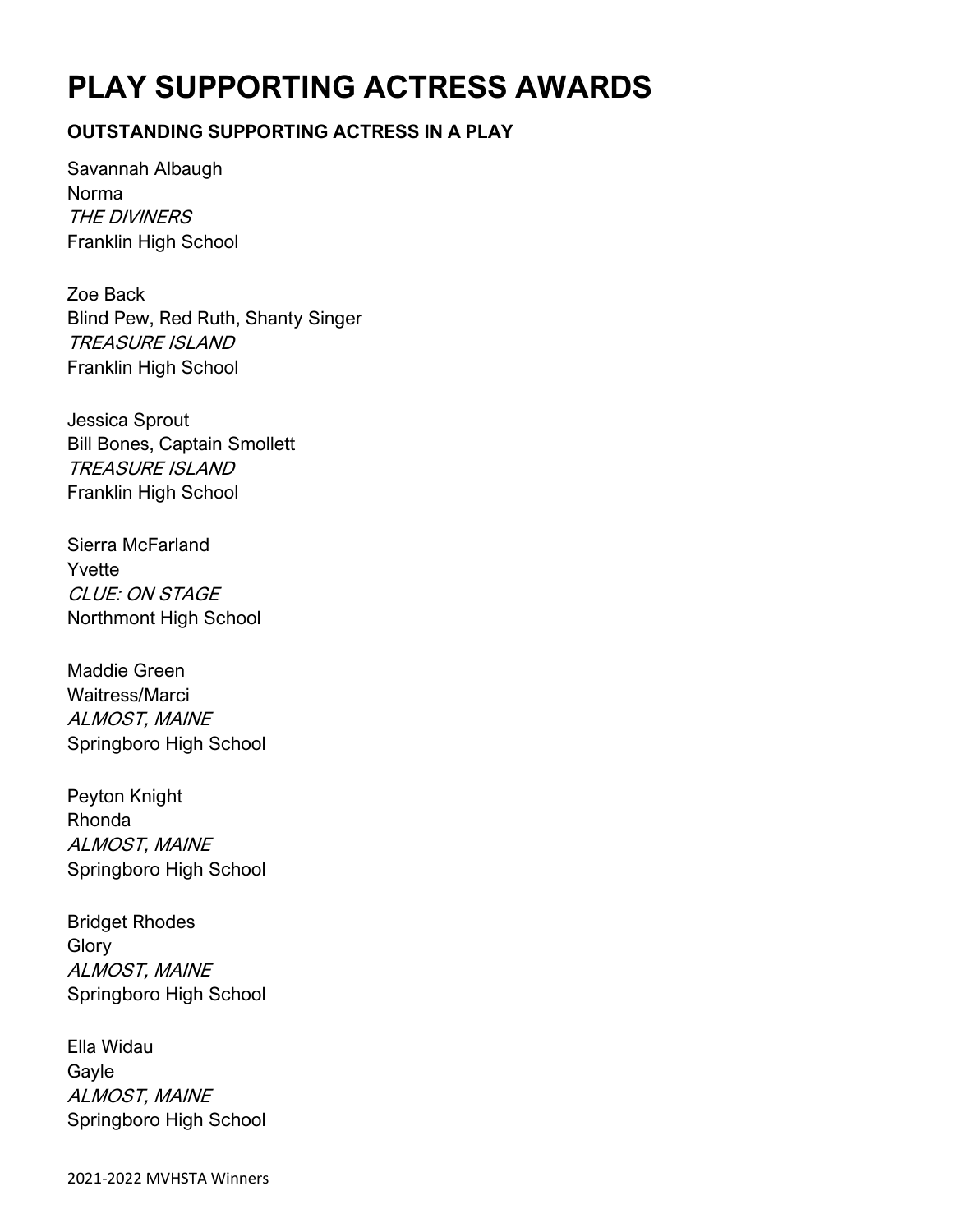# **PLAY SUPPORTING ACTRESS AWARDS**

### **OUTSTANDING SUPPORTING ACTRESS IN A PLAY**

Savannah Albaugh Norma THE DIVINERS Franklin High School

Zoe Back Blind Pew, Red Ruth, Shanty Singer TREASURE ISLAND Franklin High School

Jessica Sprout Bill Bones, Captain Smollett TREASURE ISLAND Franklin High School

Sierra McFarland Yvette CLUE: ON STAGE Northmont High School

Maddie Green Waitress/Marci ALMOST, MAINE Springboro High School

Peyton Knight Rhonda ALMOST, MAINE Springboro High School

Bridget Rhodes **Glory** ALMOST, MAINE Springboro High School

Ella Widau Gayle ALMOST, MAINE Springboro High School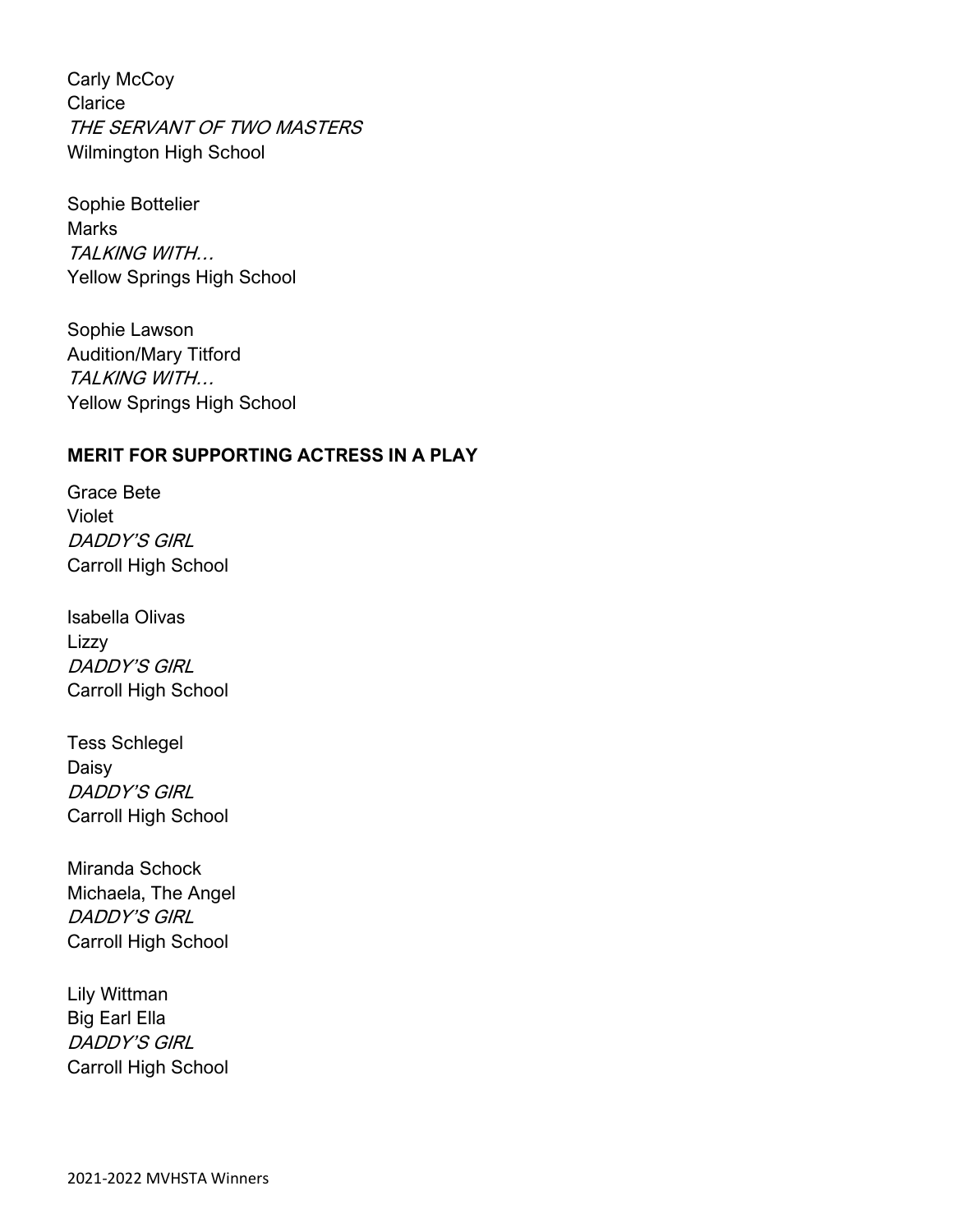Carly McCoy **Clarice** THE SERVANT OF TWO MASTERS Wilmington High School

Sophie Bottelier Marks TALKING WITH… Yellow Springs High School

Sophie Lawson Audition/Mary Titford TALKING WITH… Yellow Springs High School

### **MERIT FOR SUPPORTING ACTRESS IN A PLAY**

Grace Bete Violet DADDY'S GIRL Carroll High School

Isabella Olivas Lizzy DADDY'S GIRL Carroll High School

Tess Schlegel Daisy DADDY'S GIRL Carroll High School

Miranda Schock Michaela, The Angel DADDY'S GIRL Carroll High School

Lily Wittman Big Earl Ella DADDY'S GIRL Carroll High School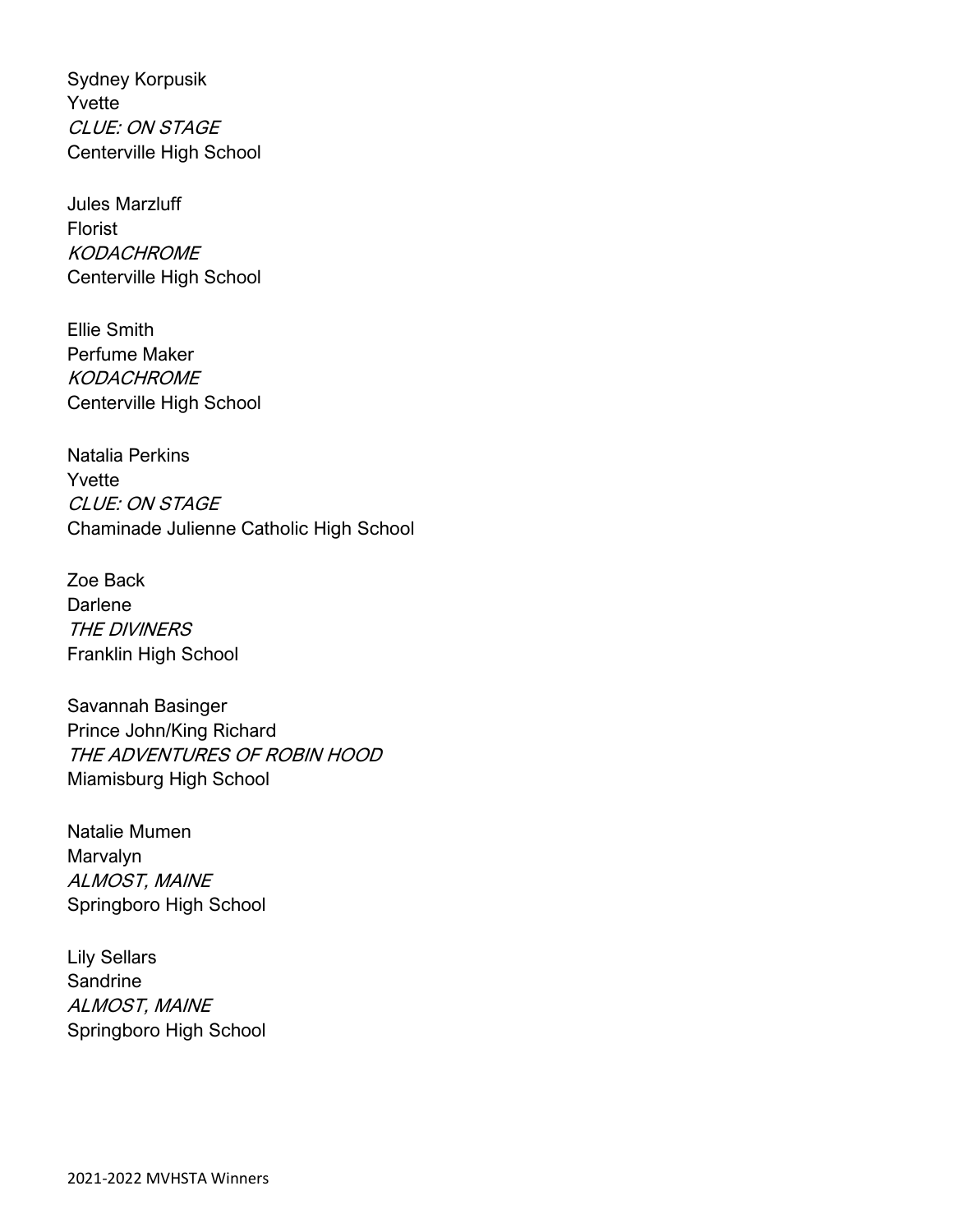Sydney Korpusik Yvette CLUE: ON STAGE Centerville High School

Jules Marzluff Florist **KODACHROME** Centerville High School

Ellie Smith Perfume Maker **KODACHROME** Centerville High School

Natalia Perkins Yvette CLUE: ON STAGE Chaminade Julienne Catholic High School

Zoe Back **Darlene** THE DIVINERS Franklin High School

Savannah Basinger Prince John/King Richard THE ADVENTURES OF ROBIN HOOD Miamisburg High School

Natalie Mumen Marvalyn ALMOST, MAINE Springboro High School

Lily Sellars Sandrine ALMOST, MAINE Springboro High School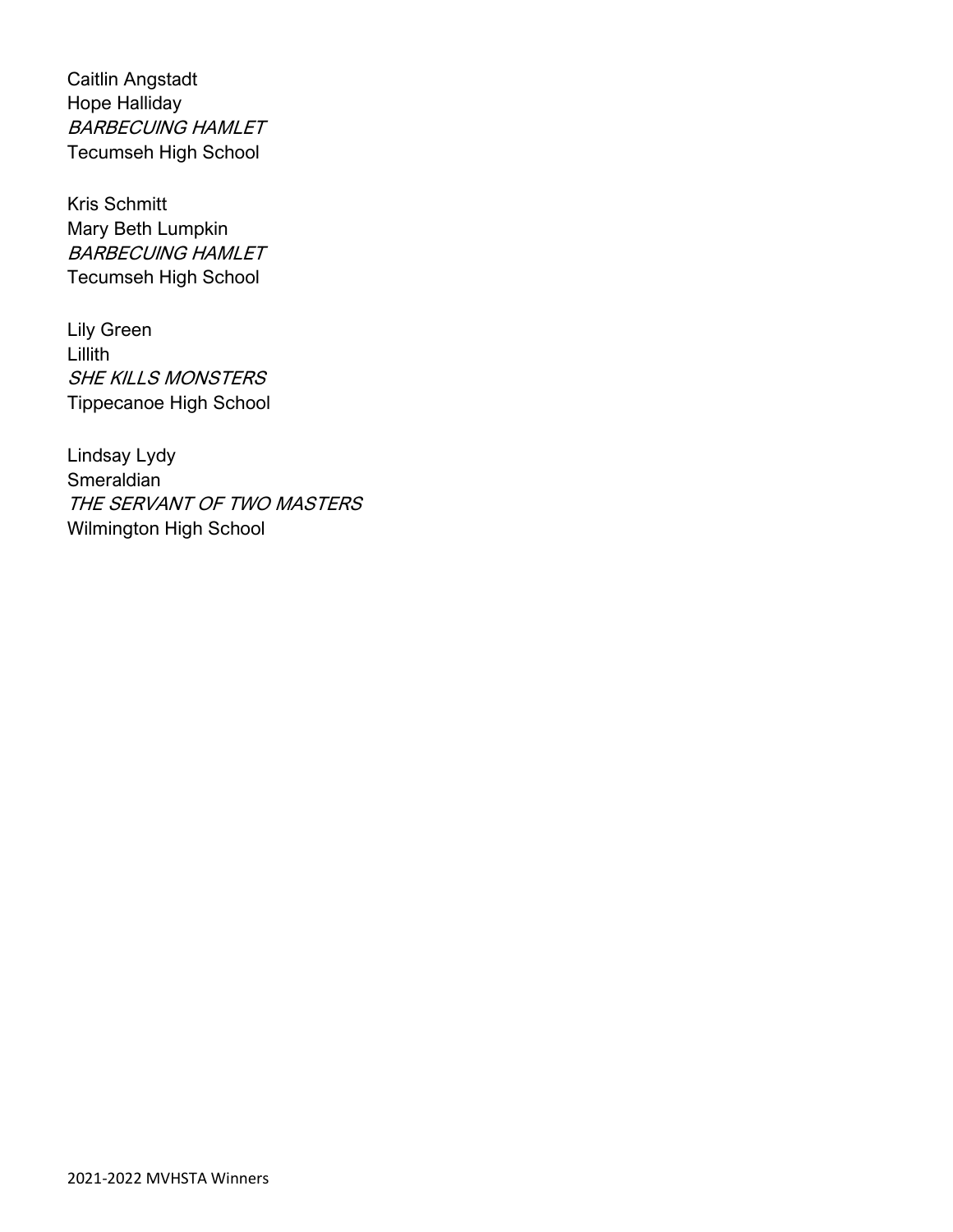Caitlin Angstadt Hope Halliday BARBECUING HAMLET Tecumseh High School

Kris Schmitt Mary Beth Lumpkin BARBECUING HAMLET Tecumseh High School

Lily Green Lillith SHE KILLS MONSTERS Tippecanoe High School

Lindsay Lydy **Smeraldian** THE SERVANT OF TWO MASTERS Wilmington High School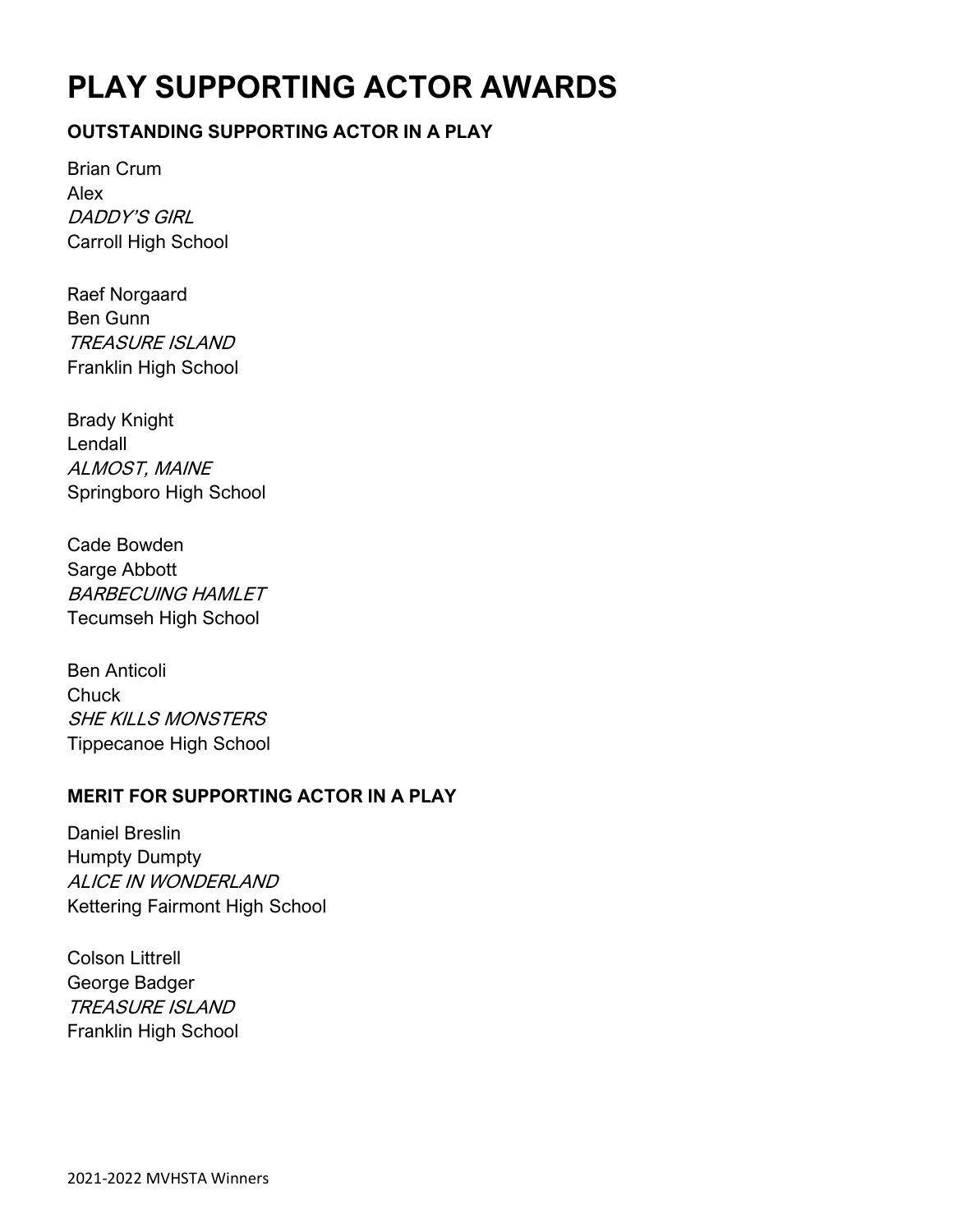# **PLAY SUPPORTING ACTOR AWARDS**

### **OUTSTANDING SUPPORTING ACTOR IN A PLAY**

Brian Crum Alex DADDY'S GIRL Carroll High School

Raef Norgaard Ben Gunn TREASURE ISLAND Franklin High School

Brady Knight Lendall ALMOST, MAINE Springboro High School

Cade Bowden Sarge Abbott BARBECUING HAMLET Tecumseh High School

Ben Anticoli **Chuck** SHE KILLS MONSTERS Tippecanoe High School

### **MERIT FOR SUPPORTING ACTOR IN A PLAY**

Daniel Breslin Humpty Dumpty ALICE IN WONDERLAND Kettering Fairmont High School

Colson Littrell George Badger TREASURE ISLAND Franklin High School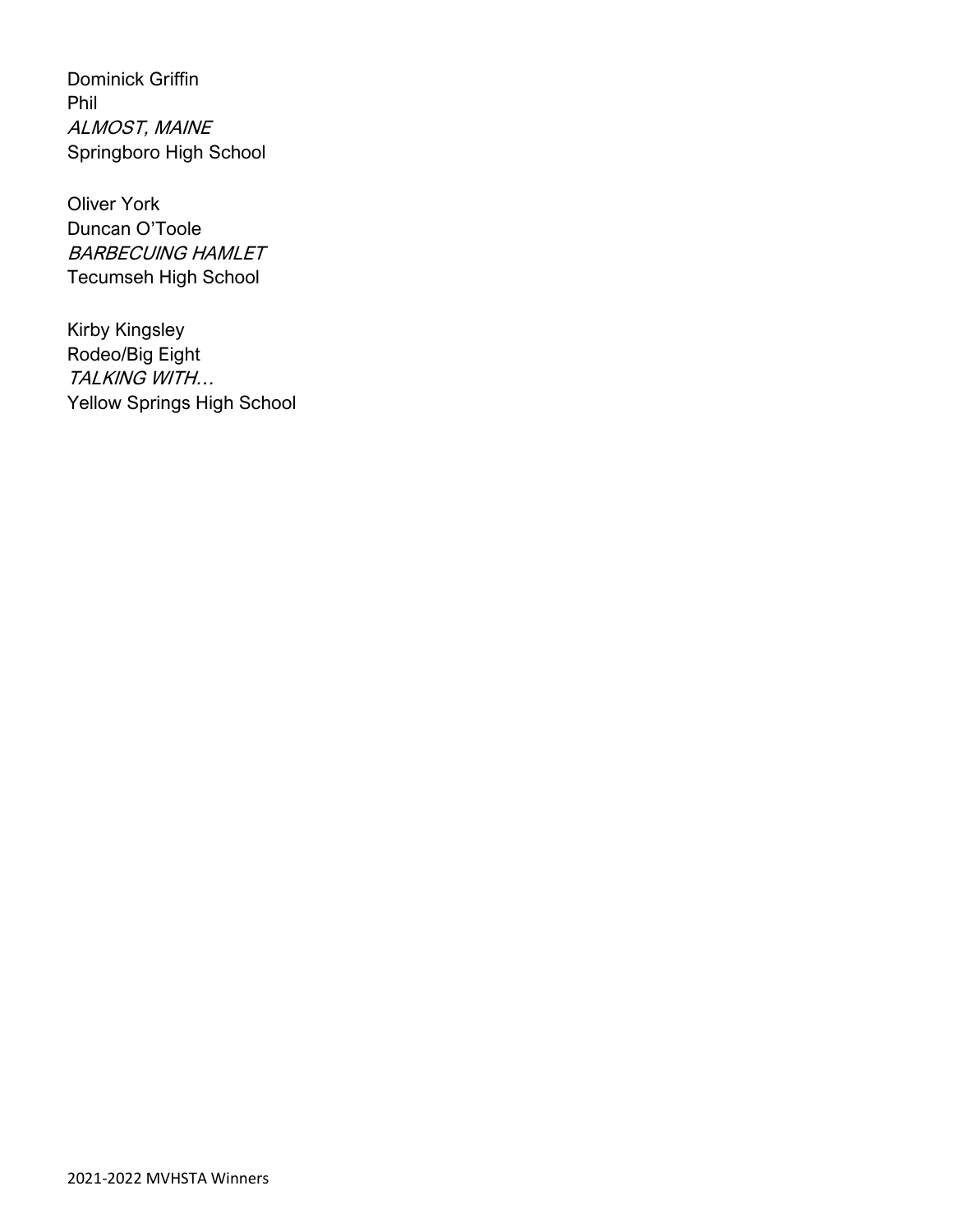Dominick Griffin Phil ALMOST, MAINE Springboro High School

Oliver York Duncan O'Toole BARBECUING HAMLET Tecumseh High School

Kirby Kingsley Rodeo/Big Eight TALKING WITH… Yellow Springs High School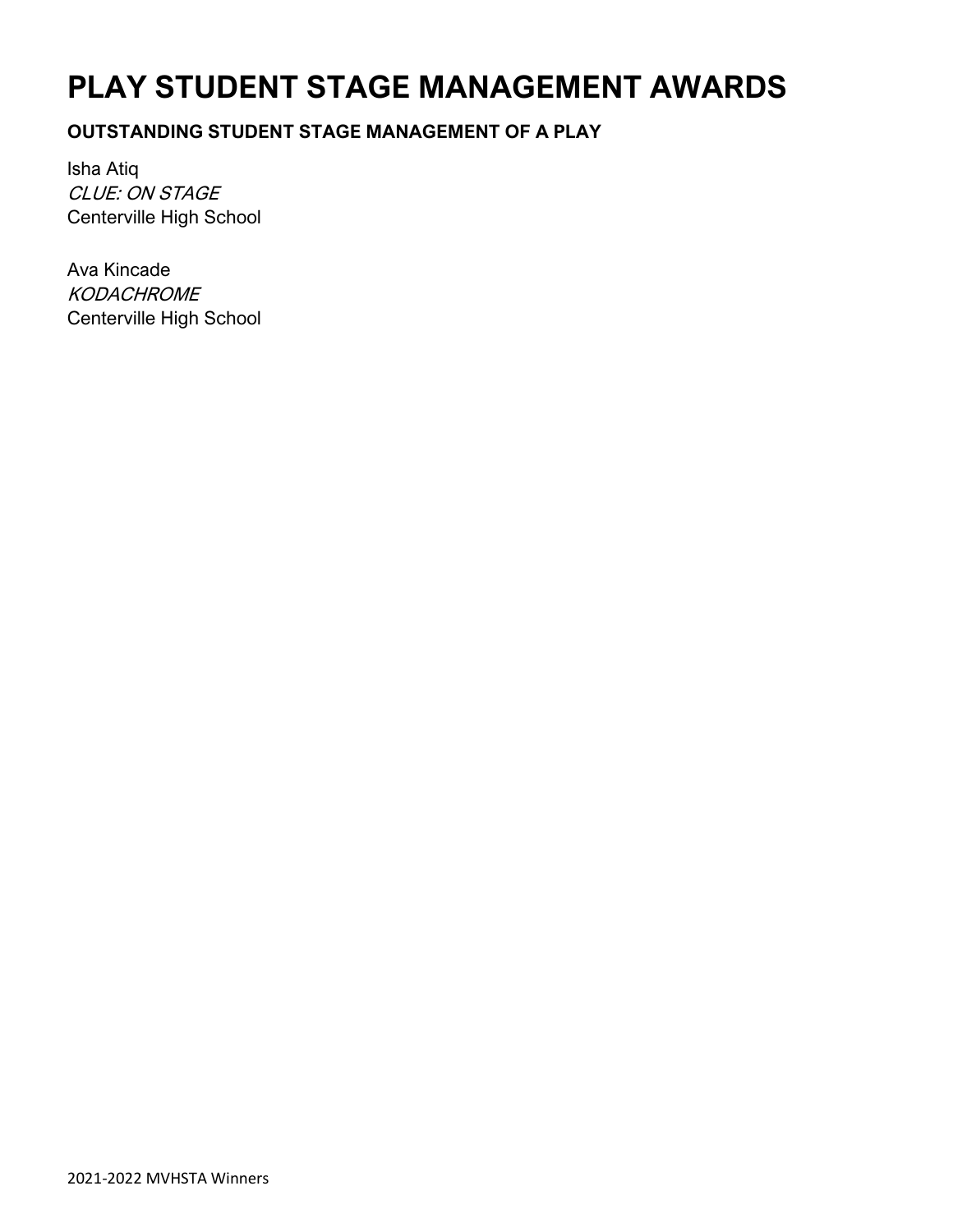# **PLAY STUDENT STAGE MANAGEMENT AWARDS**

### **OUTSTANDING STUDENT STAGE MANAGEMENT OF A PLAY**

Isha Atiq CLUE: ON STAGE Centerville High School

Ava Kincade **KODACHROME** Centerville High School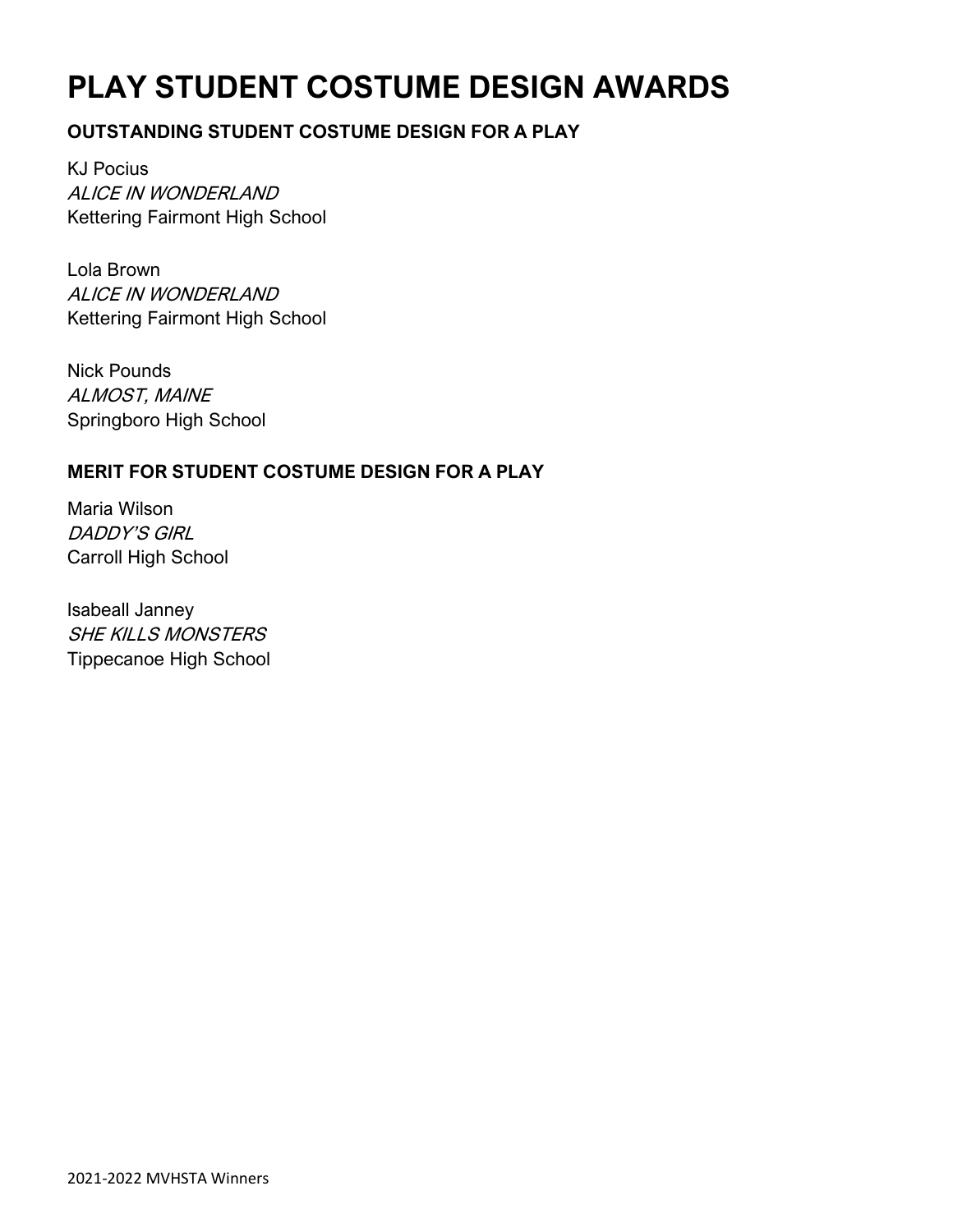# **PLAY STUDENT COSTUME DESIGN AWARDS**

### **OUTSTANDING STUDENT COSTUME DESIGN FOR A PLAY**

KJ Pocius ALICE IN WONDERLAND Kettering Fairmont High School

Lola Brown ALICE IN WONDERLAND Kettering Fairmont High School

Nick Pounds ALMOST, MAINE Springboro High School

### **MERIT FOR STUDENT COSTUME DESIGN FOR A PLAY**

Maria Wilson DADDY'S GIRL Carroll High School

Isabeall Janney SHE KILLS MONSTERS Tippecanoe High School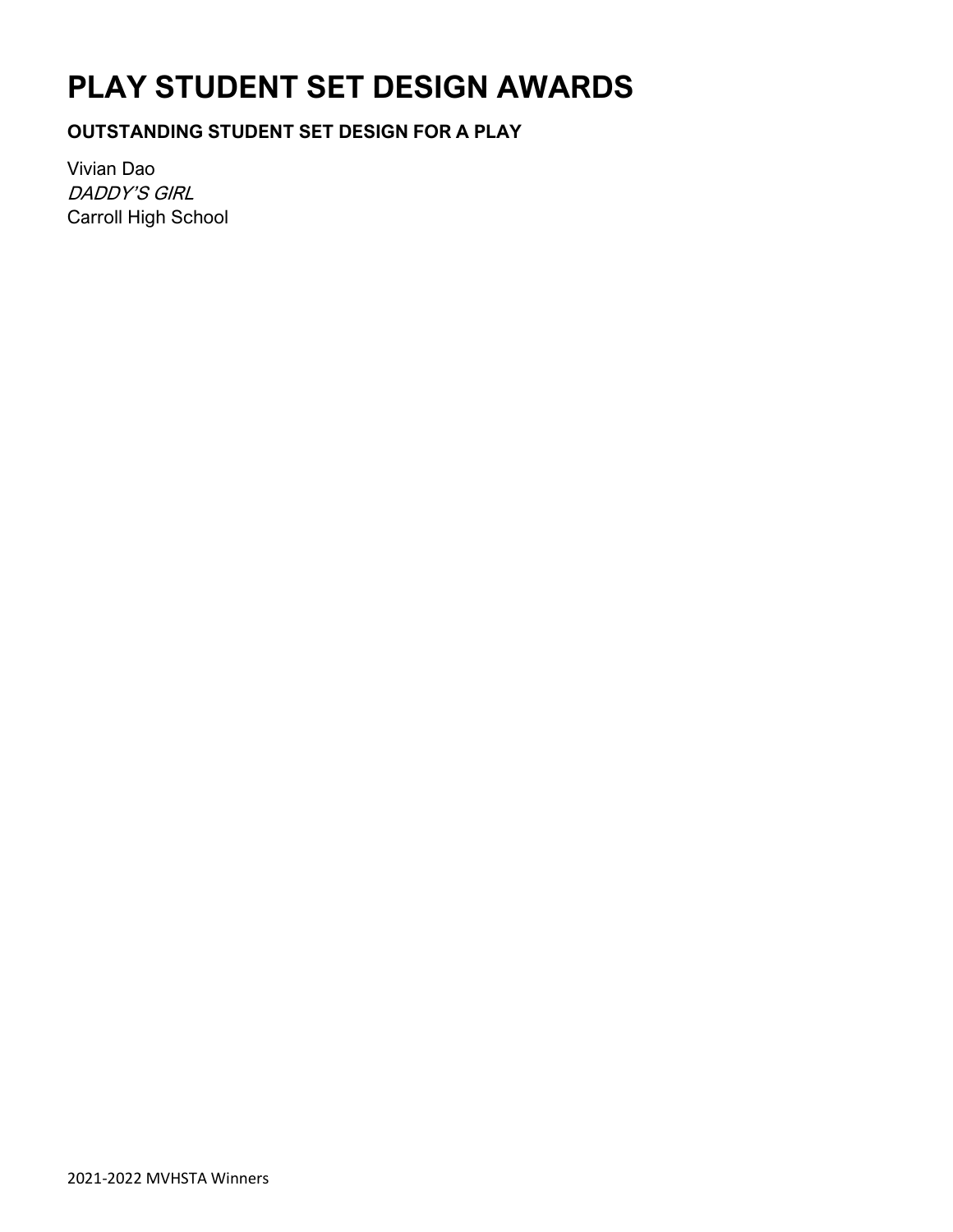# **PLAY STUDENT SET DESIGN AWARDS**

### **OUTSTANDING STUDENT SET DESIGN FOR A PLAY**

Vivian Dao DADDY'S GIRL Carroll High School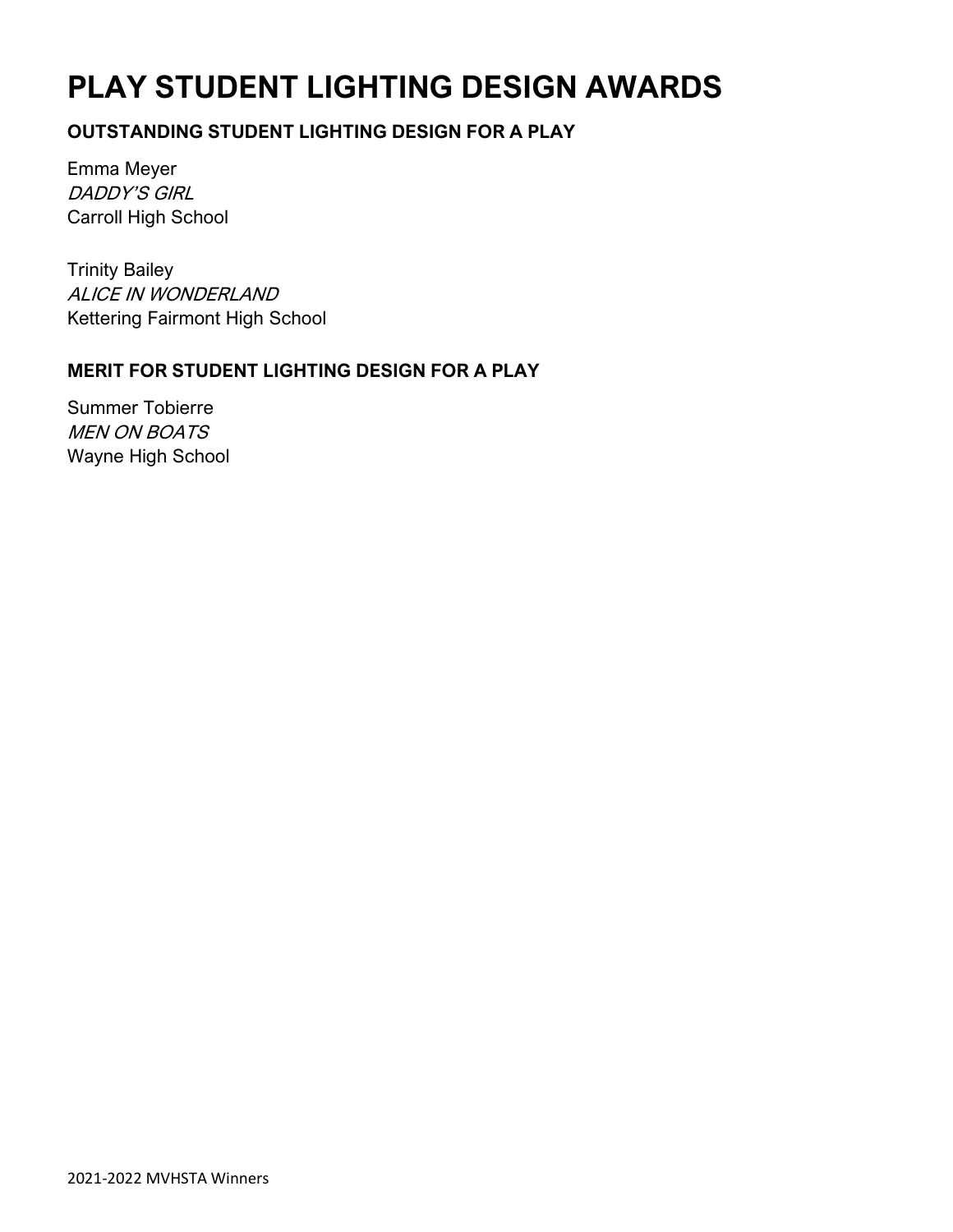# **PLAY STUDENT LIGHTING DESIGN AWARDS**

### **OUTSTANDING STUDENT LIGHTING DESIGN FOR A PLAY**

Emma Meyer DADDY'S GIRL Carroll High School

Trinity Bailey ALICE IN WONDERLAND Kettering Fairmont High School

### **MERIT FOR STUDENT LIGHTING DESIGN FOR A PLAY**

Summer Tobierre MEN ON BOATS Wayne High School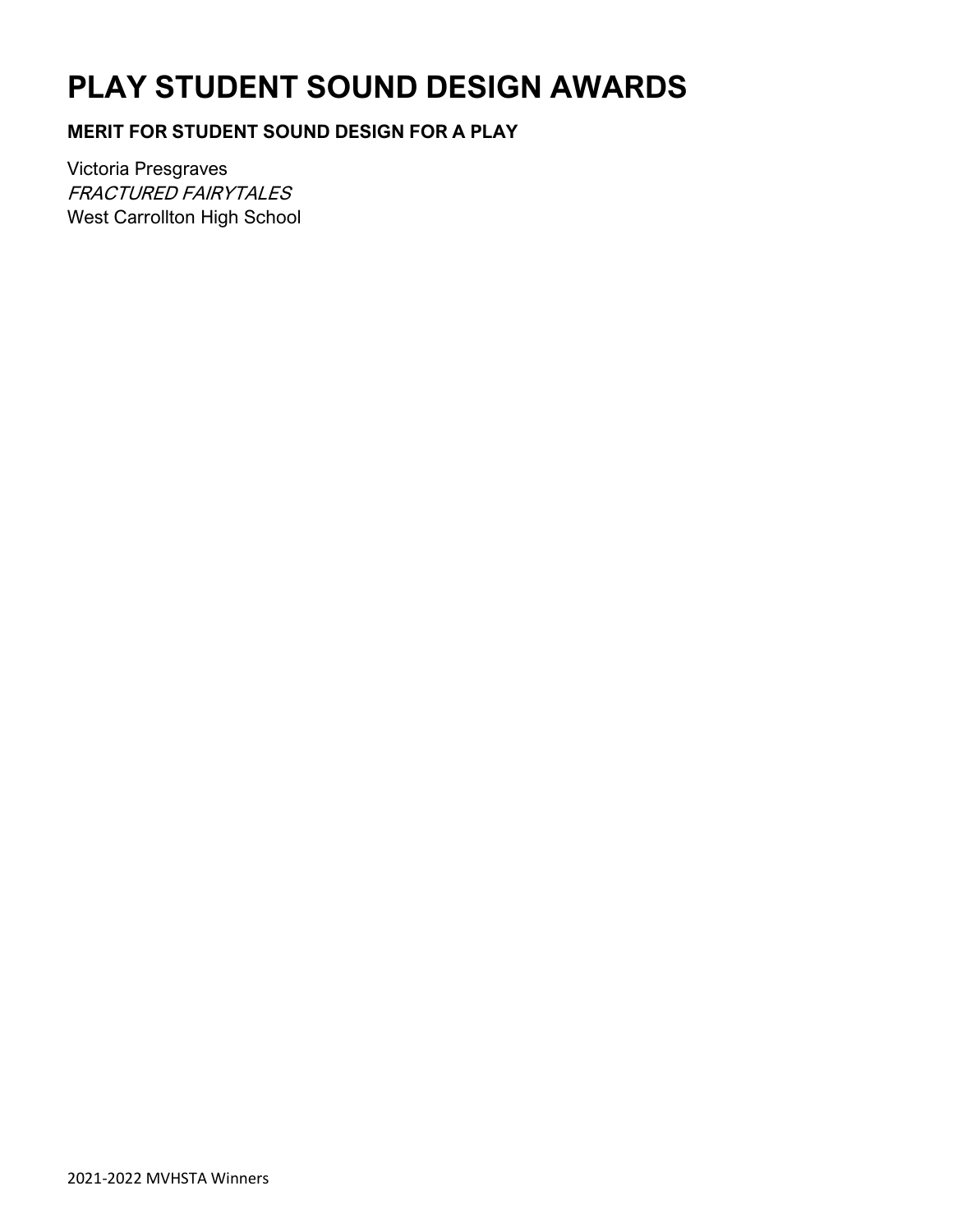# **PLAY STUDENT SOUND DESIGN AWARDS**

### **MERIT FOR STUDENT SOUND DESIGN FOR A PLAY**

Victoria Presgraves FRACTURED FAIRYTALES West Carrollton High School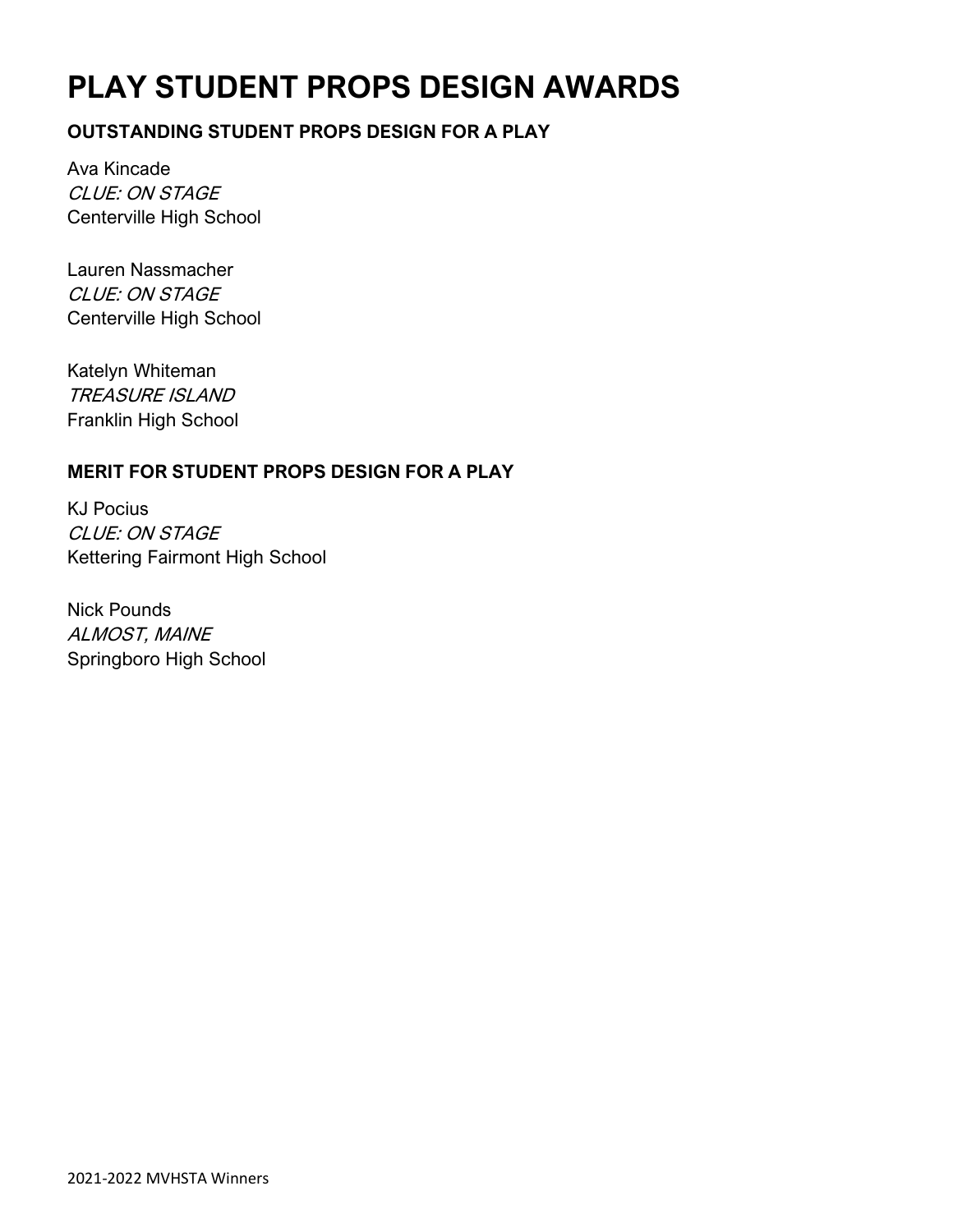# **PLAY STUDENT PROPS DESIGN AWARDS**

### **OUTSTANDING STUDENT PROPS DESIGN FOR A PLAY**

Ava Kincade CLUE: ON STAGE Centerville High School

Lauren Nassmacher CLUE: ON STAGE Centerville High School

Katelyn Whiteman TREASURE ISLAND Franklin High School

### **MERIT FOR STUDENT PROPS DESIGN FOR A PLAY**

KJ Pocius CLUE: ON STAGE Kettering Fairmont High School

Nick Pounds ALMOST, MAINE Springboro High School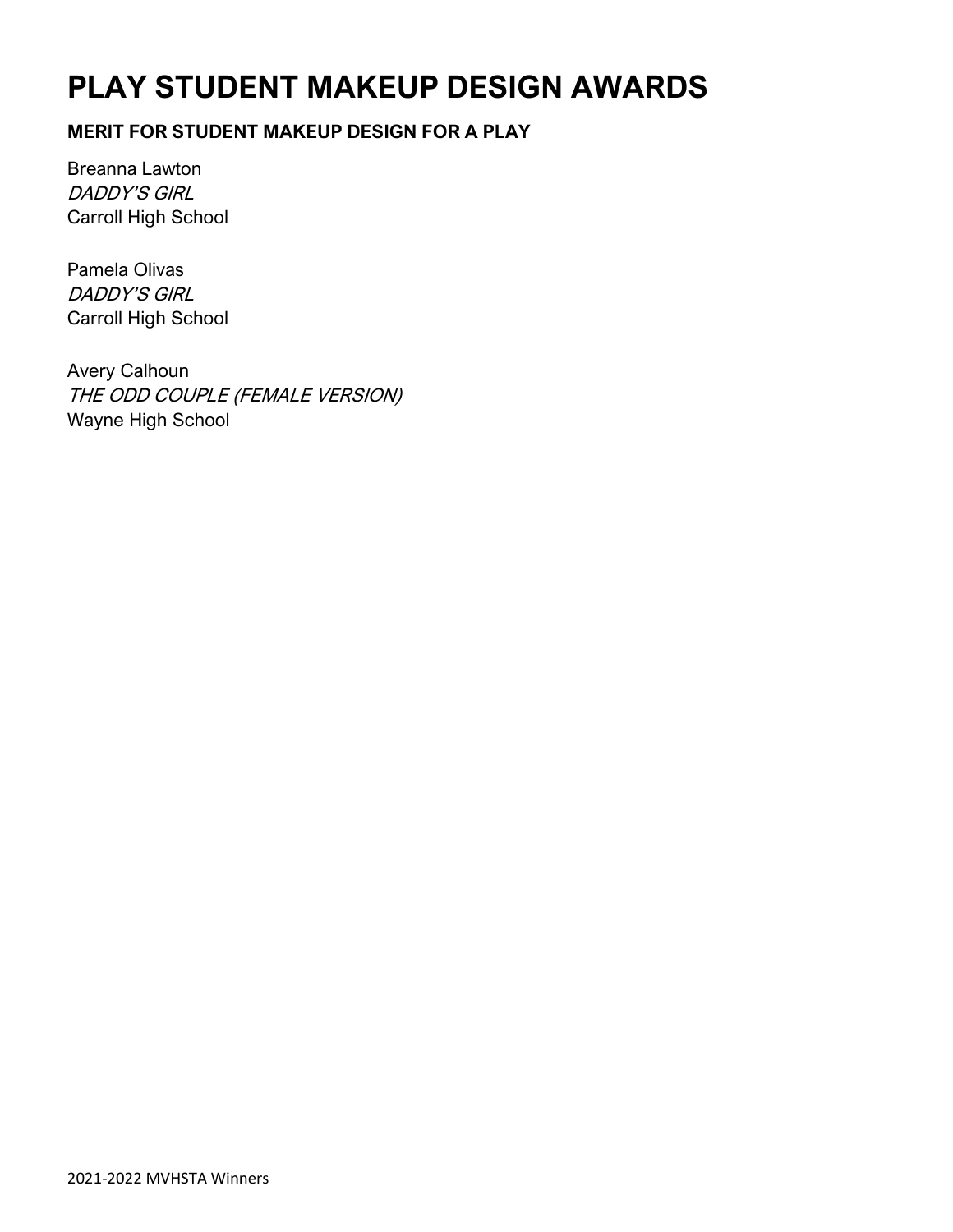# **PLAY STUDENT MAKEUP DESIGN AWARDS**

### **MERIT FOR STUDENT MAKEUP DESIGN FOR A PLAY**

Breanna Lawton DADDY'S GIRL Carroll High School

Pamela Olivas DADDY'S GIRL Carroll High School

Avery Calhoun THE ODD COUPLE (FEMALE VERSION) Wayne High School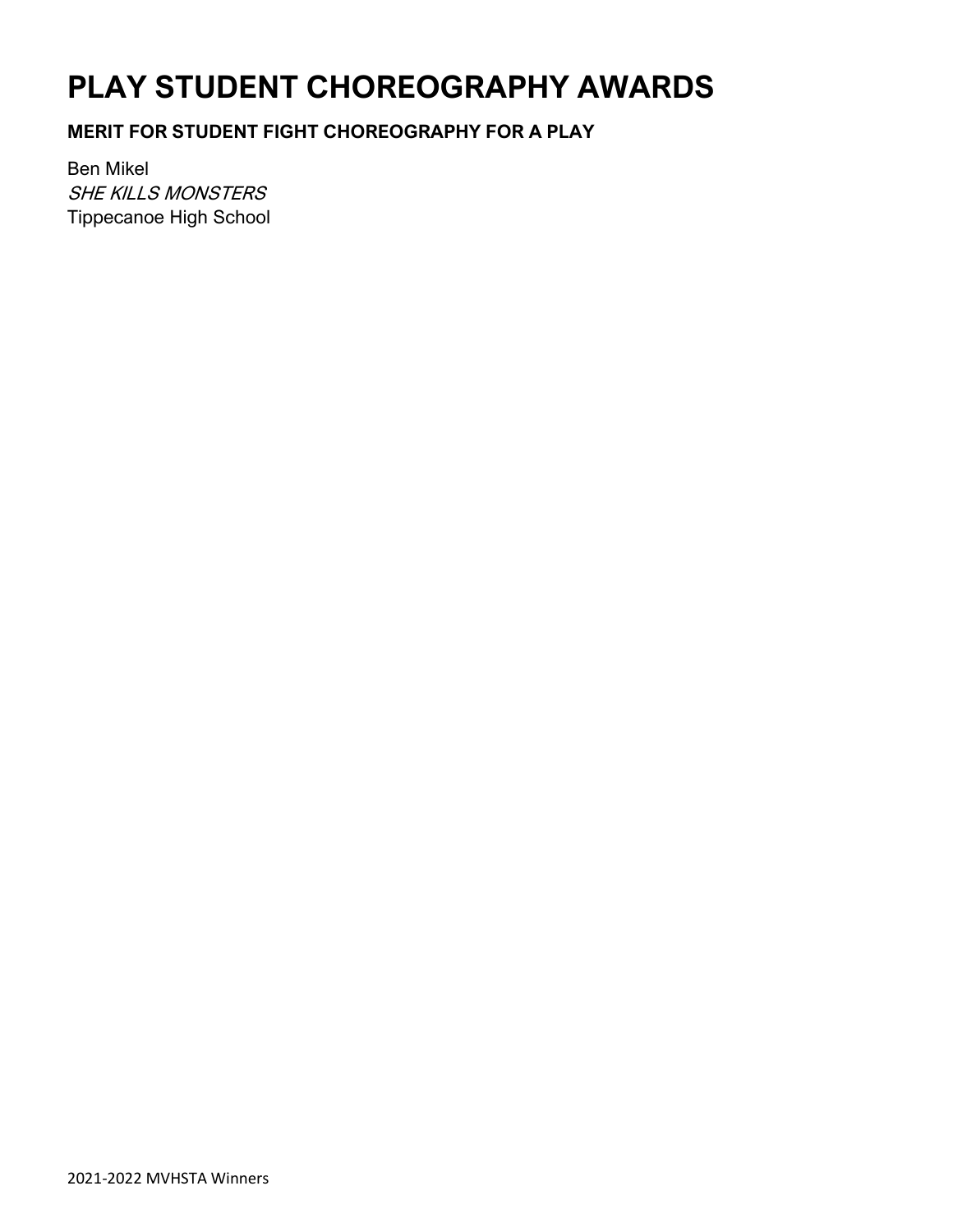# **PLAY STUDENT CHOREOGRAPHY AWARDS**

### **MERIT FOR STUDENT FIGHT CHOREOGRAPHY FOR A PLAY**

Ben Mikel SHE KILLS MONSTERS Tippecanoe High School